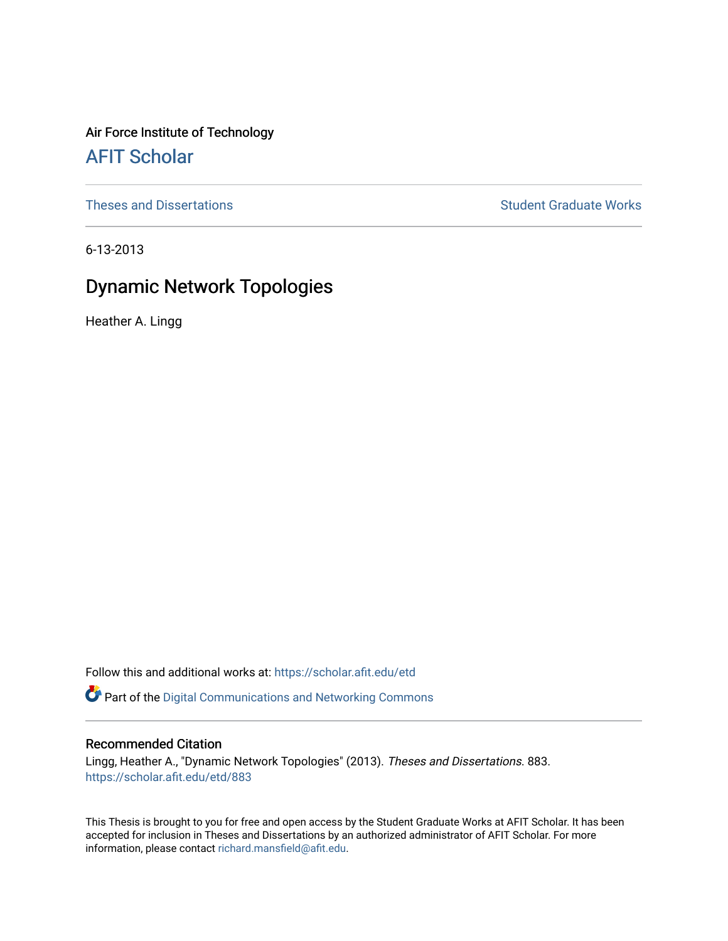Air Force Institute of Technology [AFIT Scholar](https://scholar.afit.edu/) 

[Theses and Dissertations](https://scholar.afit.edu/etd) **Student Graduate Works** Student Graduate Works

6-13-2013

# Dynamic Network Topologies

Heather A. Lingg

Follow this and additional works at: [https://scholar.afit.edu/etd](https://scholar.afit.edu/etd?utm_source=scholar.afit.edu%2Fetd%2F883&utm_medium=PDF&utm_campaign=PDFCoverPages) 

Part of the [Digital Communications and Networking Commons](http://network.bepress.com/hgg/discipline/262?utm_source=scholar.afit.edu%2Fetd%2F883&utm_medium=PDF&utm_campaign=PDFCoverPages) 

# Recommended Citation

Lingg, Heather A., "Dynamic Network Topologies" (2013). Theses and Dissertations. 883. [https://scholar.afit.edu/etd/883](https://scholar.afit.edu/etd/883?utm_source=scholar.afit.edu%2Fetd%2F883&utm_medium=PDF&utm_campaign=PDFCoverPages) 

This Thesis is brought to you for free and open access by the Student Graduate Works at AFIT Scholar. It has been accepted for inclusion in Theses and Dissertations by an authorized administrator of AFIT Scholar. For more information, please contact [richard.mansfield@afit.edu](mailto:richard.mansfield@afit.edu).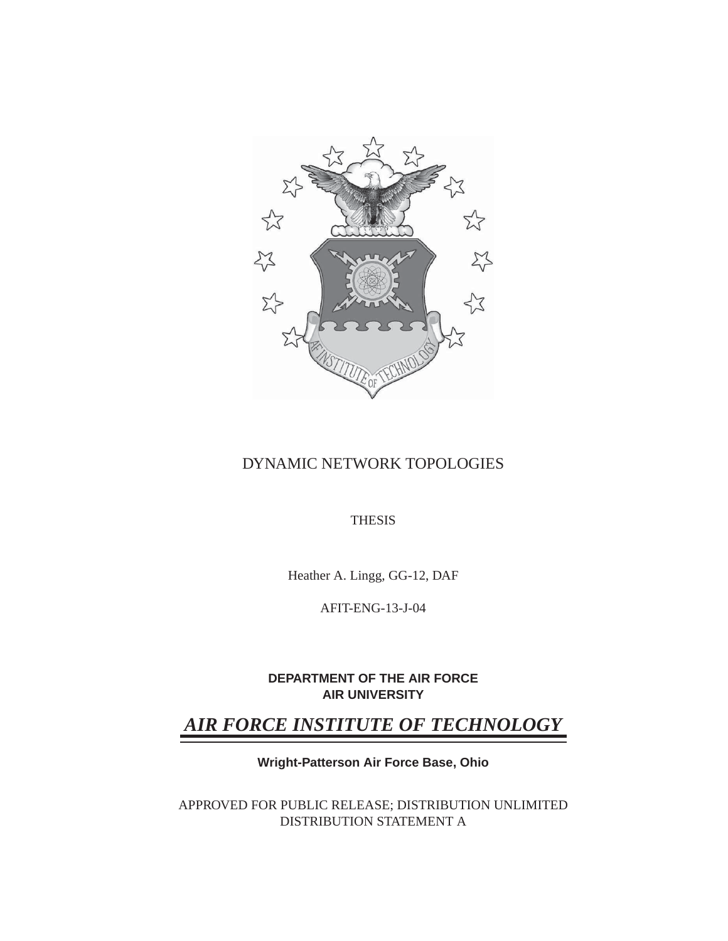

# DYNAMIC NETWORK TOPOLOGIES

THESIS

Heather A. Lingg, GG-12, DAF

AFIT-ENG-13-J-04

**DEPARTMENT OF THE AIR FORCE AIR UNIVERSITY**

# *AIR FORCE INSTITUTE OF TECHNOLOGY*

**Wright-Patterson Air Force Base, Ohio**

APPROVED FOR PUBLIC RELEASE; DISTRIBUTION UNLIMITED DISTRIBUTION STATEMENT A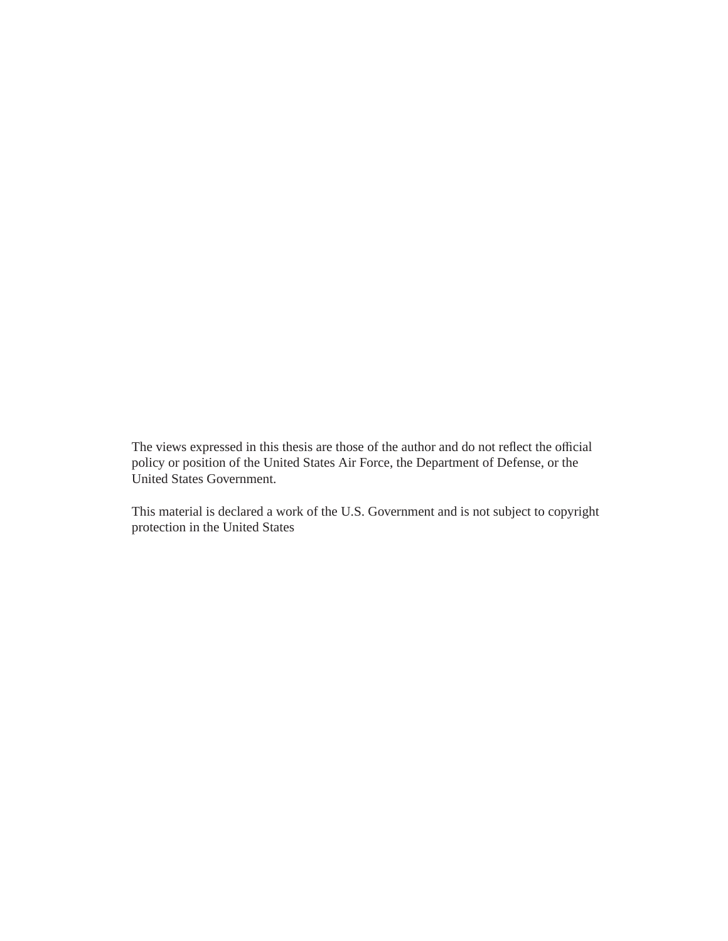The views expressed in this thesis are those of the author and do not reflect the official policy or position of the United States Air Force, the Department of Defense, or the United States Government.

This material is declared a work of the U.S. Government and is not subject to copyright protection in the United States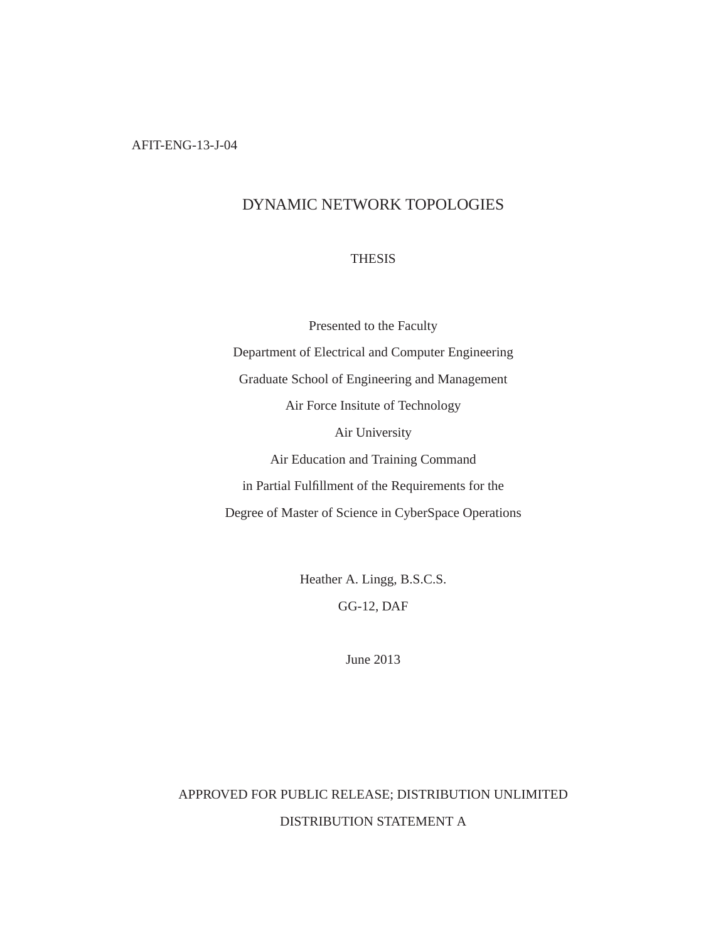# DYNAMIC NETWORK TOPOLOGIES

## **THESIS**

Presented to the Faculty Department of Electrical and Computer Engineering Graduate School of Engineering and Management Air Force Insitute of Technology Air University Air Education and Training Command in Partial Fulfillment of the Requirements for the Degree of Master of Science in CyberSpace Operations

> Heather A. Lingg, B.S.C.S. GG-12, DAF

> > June 2013

# APPROVED FOR PUBLIC RELEASE; DISTRIBUTION UNLIMITED DISTRIBUTION STATEMENT A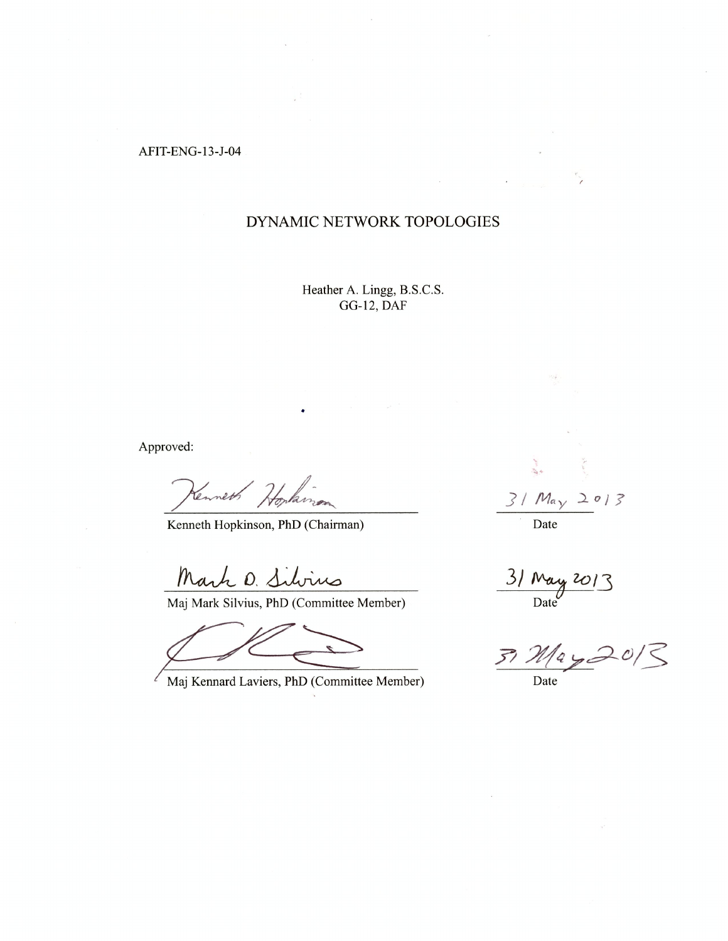AFIT-ENG-13-J-04

# DYNAMIC NETWORK TOPOLOGIES

Heather A. Lingg, B.S.C.S. GG-12, DAF

Approved:

Cennet Hopkins

•

Kenneth Hopkinson, PhD (Chairman)

Mark D. Silv

Maj Mark Silvius, PhD (Committee Member)

Maj Kennard Laviers, PhD (Committee Member)

J *I May* -2 o 1? Date

 $31$  May 2013 Date

 $37 M$ ay 2013

Date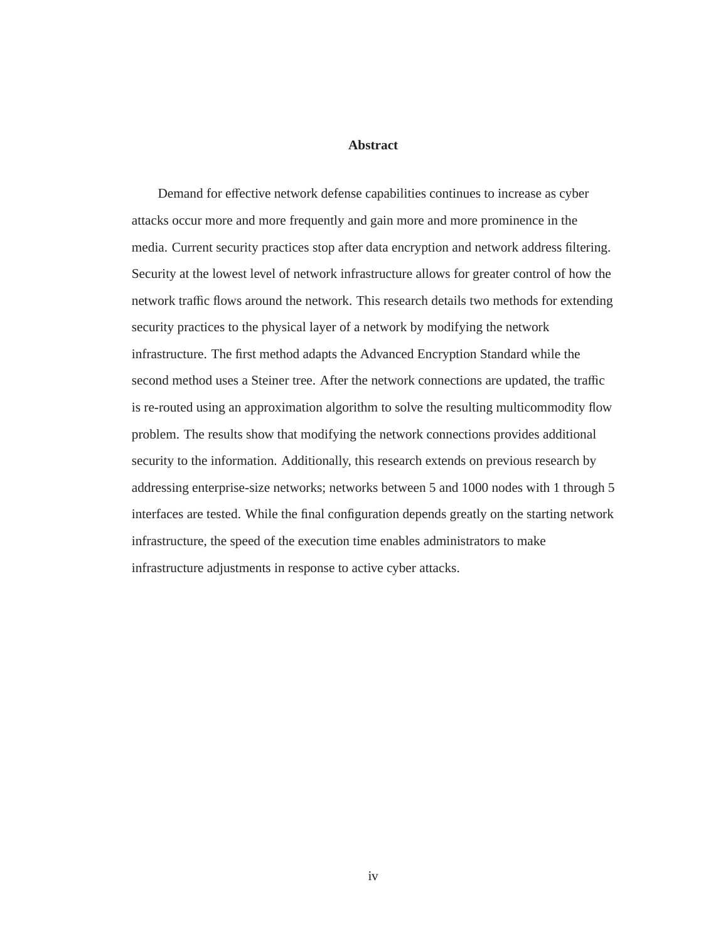## **Abstract**

Demand for effective network defense capabilities continues to increase as cyber attacks occur more and more frequently and gain more and more prominence in the media. Current security practices stop after data encryption and network address filtering. Security at the lowest level of network infrastructure allows for greater control of how the network traffic flows around the network. This research details two methods for extending security practices to the physical layer of a network by modifying the network infrastructure. The first method adapts the Advanced Encryption Standard while the second method uses a Steiner tree. After the network connections are updated, the traffic is re-routed using an approximation algorithm to solve the resulting multicommodity flow problem. The results show that modifying the network connections provides additional security to the information. Additionally, this research extends on previous research by addressing enterprise-size networks; networks between 5 and 1000 nodes with 1 through 5 interfaces are tested. While the final configuration depends greatly on the starting network infrastructure, the speed of the execution time enables administrators to make infrastructure adjustments in response to active cyber attacks.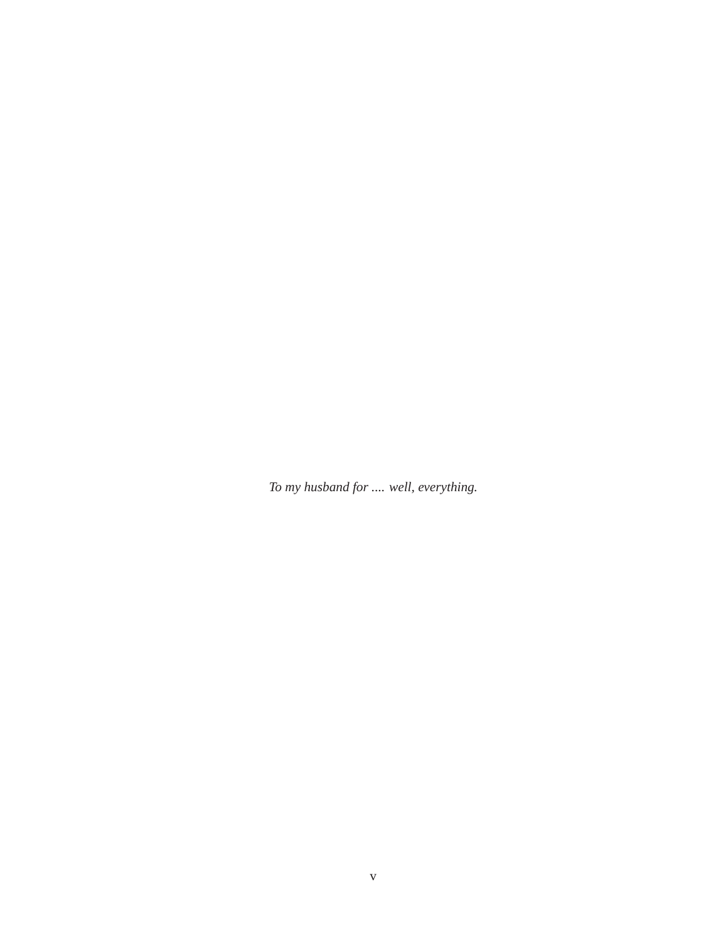*To my husband for .... well, everything.*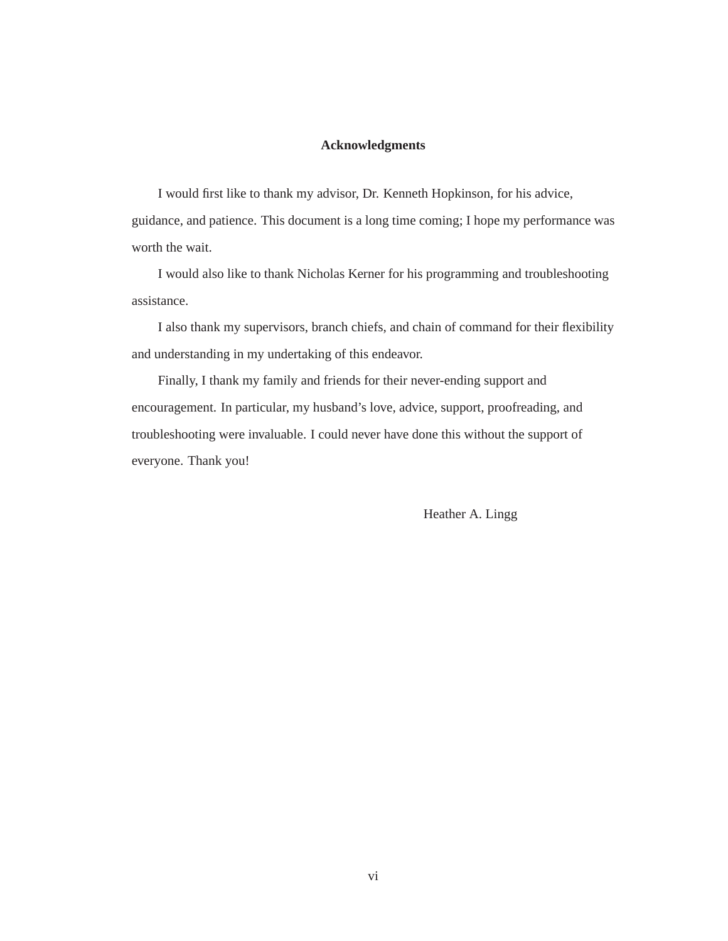## **Acknowledgments**

I would first like to thank my advisor, Dr. Kenneth Hopkinson, for his advice, guidance, and patience. This document is a long time coming; I hope my performance was worth the wait.

I would also like to thank Nicholas Kerner for his programming and troubleshooting assistance.

I also thank my supervisors, branch chiefs, and chain of command for their flexibility and understanding in my undertaking of this endeavor.

Finally, I thank my family and friends for their never-ending support and encouragement. In particular, my husband's love, advice, support, proofreading, and troubleshooting were invaluable. I could never have done this without the support of everyone. Thank you!

Heather A. Lingg

vi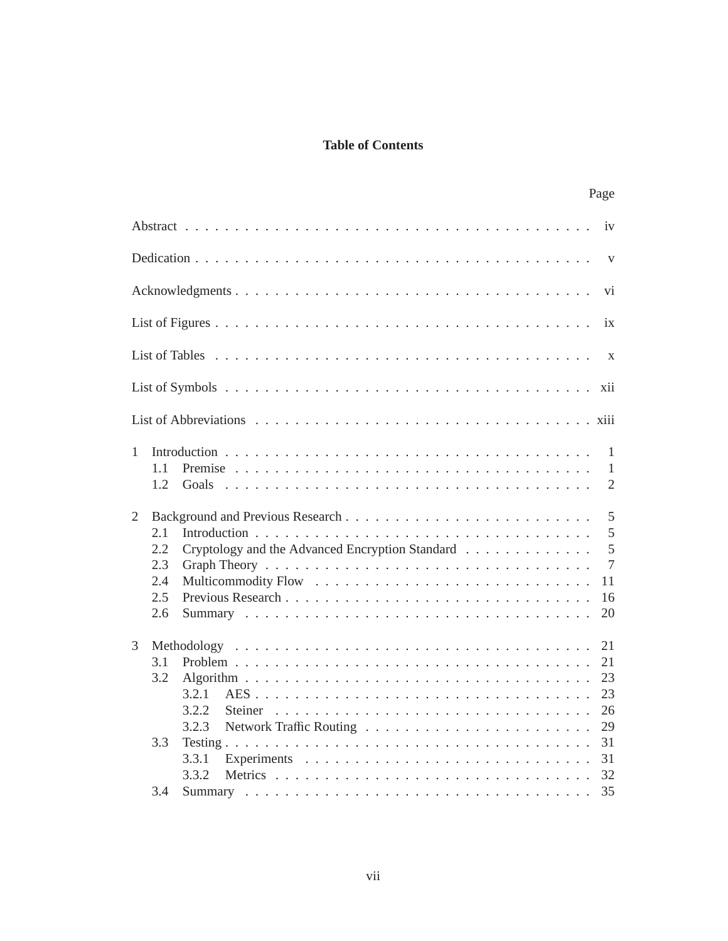# **Table of Contents**

|                                             |                                                                     | Page                                                         |
|---------------------------------------------|---------------------------------------------------------------------|--------------------------------------------------------------|
|                                             |                                                                     | iv                                                           |
|                                             |                                                                     | $\mathbf{V}$                                                 |
|                                             |                                                                     | vi                                                           |
|                                             |                                                                     | ix                                                           |
|                                             |                                                                     | $\mathbf{X}$                                                 |
|                                             |                                                                     | xii                                                          |
|                                             |                                                                     |                                                              |
| 1<br>1.1<br>1.2                             | Goals                                                               | 1<br>$\mathbf{1}$<br>$\overline{2}$                          |
| 2<br>2.1<br>2.2<br>2.3<br>2.4<br>2.5<br>2.6 | Cryptology and the Advanced Encryption Standard                     | 5<br>5<br>$\overline{5}$<br>$\overline{7}$<br>11<br>16<br>20 |
| 3<br>3.1<br>3.2<br>3.3<br>3.4               | Methodology<br>3.2.1<br>3.2.2<br>Steiner<br>3.2.3<br>3.3.1<br>3.3.2 | 21<br>21<br>23<br>23<br>26<br>29<br>31<br>31<br>32<br>35     |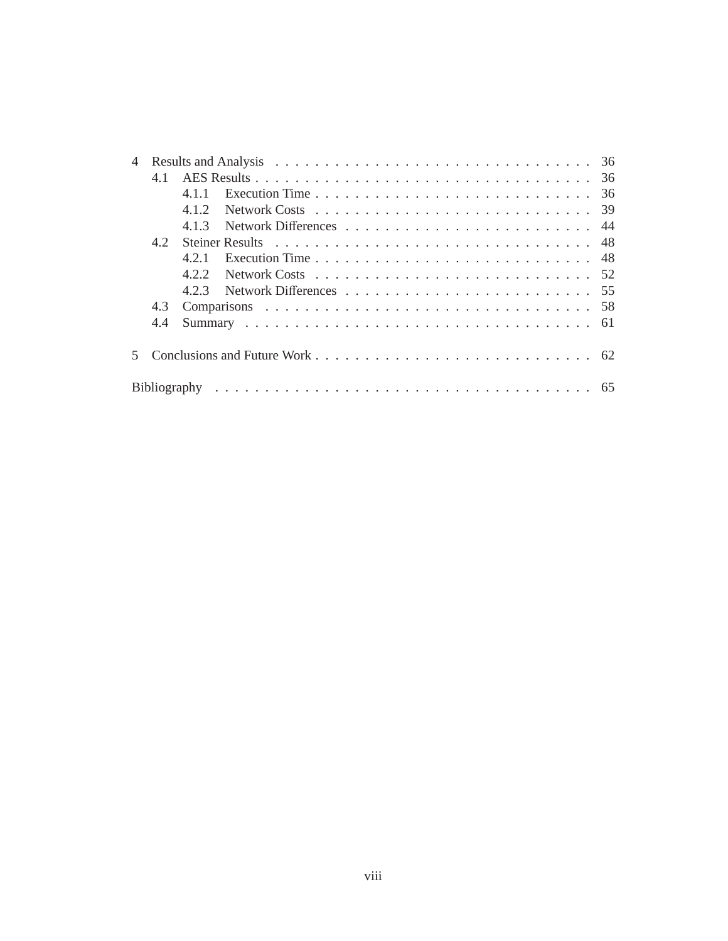| $\overline{4}$ |     |     |                                                                                        |  |
|----------------|-----|-----|----------------------------------------------------------------------------------------|--|
|                | 41  |     |                                                                                        |  |
|                |     | 411 |                                                                                        |  |
|                |     | 412 |                                                                                        |  |
|                |     | 413 |                                                                                        |  |
|                | 42  |     |                                                                                        |  |
|                |     | 421 | Execution Time $\ldots \ldots \ldots \ldots \ldots \ldots \ldots \ldots \ldots \ldots$ |  |
|                |     | 422 |                                                                                        |  |
|                |     | 423 |                                                                                        |  |
|                | 4.3 |     |                                                                                        |  |
|                | 4.4 |     |                                                                                        |  |
|                |     |     |                                                                                        |  |
|                |     |     |                                                                                        |  |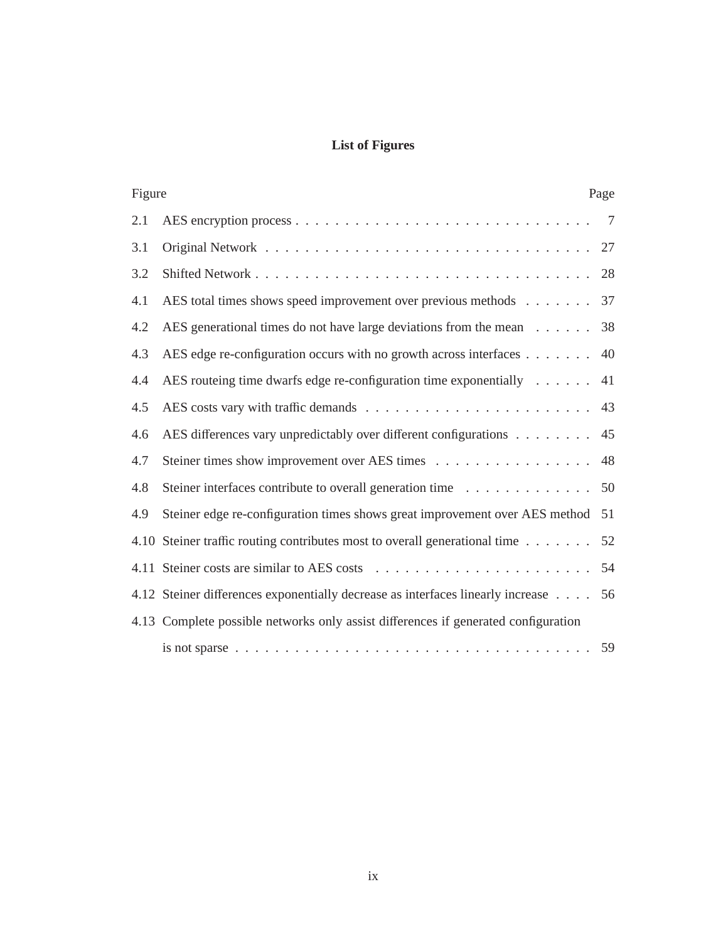# **List of Figures**

| Figure | Page                                                                                                       |                |  |
|--------|------------------------------------------------------------------------------------------------------------|----------------|--|
| 2.1    |                                                                                                            | $\overline{7}$ |  |
| 3.1    |                                                                                                            | 27             |  |
| 3.2    |                                                                                                            |                |  |
| 4.1    | AES total times shows speed improvement over previous methods 37                                           |                |  |
| 4.2    | AES generational times do not have large deviations from the mean 38                                       |                |  |
| 4.3    | AES edge re-configuration occurs with no growth across interfaces $\dots \dots$ . 40                       |                |  |
| 4.4    | AES routeing time dwarfs edge re-configuration time exponentially $\dots \dots$ 41                         |                |  |
| 4.5    |                                                                                                            |                |  |
| 4.6    | AES differences vary unpredictably over different configurations 45                                        |                |  |
| 4.7    | Steiner times show improvement over AES times 48                                                           |                |  |
| 4.8    | Steiner interfaces contribute to overall generation time 50                                                |                |  |
| 4.9    | Steiner edge re-configuration times shows great improvement over AES method                                | 51             |  |
|        | 4.10 Steiner traffic routing contributes most to overall generational time                                 | 52             |  |
|        |                                                                                                            | 54             |  |
|        | 4.12 Steiner differences exponentially decrease as interfaces linearly increase 56                         |                |  |
|        | 4.13 Complete possible networks only assist differences if generated configuration                         |                |  |
|        | is not sparse $\ldots \ldots \ldots \ldots \ldots \ldots \ldots \ldots \ldots \ldots \ldots \ldots \ldots$ | 59             |  |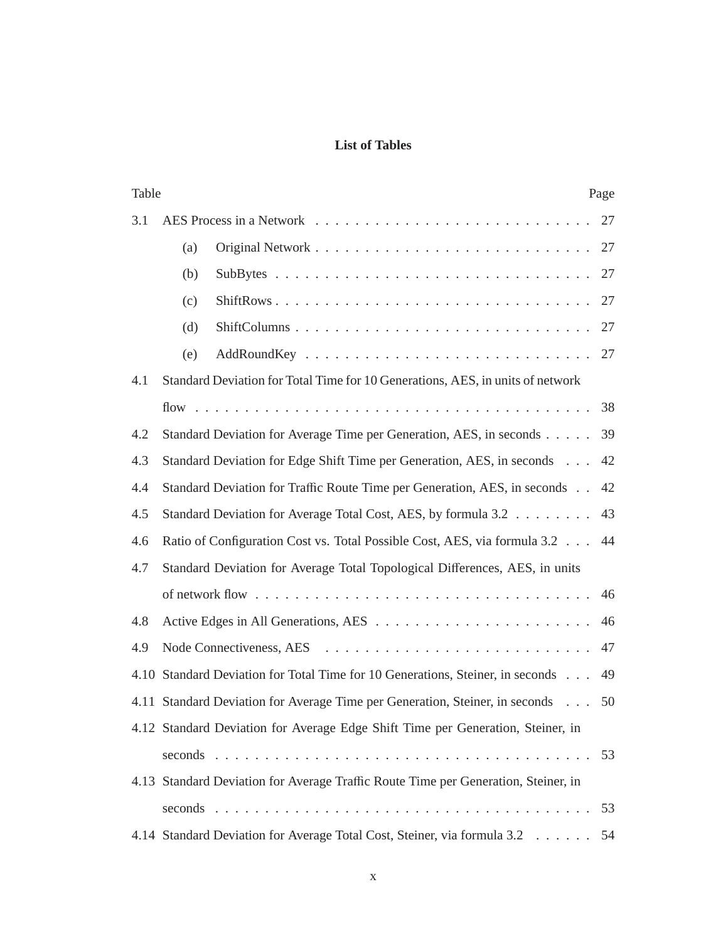# **List of Tables**

| Table |     |                                                                                    | Page |  |
|-------|-----|------------------------------------------------------------------------------------|------|--|
| 3.1   |     |                                                                                    | 27   |  |
|       | (a) |                                                                                    | 27   |  |
|       | (b) |                                                                                    | 27   |  |
|       | (c) |                                                                                    | 27   |  |
|       | (d) |                                                                                    | 27   |  |
|       | (e) |                                                                                    | 27   |  |
| 4.1   |     | Standard Deviation for Total Time for 10 Generations, AES, in units of network     |      |  |
|       |     |                                                                                    |      |  |
| 4.2   |     | Standard Deviation for Average Time per Generation, AES, in seconds                | 39   |  |
| 4.3   |     | Standard Deviation for Edge Shift Time per Generation, AES, in seconds             | 42   |  |
| 4.4   |     | Standard Deviation for Traffic Route Time per Generation, AES, in seconds          | 42   |  |
| 4.5   |     | Standard Deviation for Average Total Cost, AES, by formula 3.2                     | 43   |  |
| 4.6   |     | Ratio of Configuration Cost vs. Total Possible Cost, AES, via formula 3.2          | 44   |  |
| 4.7   |     | Standard Deviation for Average Total Topological Differences, AES, in units        |      |  |
|       |     |                                                                                    | 46   |  |
| 4.8   |     |                                                                                    | 46   |  |
| 4.9   |     |                                                                                    | 47   |  |
|       |     | 4.10 Standard Deviation for Total Time for 10 Generations, Steiner, in seconds     | 49   |  |
|       |     | 4.11 Standard Deviation for Average Time per Generation, Steiner, in seconds       | 50   |  |
|       |     | 4.12 Standard Deviation for Average Edge Shift Time per Generation, Steiner, in    |      |  |
|       |     |                                                                                    | 53   |  |
|       |     | 4.13 Standard Deviation for Average Traffic Route Time per Generation, Steiner, in |      |  |
|       |     |                                                                                    | 53   |  |
|       |     | 4.14 Standard Deviation for Average Total Cost, Steiner, via formula 3.2           | 54   |  |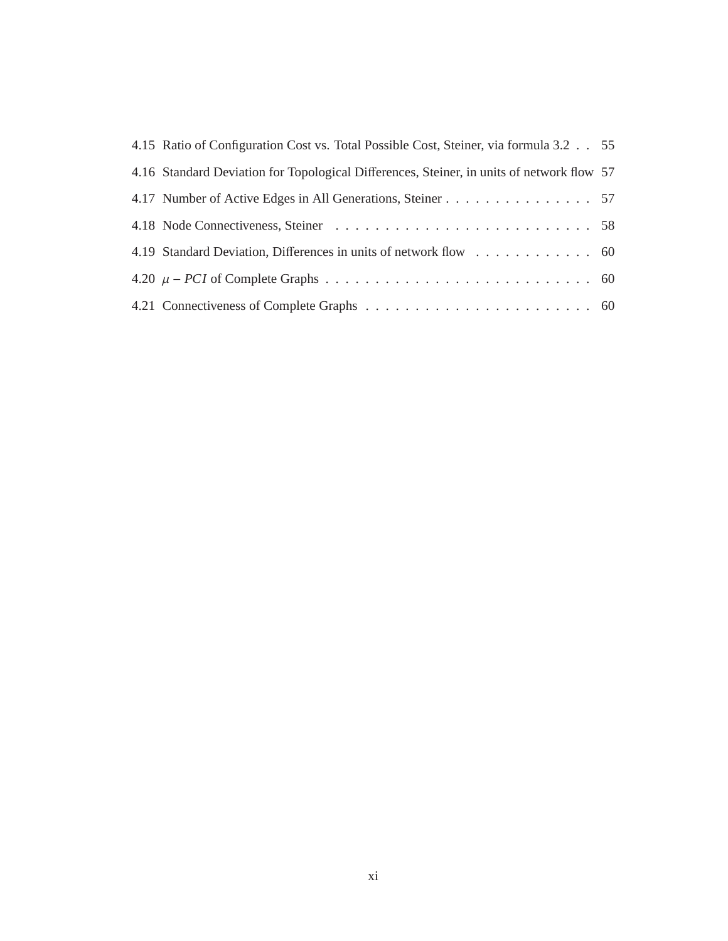| 4.15 Ratio of Configuration Cost vs. Total Possible Cost, Steiner, via formula 3.2 55     |  |
|-------------------------------------------------------------------------------------------|--|
| 4.16 Standard Deviation for Topological Differences, Steiner, in units of network flow 57 |  |
| 4.17 Number of Active Edges in All Generations, Steiner 57                                |  |
|                                                                                           |  |
| 4.19 Standard Deviation, Differences in units of network flow 60                          |  |
|                                                                                           |  |
|                                                                                           |  |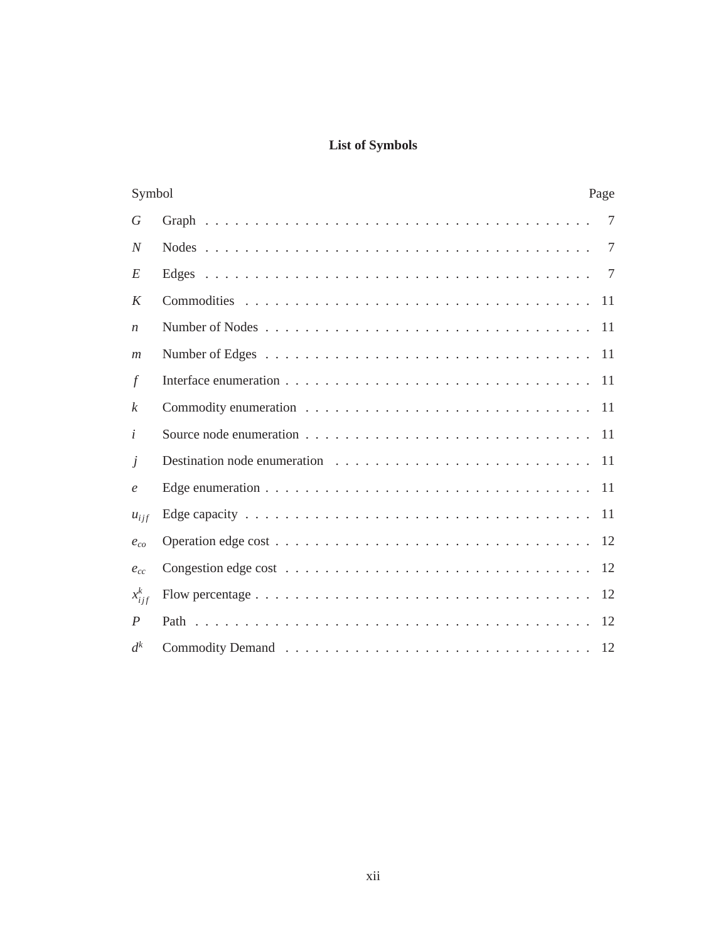# **List of Symbols**

|                  | Symbol<br>Page                                                                                  |                 |  |  |
|------------------|-------------------------------------------------------------------------------------------------|-----------------|--|--|
| $\boldsymbol{G}$ |                                                                                                 | $7\phantom{.0}$ |  |  |
| $\overline{N}$   |                                                                                                 | 7               |  |  |
| E                |                                                                                                 | 7               |  |  |
| K                |                                                                                                 | 11              |  |  |
| $\boldsymbol{n}$ |                                                                                                 |                 |  |  |
| m                |                                                                                                 |                 |  |  |
| $\int$           |                                                                                                 |                 |  |  |
| $\mathbf{k}$     |                                                                                                 |                 |  |  |
| $\dot{i}$        |                                                                                                 |                 |  |  |
| $\dot{J}$        |                                                                                                 |                 |  |  |
| $\epsilon$       | Edge enumeration $\ldots \ldots \ldots \ldots \ldots \ldots \ldots \ldots \ldots \ldots \ldots$ |                 |  |  |
| $u_{ijf}$        |                                                                                                 |                 |  |  |
| $e_{co}$         |                                                                                                 | 12              |  |  |
| $e_{cc}$         |                                                                                                 |                 |  |  |
| $x_{ij}^k$       |                                                                                                 | 12              |  |  |
| $\boldsymbol{P}$ |                                                                                                 | 12              |  |  |
| $d^k$            |                                                                                                 | 12              |  |  |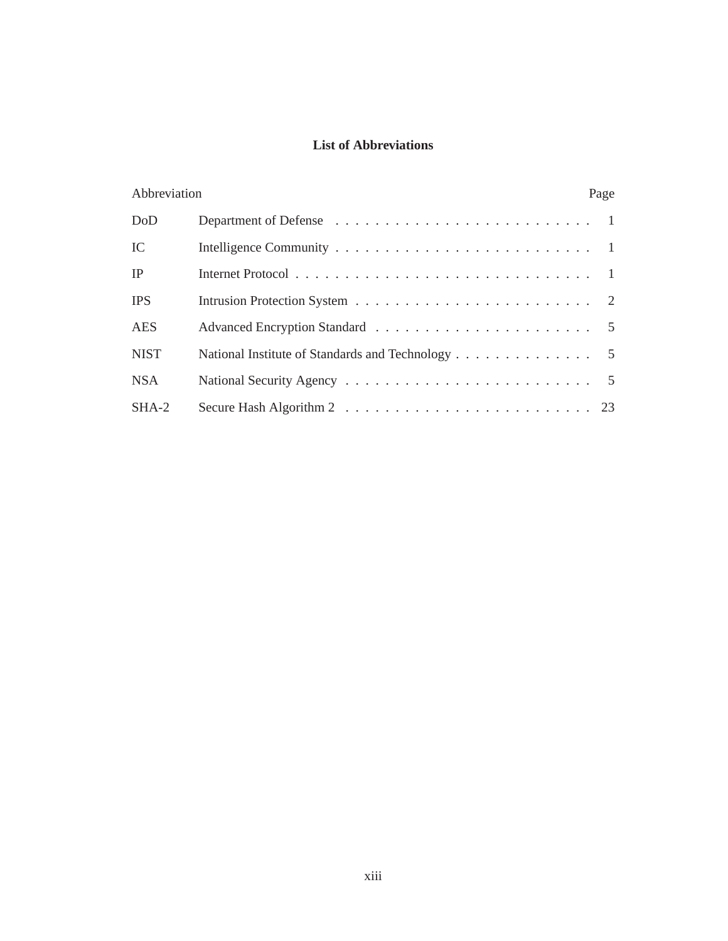# **List of Abbreviations**

| Abbreviation |                                                  | Page |
|--------------|--------------------------------------------------|------|
| DoD          |                                                  |      |
| IC           |                                                  |      |
| IP           |                                                  |      |
| <b>IPS</b>   |                                                  |      |
| <b>AES</b>   |                                                  |      |
| <b>NIST</b>  | National Institute of Standards and Technology 5 |      |
| <b>NSA</b>   |                                                  |      |
| $SHA-2$      |                                                  |      |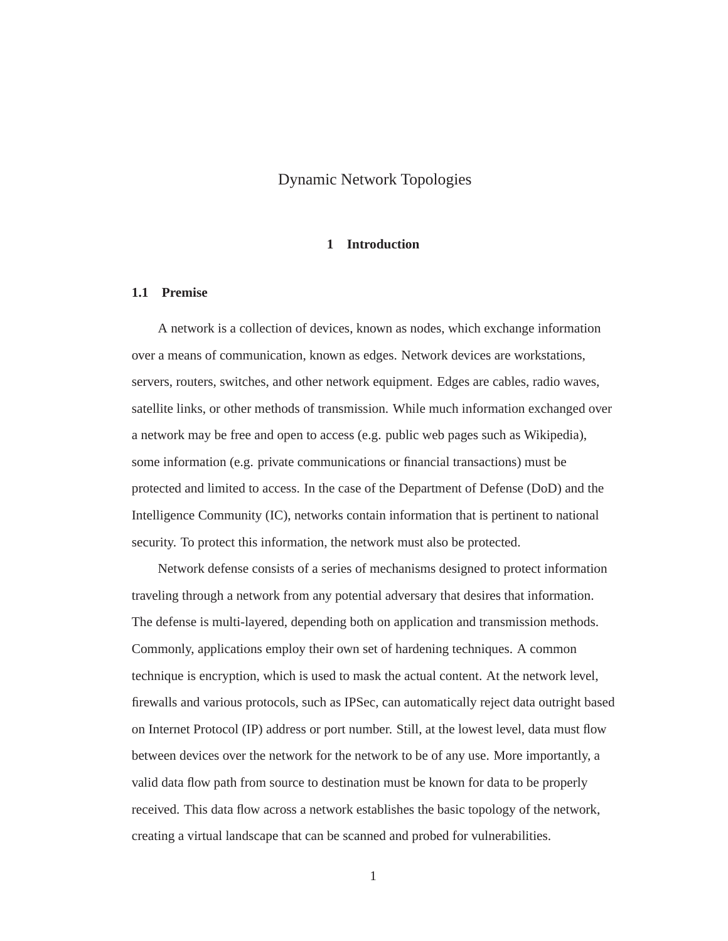# Dynamic Network Topologies

## **1 Introduction**

## **1.1 Premise**

A network is a collection of devices, known as nodes, which exchange information over a means of communication, known as edges. Network devices are workstations, servers, routers, switches, and other network equipment. Edges are cables, radio waves, satellite links, or other methods of transmission. While much information exchanged over a network may be free and open to access (e.g. public web pages such as Wikipedia), some information (e.g. private communications or financial transactions) must be protected and limited to access. In the case of the Department of Defense (DoD) and the Intelligence Community (IC), networks contain information that is pertinent to national security. To protect this information, the network must also be protected.

Network defense consists of a series of mechanisms designed to protect information traveling through a network from any potential adversary that desires that information. The defense is multi-layered, depending both on application and transmission methods. Commonly, applications employ their own set of hardening techniques. A common technique is encryption, which is used to mask the actual content. At the network level, firewalls and various protocols, such as IPSec, can automatically reject data outright based on Internet Protocol (IP) address or port number. Still, at the lowest level, data must flow between devices over the network for the network to be of any use. More importantly, a valid data flow path from source to destination must be known for data to be properly received. This data flow across a network establishes the basic topology of the network, creating a virtual landscape that can be scanned and probed for vulnerabilities.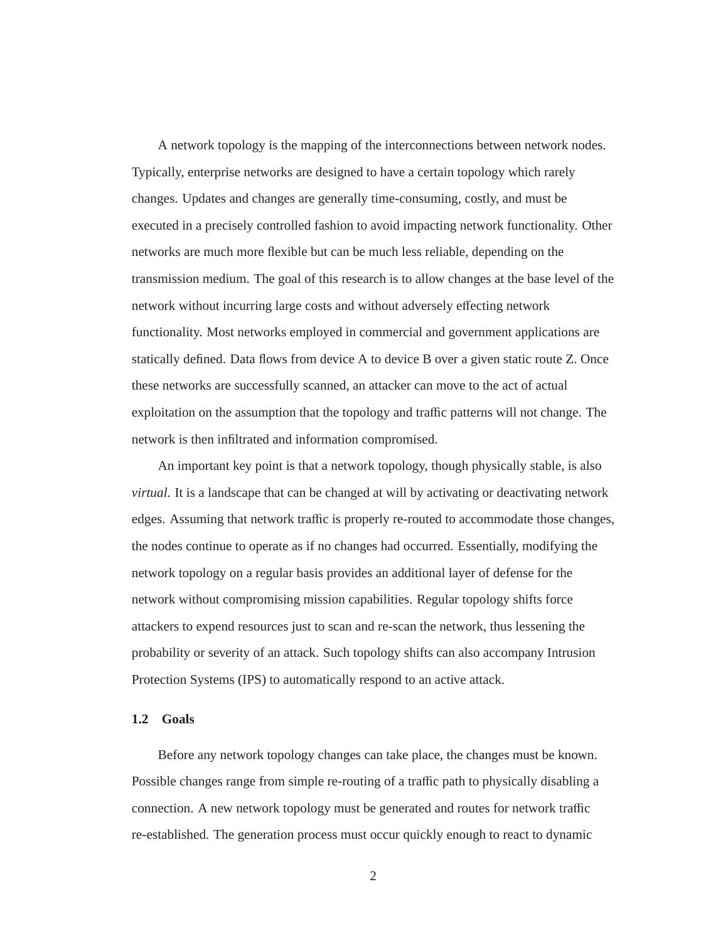A network topology is the mapping of the interconnections between network nodes. Typically, enterprise networks are designed to have a certain topology which rarely changes. Updates and changes are generally time-consuming, costly, and must be executed in a precisely controlled fashion to avoid impacting network functionality. Other networks are much more flexible but can be much less reliable, depending on the transmission medium. The goal of this research is to allow changes at the base level of the network without incurring large costs and without adversely effecting network functionality. Most networks employed in commercial and government applications are statically defined. Data flows from device A to device B over a given static route Z. Once these networks are successfully scanned, an attacker can move to the act of actual exploitation on the assumption that the topology and traffic patterns will not change. The network is then infiltrated and information compromised.

An important key point is that a network topology, though physically stable, is also *virtual*. It is a landscape that can be changed at will by activating or deactivating network edges. Assuming that network traffic is properly re-routed to accommodate those changes, the nodes continue to operate as if no changes had occurred. Essentially, modifying the network topology on a regular basis provides an additional layer of defense for the network without compromising mission capabilities. Regular topology shifts force attackers to expend resources just to scan and re-scan the network, thus lessening the probability or severity of an attack. Such topology shifts can also accompany Intrusion Protection Systems (IPS) to automatically respond to an active attack.

#### **1.2 Goals**

Before any network topology changes can take place, the changes must be known. Possible changes range from simple re-routing of a traffic path to physically disabling a connection. A new network topology must be generated and routes for network traffic re-established. The generation process must occur quickly enough to react to dynamic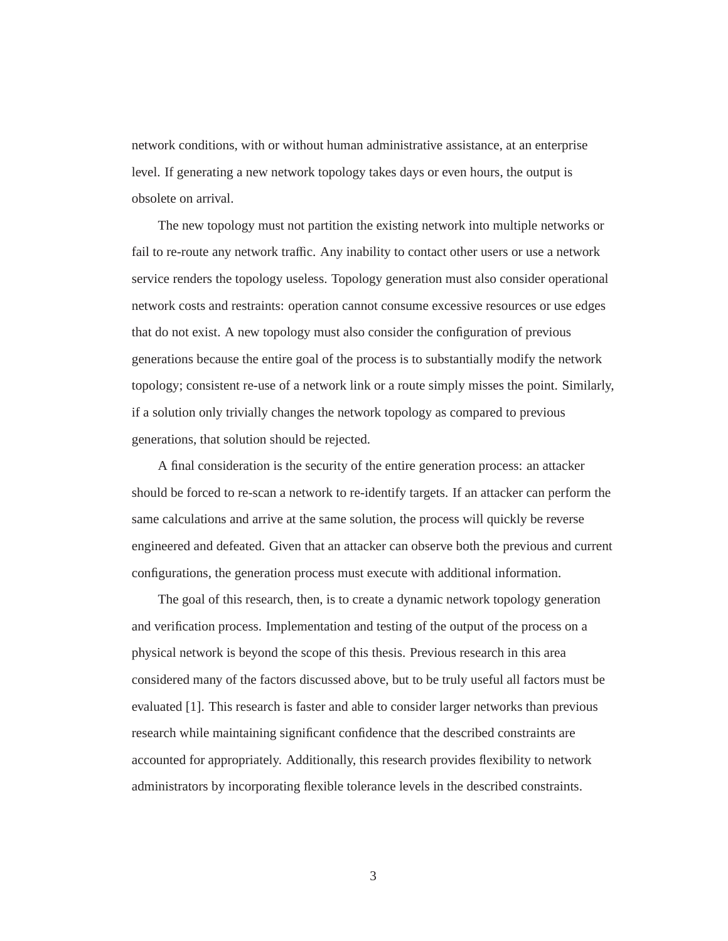network conditions, with or without human administrative assistance, at an enterprise level. If generating a new network topology takes days or even hours, the output is obsolete on arrival.

The new topology must not partition the existing network into multiple networks or fail to re-route any network traffic. Any inability to contact other users or use a network service renders the topology useless. Topology generation must also consider operational network costs and restraints: operation cannot consume excessive resources or use edges that do not exist. A new topology must also consider the configuration of previous generations because the entire goal of the process is to substantially modify the network topology; consistent re-use of a network link or a route simply misses the point. Similarly, if a solution only trivially changes the network topology as compared to previous generations, that solution should be rejected.

A final consideration is the security of the entire generation process: an attacker should be forced to re-scan a network to re-identify targets. If an attacker can perform the same calculations and arrive at the same solution, the process will quickly be reverse engineered and defeated. Given that an attacker can observe both the previous and current configurations, the generation process must execute with additional information.

The goal of this research, then, is to create a dynamic network topology generation and verification process. Implementation and testing of the output of the process on a physical network is beyond the scope of this thesis. Previous research in this area considered many of the factors discussed above, but to be truly useful all factors must be evaluated [1]. This research is faster and able to consider larger networks than previous research while maintaining significant confidence that the described constraints are accounted for appropriately. Additionally, this research provides flexibility to network administrators by incorporating flexible tolerance levels in the described constraints.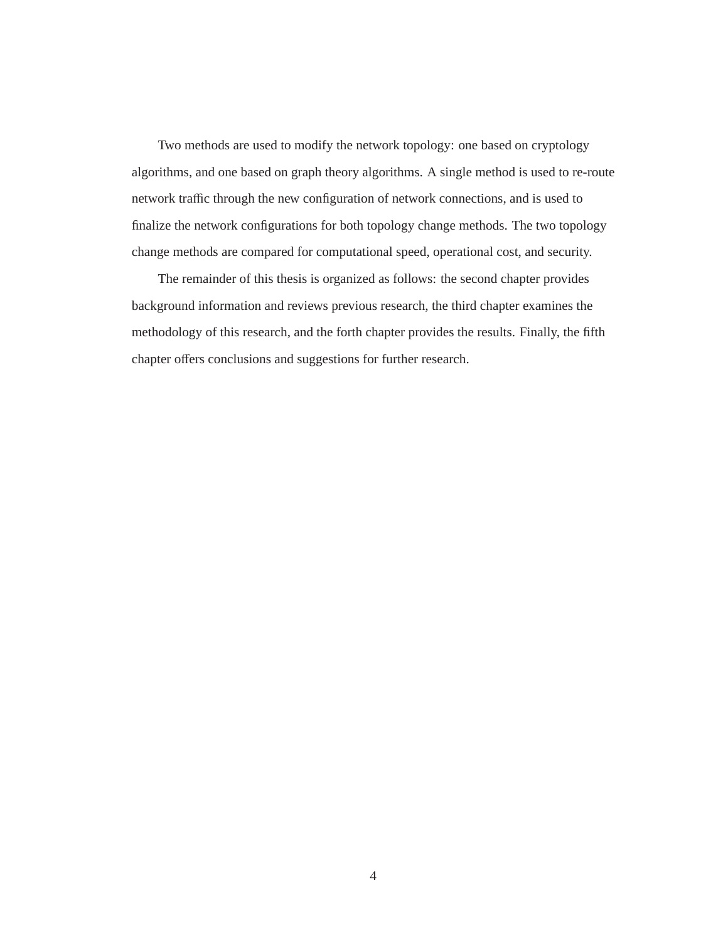Two methods are used to modify the network topology: one based on cryptology algorithms, and one based on graph theory algorithms. A single method is used to re-route network traffic through the new configuration of network connections, and is used to finalize the network configurations for both topology change methods. The two topology change methods are compared for computational speed, operational cost, and security.

The remainder of this thesis is organized as follows: the second chapter provides background information and reviews previous research, the third chapter examines the methodology of this research, and the forth chapter provides the results. Finally, the fifth chapter offers conclusions and suggestions for further research.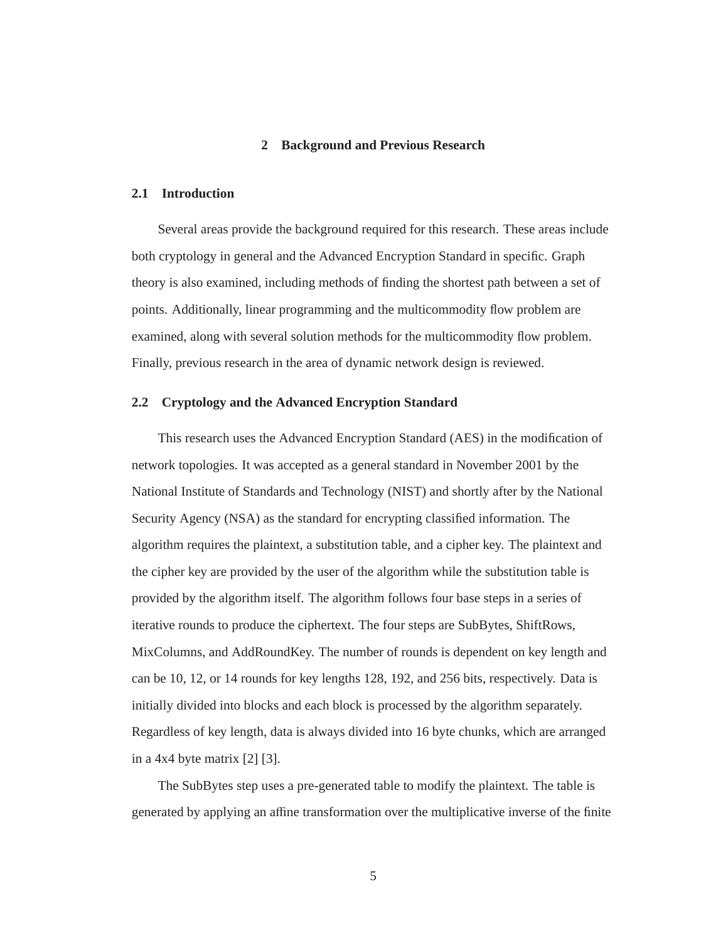## **2 Background and Previous Research**

#### **2.1 Introduction**

Several areas provide the background required for this research. These areas include both cryptology in general and the Advanced Encryption Standard in specific. Graph theory is also examined, including methods of finding the shortest path between a set of points. Additionally, linear programming and the multicommodity flow problem are examined, along with several solution methods for the multicommodity flow problem. Finally, previous research in the area of dynamic network design is reviewed.

#### **2.2 Cryptology and the Advanced Encryption Standard**

This research uses the Advanced Encryption Standard (AES) in the modification of network topologies. It was accepted as a general standard in November 2001 by the National Institute of Standards and Technology (NIST) and shortly after by the National Security Agency (NSA) as the standard for encrypting classified information. The algorithm requires the plaintext, a substitution table, and a cipher key. The plaintext and the cipher key are provided by the user of the algorithm while the substitution table is provided by the algorithm itself. The algorithm follows four base steps in a series of iterative rounds to produce the ciphertext. The four steps are SubBytes, ShiftRows, MixColumns, and AddRoundKey. The number of rounds is dependent on key length and can be 10, 12, or 14 rounds for key lengths 128, 192, and 256 bits, respectively. Data is initially divided into blocks and each block is processed by the algorithm separately. Regardless of key length, data is always divided into 16 byte chunks, which are arranged in a  $4x4$  byte matrix  $[2]$   $[3]$ .

The SubBytes step uses a pre-generated table to modify the plaintext. The table is generated by applying an affine transformation over the multiplicative inverse of the finite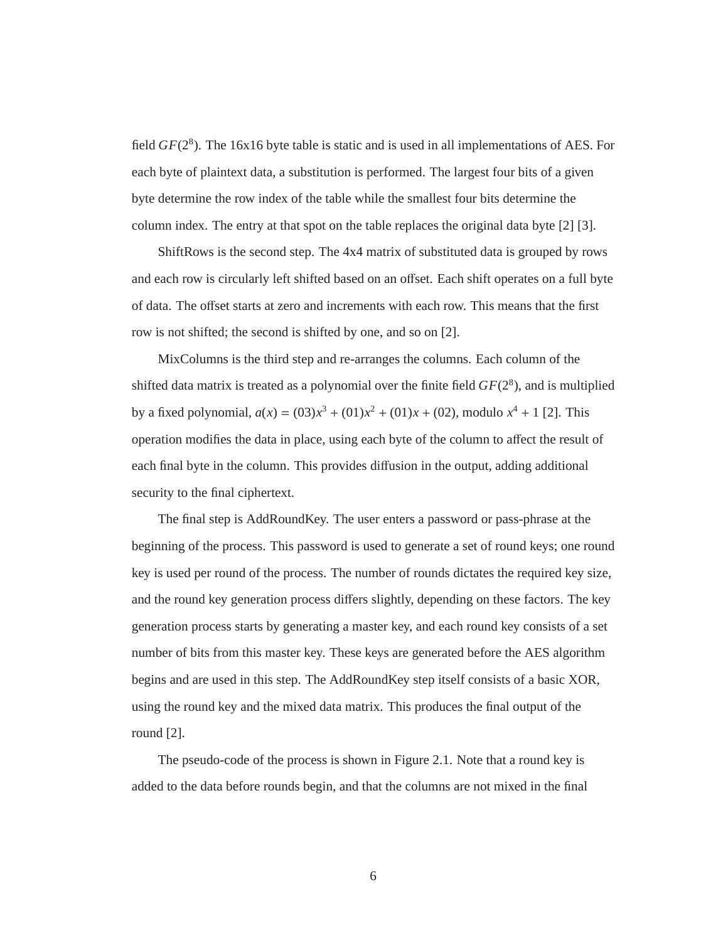field  $GF(2^8)$ . The 16x16 byte table is static and is used in all implementations of AES. For each byte of plaintext data, a substitution is performed. The largest four bits of a given byte determine the row index of the table while the smallest four bits determine the column index. The entry at that spot on the table replaces the original data byte [2] [3].

ShiftRows is the second step. The 4x4 matrix of substituted data is grouped by rows and each row is circularly left shifted based on an offset. Each shift operates on a full byte of data. The offset starts at zero and increments with each row. This means that the first row is not shifted; the second is shifted by one, and so on [2].

MixColumns is the third step and re-arranges the columns. Each column of the shifted data matrix is treated as a polynomial over the finite field  $GF(2<sup>8</sup>)$ , and is multiplied by a fixed polynomial,  $a(x) = (03)x^3 + (01)x^2 + (01)x + (02)$ , modulo  $x^4 + 1$  [2]. This operation modifies the data in place, using each byte of the column to affect the result of each final byte in the column. This provides diffusion in the output, adding additional security to the final ciphertext.

The final step is AddRoundKey. The user enters a password or pass-phrase at the beginning of the process. This password is used to generate a set of round keys; one round key is used per round of the process. The number of rounds dictates the required key size, and the round key generation process differs slightly, depending on these factors. The key generation process starts by generating a master key, and each round key consists of a set number of bits from this master key. These keys are generated before the AES algorithm begins and are used in this step. The AddRoundKey step itself consists of a basic XOR, using the round key and the mixed data matrix. This produces the final output of the round [2].

The pseudo-code of the process is shown in Figure 2.1. Note that a round key is added to the data before rounds begin, and that the columns are not mixed in the final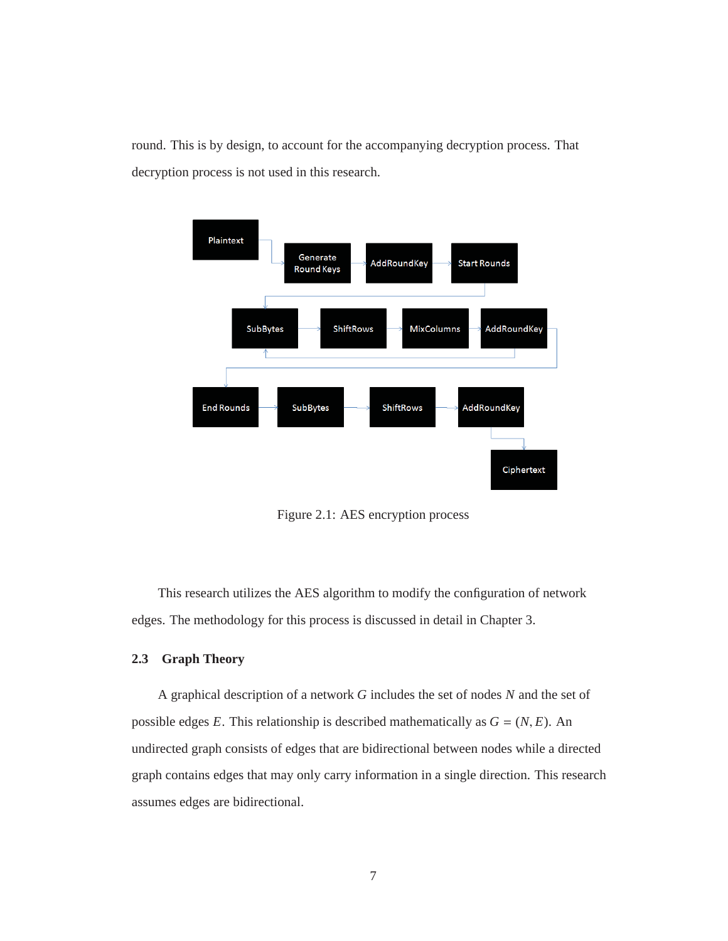round. This is by design, to account for the accompanying decryption process. That decryption process is not used in this research.



Figure 2.1: AES encryption process

This research utilizes the AES algorithm to modify the configuration of network edges. The methodology for this process is discussed in detail in Chapter 3.

## **2.3 Graph Theory**

A graphical description of a network *G* includes the set of nodes *N* and the set of possible edges *E*. This relationship is described mathematically as  $G = (N, E)$ . An undirected graph consists of edges that are bidirectional between nodes while a directed graph contains edges that may only carry information in a single direction. This research assumes edges are bidirectional.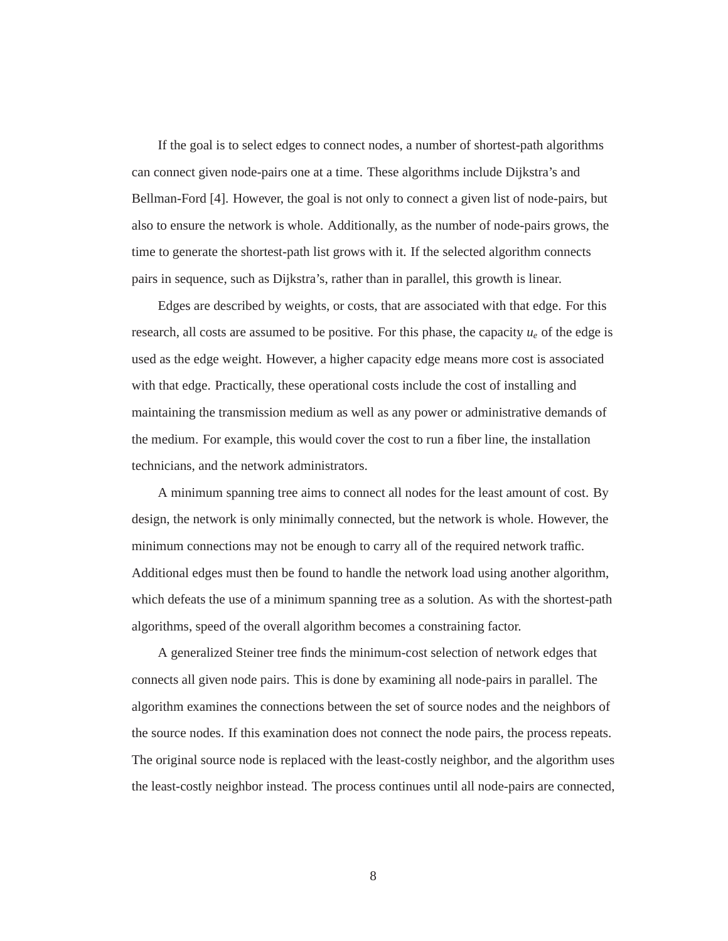If the goal is to select edges to connect nodes, a number of shortest-path algorithms can connect given node-pairs one at a time. These algorithms include Dijkstra's and Bellman-Ford [4]. However, the goal is not only to connect a given list of node-pairs, but also to ensure the network is whole. Additionally, as the number of node-pairs grows, the time to generate the shortest-path list grows with it. If the selected algorithm connects pairs in sequence, such as Dijkstra's, rather than in parallel, this growth is linear.

Edges are described by weights, or costs, that are associated with that edge. For this research, all costs are assumed to be positive. For this phase, the capacity *ue* of the edge is used as the edge weight. However, a higher capacity edge means more cost is associated with that edge. Practically, these operational costs include the cost of installing and maintaining the transmission medium as well as any power or administrative demands of the medium. For example, this would cover the cost to run a fiber line, the installation technicians, and the network administrators.

A minimum spanning tree aims to connect all nodes for the least amount of cost. By design, the network is only minimally connected, but the network is whole. However, the minimum connections may not be enough to carry all of the required network traffic. Additional edges must then be found to handle the network load using another algorithm, which defeats the use of a minimum spanning tree as a solution. As with the shortest-path algorithms, speed of the overall algorithm becomes a constraining factor.

A generalized Steiner tree finds the minimum-cost selection of network edges that connects all given node pairs. This is done by examining all node-pairs in parallel. The algorithm examines the connections between the set of source nodes and the neighbors of the source nodes. If this examination does not connect the node pairs, the process repeats. The original source node is replaced with the least-costly neighbor, and the algorithm uses the least-costly neighbor instead. The process continues until all node-pairs are connected,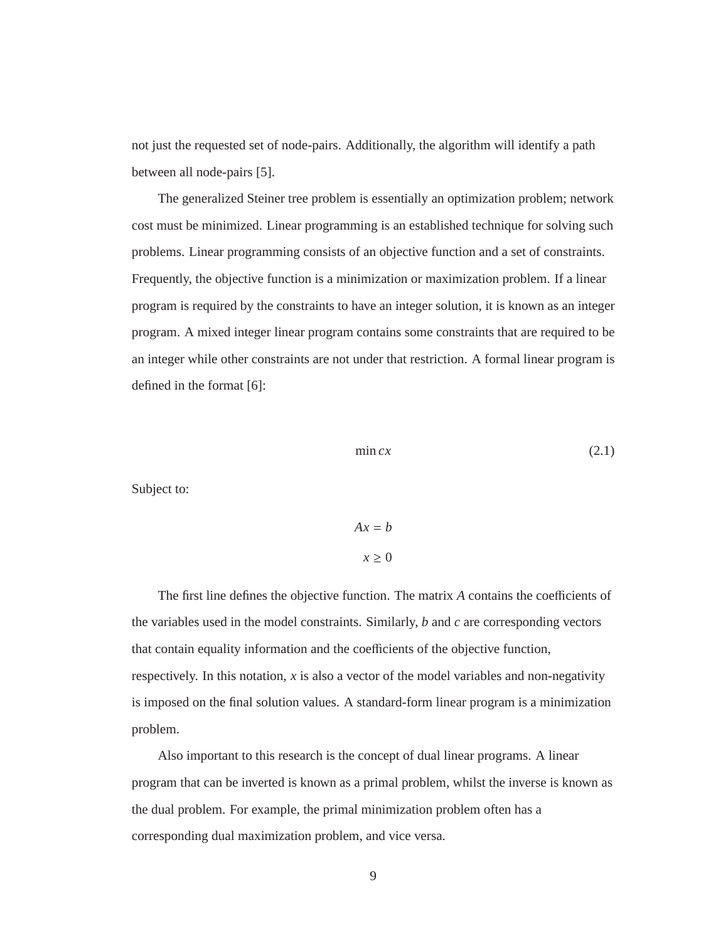not just the requested set of node-pairs. Additionally, the algorithm will identify a path between all node-pairs [5].

The generalized Steiner tree problem is essentially an optimization problem; network cost must be minimized. Linear programming is an established technique for solving such problems. Linear programming consists of an objective function and a set of constraints. Frequently, the objective function is a minimization or maximization problem. If a linear program is required by the constraints to have an integer solution, it is known as an integer program. A mixed integer linear program contains some constraints that are required to be an integer while other constraints are not under that restriction. A formal linear program is defined in the format [6]:

$$
\min cx \tag{2.1}
$$

Subject to:

 $Ax = b$  $x > 0$ 

The first line defines the objective function. The matrix *A* contains the coefficients of the variables used in the model constraints. Similarly, *b* and *c* are corresponding vectors that contain equality information and the coefficients of the objective function, respectively. In this notation,  $x$  is also a vector of the model variables and non-negativity is imposed on the final solution values. A standard-form linear program is a minimization problem.

Also important to this research is the concept of dual linear programs. A linear program that can be inverted is known as a primal problem, whilst the inverse is known as the dual problem. For example, the primal minimization problem often has a corresponding dual maximization problem, and vice versa.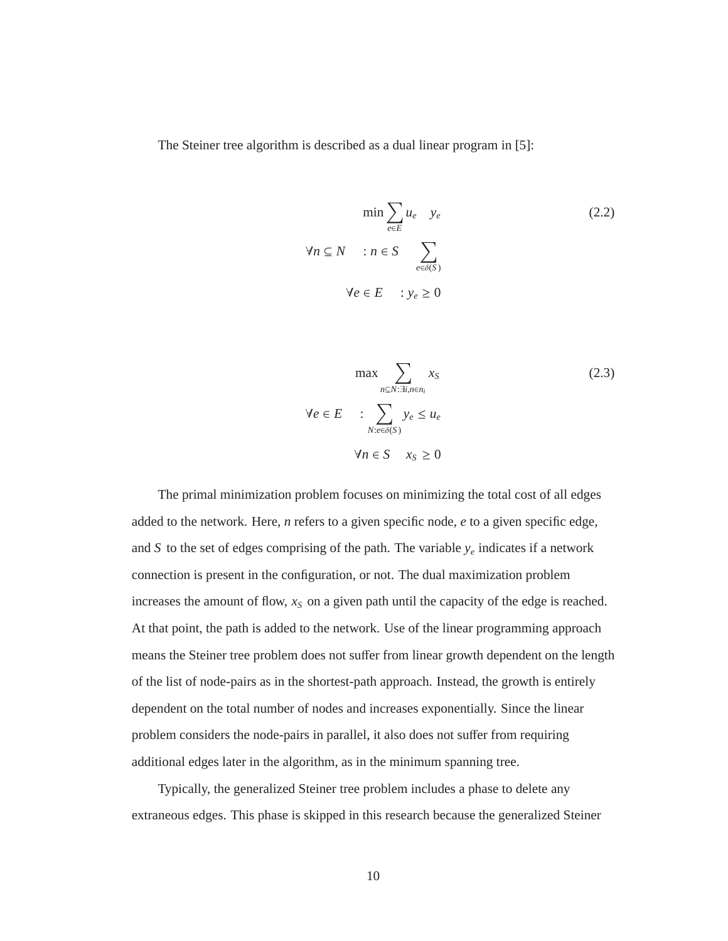The Steiner tree algorithm is described as a dual linear program in [5]:

$$
\min \sum_{e \in E} u_e \quad y_e
$$
\n
$$
\forall n \subseteq N \quad : n \in S \sum_{e \in \delta(S)} \sum_{\forall e \in E} \quad (2.2)
$$
\n
$$
\forall e \in E \quad : y_e \ge 0
$$

$$
\max \sum_{n \subseteq N: \exists i, n \in n_i} x_S
$$
\n
$$
\forall e \in E \qquad : \sum_{N: e \in \delta(S)} y_e \le u_e
$$
\n
$$
\forall n \in S \quad x_S \ge 0
$$
\n(2.3)

The primal minimization problem focuses on minimizing the total cost of all edges added to the network. Here, *n* refers to a given specific node, *e* to a given specific edge, and *S* to the set of edges comprising of the path. The variable  $y_e$  indicates if a network connection is present in the configuration, or not. The dual maximization problem increases the amount of flow,  $x<sub>S</sub>$  on a given path until the capacity of the edge is reached. At that point, the path is added to the network. Use of the linear programming approach means the Steiner tree problem does not suffer from linear growth dependent on the length of the list of node-pairs as in the shortest-path approach. Instead, the growth is entirely dependent on the total number of nodes and increases exponentially. Since the linear problem considers the node-pairs in parallel, it also does not suffer from requiring additional edges later in the algorithm, as in the minimum spanning tree.

Typically, the generalized Steiner tree problem includes a phase to delete any extraneous edges. This phase is skipped in this research because the generalized Steiner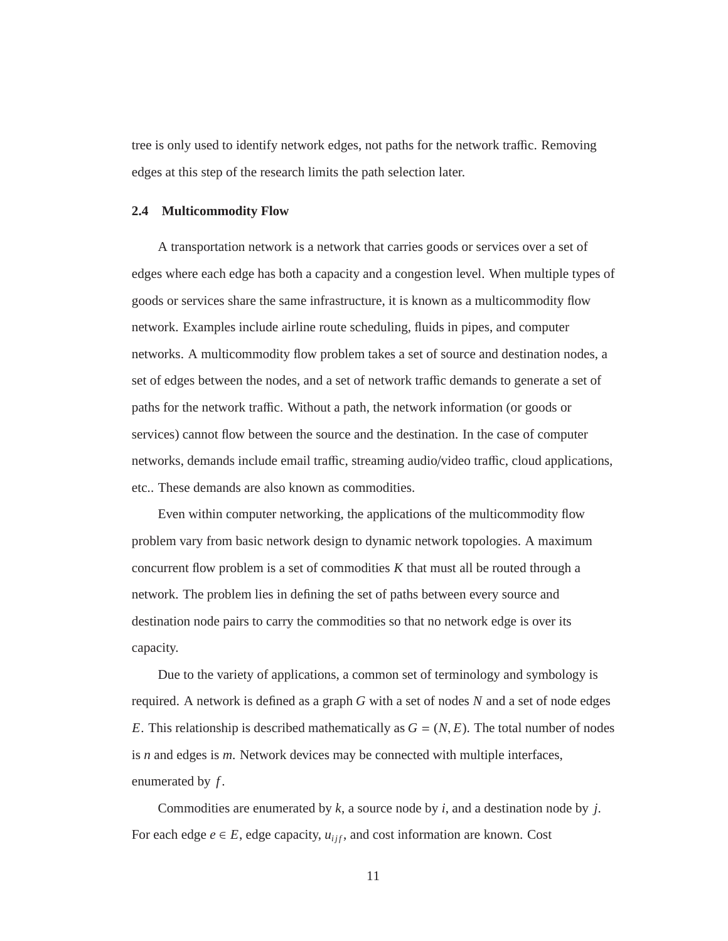tree is only used to identify network edges, not paths for the network traffic. Removing edges at this step of the research limits the path selection later.

#### **2.4 Multicommodity Flow**

A transportation network is a network that carries goods or services over a set of edges where each edge has both a capacity and a congestion level. When multiple types of goods or services share the same infrastructure, it is known as a multicommodity flow network. Examples include airline route scheduling, fluids in pipes, and computer networks. A multicommodity flow problem takes a set of source and destination nodes, a set of edges between the nodes, and a set of network traffic demands to generate a set of paths for the network traffic. Without a path, the network information (or goods or services) cannot flow between the source and the destination. In the case of computer networks, demands include email traffic, streaming audio/video traffic, cloud applications, etc.. These demands are also known as commodities.

Even within computer networking, the applications of the multicommodity flow problem vary from basic network design to dynamic network topologies. A maximum concurrent flow problem is a set of commodities *K* that must all be routed through a network. The problem lies in defining the set of paths between every source and destination node pairs to carry the commodities so that no network edge is over its capacity.

Due to the variety of applications, a common set of terminology and symbology is required. A network is defined as a graph *G* with a set of nodes *N* and a set of node edges *E*. This relationship is described mathematically as  $G = (N, E)$ . The total number of nodes is *n* and edges is *m*. Network devices may be connected with multiple interfaces, enumerated by *f* .

Commodities are enumerated by *k*, a source node by *i*, and a destination node by *j*. For each edge  $e \in E$ , edge capacity,  $u_{ijf}$ , and cost information are known. Cost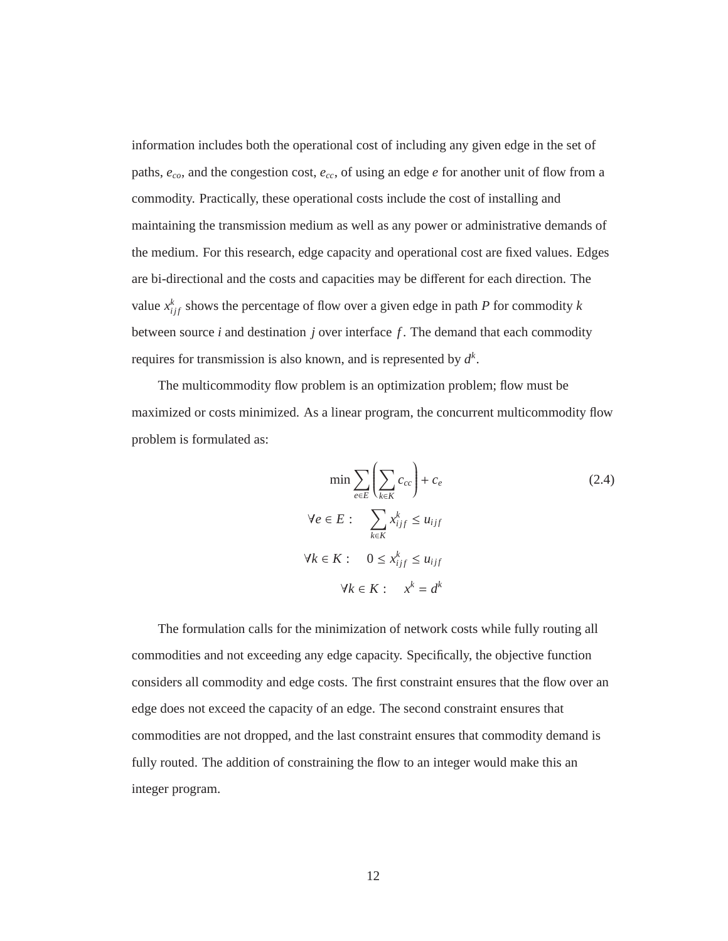information includes both the operational cost of including any given edge in the set of paths, *eco*, and the congestion cost, *ecc*, of using an edge *e* for another unit of flow from a commodity. Practically, these operational costs include the cost of installing and maintaining the transmission medium as well as any power or administrative demands of the medium. For this research, edge capacity and operational cost are fixed values. Edges are bi-directional and the costs and capacities may be different for each direction. The value  $x_{ij}^k$  shows the percentage of flow over a given edge in path *P* for commodity *k* between source *i* and destination *j* over interface *f* . The demand that each commodity requires for transmission is also known, and is represented by  $d^k$ .

The multicommodity flow problem is an optimization problem; flow must be maximized or costs minimized. As a linear program, the concurrent multicommodity flow problem is formulated as:

$$
\min \sum_{e \in E} \left( \sum_{k \in K} c_{cc} \right) + c_e
$$
\n
$$
\forall e \in E: \sum_{k \in K} x_{ijf}^k \le u_{ijf}
$$
\n
$$
\forall k \in K: \quad 0 \le x_{ijf}^k \le u_{ijf}
$$
\n
$$
\forall k \in K: \quad x^k = d^k
$$
\n(2.4)

The formulation calls for the minimization of network costs while fully routing all commodities and not exceeding any edge capacity. Specifically, the objective function considers all commodity and edge costs. The first constraint ensures that the flow over an edge does not exceed the capacity of an edge. The second constraint ensures that commodities are not dropped, and the last constraint ensures that commodity demand is fully routed. The addition of constraining the flow to an integer would make this an integer program.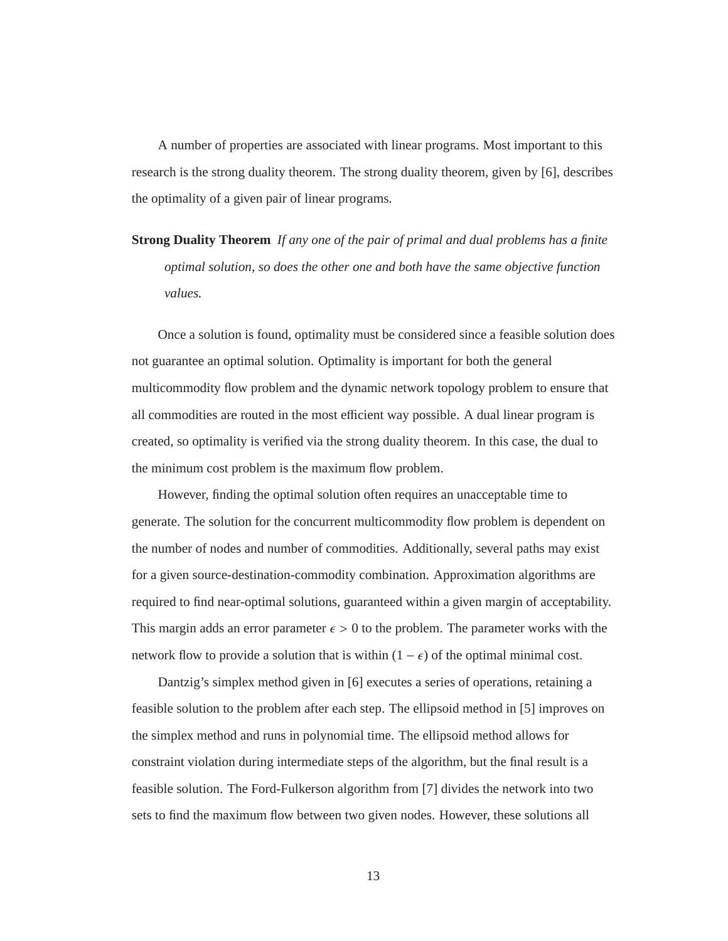A number of properties are associated with linear programs. Most important to this research is the strong duality theorem. The strong duality theorem, given by [6], describes the optimality of a given pair of linear programs.

**Strong Duality Theorem** *If any one of the pair of primal and dual problems has a finite optimal solution, so does the other one and both have the same objective function values.*

Once a solution is found, optimality must be considered since a feasible solution does not guarantee an optimal solution. Optimality is important for both the general multicommodity flow problem and the dynamic network topology problem to ensure that all commodities are routed in the most efficient way possible. A dual linear program is created, so optimality is verified via the strong duality theorem. In this case, the dual to the minimum cost problem is the maximum flow problem.

However, finding the optimal solution often requires an unacceptable time to generate. The solution for the concurrent multicommodity flow problem is dependent on the number of nodes and number of commodities. Additionally, several paths may exist for a given source-destination-commodity combination. Approximation algorithms are required to find near-optimal solutions, guaranteed within a given margin of acceptability. This margin adds an error parameter  $\epsilon > 0$  to the problem. The parameter works with the network flow to provide a solution that is within  $(1 - \epsilon)$  of the optimal minimal cost.

Dantzig's simplex method given in [6] executes a series of operations, retaining a feasible solution to the problem after each step. The ellipsoid method in [5] improves on the simplex method and runs in polynomial time. The ellipsoid method allows for constraint violation during intermediate steps of the algorithm, but the final result is a feasible solution. The Ford-Fulkerson algorithm from [7] divides the network into two sets to find the maximum flow between two given nodes. However, these solutions all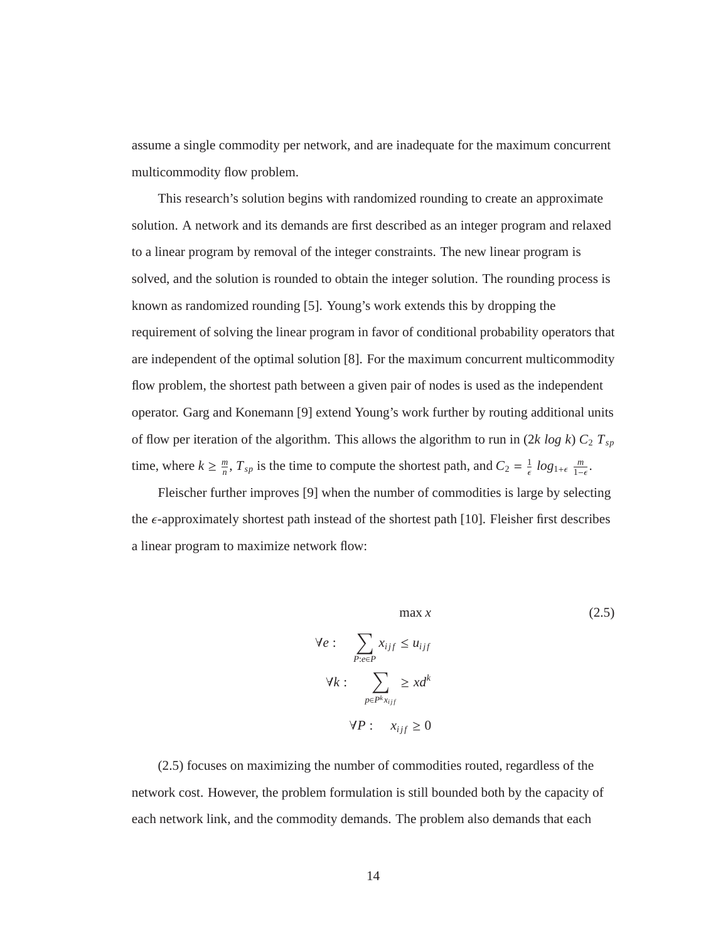assume a single commodity per network, and are inadequate for the maximum concurrent multicommodity flow problem.

This research's solution begins with randomized rounding to create an approximate solution. A network and its demands are first described as an integer program and relaxed to a linear program by removal of the integer constraints. The new linear program is solved, and the solution is rounded to obtain the integer solution. The rounding process is known as randomized rounding [5]. Young's work extends this by dropping the requirement of solving the linear program in favor of conditional probability operators that are independent of the optimal solution [8]. For the maximum concurrent multicommodity flow problem, the shortest path between a given pair of nodes is used as the independent operator. Garg and Konemann [9] extend Young's work further by routing additional units of flow per iteration of the algorithm. This allows the algorithm to run in  $(2k \log k) C_2 T_{sp}$ time, where  $k \geq \frac{m}{n}$ ,  $T_{sp}$  is the time to compute the shortest path, and  $C_2 = \frac{1}{\epsilon} \log_{1+\epsilon} \frac{m}{1-\epsilon}$ .

Fleischer further improves [9] when the number of commodities is large by selecting the  $\epsilon$ -approximately shortest path instead of the shortest path [10]. Fleisher first describes a linear program to maximize network flow:

$$
\max x
$$
\n
$$
\forall e : \sum_{P: e \in P} x_{ijf} \le u_{ijf}
$$
\n
$$
\forall k : \sum_{P \in P^k x_{ijf}} \ge x d^k
$$
\n
$$
\forall P : x_{ijf} \ge 0
$$
\n(2.5)

(2.5) focuses on maximizing the number of commodities routed, regardless of the network cost. However, the problem formulation is still bounded both by the capacity of each network link, and the commodity demands. The problem also demands that each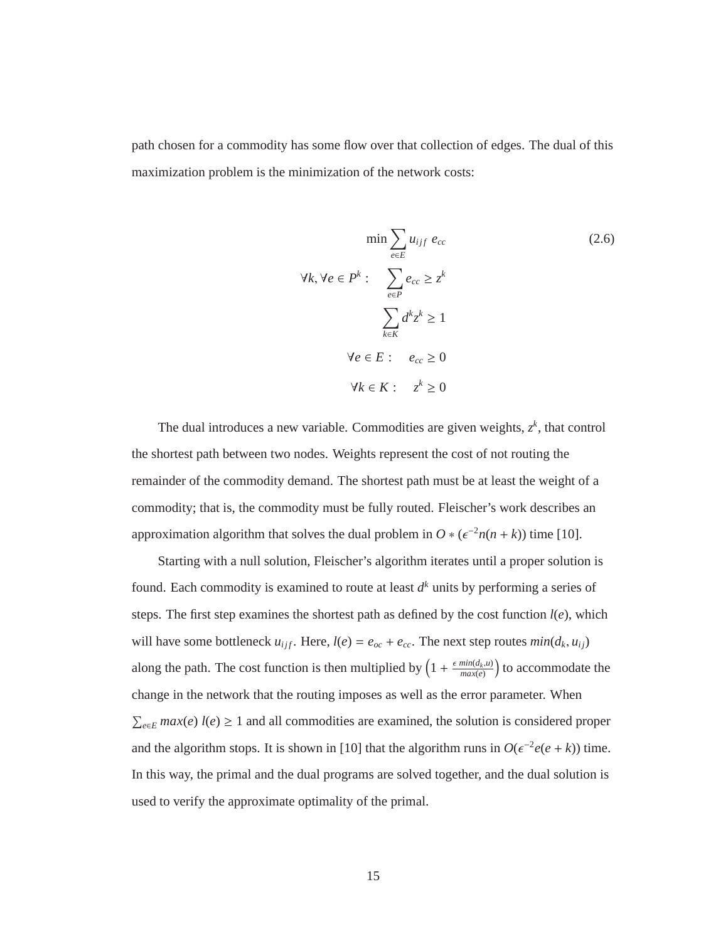path chosen for a commodity has some flow over that collection of edges. The dual of this maximization problem is the minimization of the network costs:

$$
\min \sum_{e \in E} u_{ijf} e_{cc}
$$
\n
$$
\forall k, \forall e \in P^k : \sum_{e \in P} e_{cc} \ge z^k
$$
\n
$$
\sum_{k \in K} d^k z^k \ge 1
$$
\n
$$
\forall e \in E : e_{cc} \ge 0
$$
\n
$$
\forall k \in K : z^k \ge 0
$$
\n(2.6)

The dual introduces a new variable. Commodities are given weights,  $z<sup>k</sup>$ , that control the shortest path between two nodes. Weights represent the cost of not routing the remainder of the commodity demand. The shortest path must be at least the weight of a commodity; that is, the commodity must be fully routed. Fleischer's work describes an approximation algorithm that solves the dual problem in  $O * (e^{-2n(n + k)})$  time [10].

Starting with a null solution, Fleischer's algorithm iterates until a proper solution is found. Each commodity is examined to route at least  $d<sup>k</sup>$  units by performing a series of steps. The first step examines the shortest path as defined by the cost function  $l(e)$ , which will have some bottleneck  $u_{ijf}$ . Here,  $l(e) = e_{oc} + e_{cc}$ . The next step routes  $min(d_k, u_{ij})$ along the path. The cost function is then multiplied by  $\left(1 + \frac{\epsilon \min(d_k, u)}{\max(e)}\right)$  to accommodate the change in the network that the routing imposes as well as the error parameter. When  $\sum_{e \in E} max(e) l(e) \ge 1$  and all commodities are examined, the solution is considered proper and the algorithm stops. It is shown in [10] that the algorithm runs in  $O(\epsilon^{-2}e(e+k))$  time. In this way, the primal and the dual programs are solved together, and the dual solution is used to verify the approximate optimality of the primal.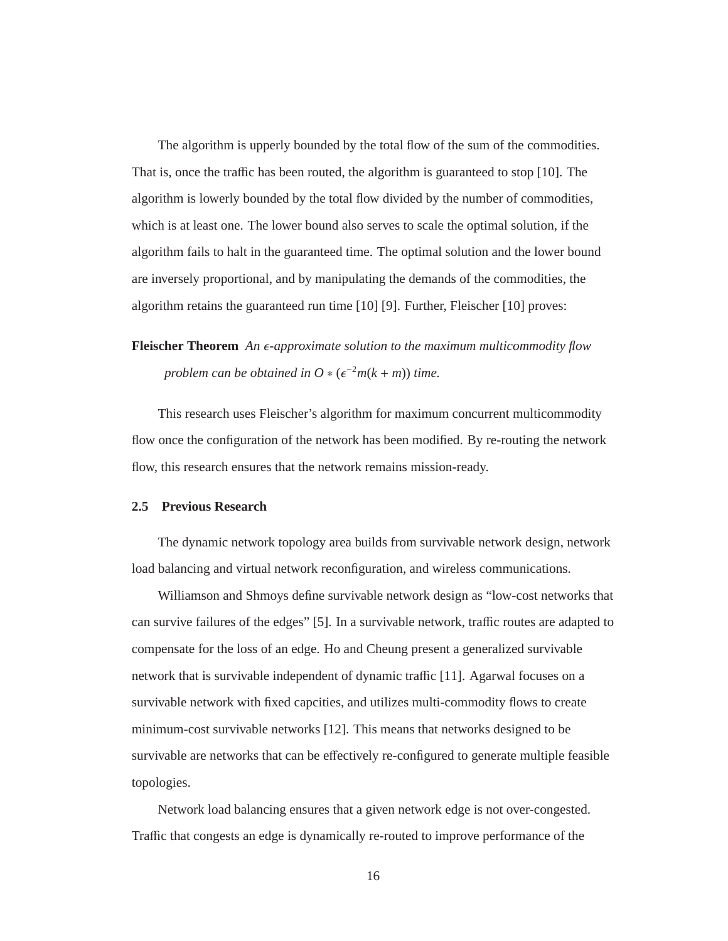The algorithm is upperly bounded by the total flow of the sum of the commodities. That is, once the traffic has been routed, the algorithm is guaranteed to stop [10]. The algorithm is lowerly bounded by the total flow divided by the number of commodities, which is at least one. The lower bound also serves to scale the optimal solution, if the algorithm fails to halt in the guaranteed time. The optimal solution and the lower bound are inversely proportional, and by manipulating the demands of the commodities, the algorithm retains the guaranteed run time [10] [9]. Further, Fleischer [10] proves:

**Fleischer Theorem** *An*  $\epsilon$ -approximate solution to the maximum multicommodity flow *problem can be obtained in O*  $\ast$  ( $\epsilon^{-2}m(k+m)$ ) *time.* 

This research uses Fleischer's algorithm for maximum concurrent multicommodity flow once the configuration of the network has been modified. By re-routing the network flow, this research ensures that the network remains mission-ready.

## **2.5 Previous Research**

The dynamic network topology area builds from survivable network design, network load balancing and virtual network reconfiguration, and wireless communications.

Williamson and Shmoys define survivable network design as "low-cost networks that can survive failures of the edges" [5]. In a survivable network, traffic routes are adapted to compensate for the loss of an edge. Ho and Cheung present a generalized survivable network that is survivable independent of dynamic traffic [11]. Agarwal focuses on a survivable network with fixed capcities, and utilizes multi-commodity flows to create minimum-cost survivable networks [12]. This means that networks designed to be survivable are networks that can be effectively re-configured to generate multiple feasible topologies.

Network load balancing ensures that a given network edge is not over-congested. Traffic that congests an edge is dynamically re-routed to improve performance of the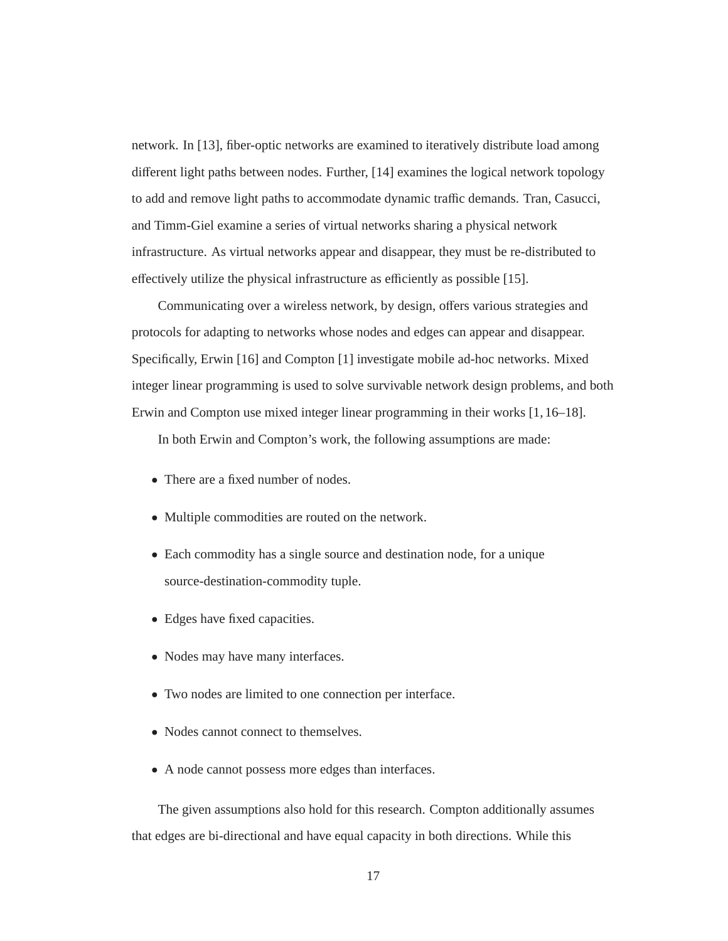network. In [13], fiber-optic networks are examined to iteratively distribute load among different light paths between nodes. Further, [14] examines the logical network topology to add and remove light paths to accommodate dynamic traffic demands. Tran, Casucci, and Timm-Giel examine a series of virtual networks sharing a physical network infrastructure. As virtual networks appear and disappear, they must be re-distributed to effectively utilize the physical infrastructure as efficiently as possible [15].

Communicating over a wireless network, by design, offers various strategies and protocols for adapting to networks whose nodes and edges can appear and disappear. Specifically, Erwin [16] and Compton [1] investigate mobile ad-hoc networks. Mixed integer linear programming is used to solve survivable network design problems, and both Erwin and Compton use mixed integer linear programming in their works [1, 16–18].

In both Erwin and Compton's work, the following assumptions are made:

- There are a fixed number of nodes.
- Multiple commodities are routed on the network.
- Each commodity has a single source and destination node, for a unique source-destination-commodity tuple.
- Edges have fixed capacities.
- Nodes may have many interfaces.
- Two nodes are limited to one connection per interface.
- Nodes cannot connect to themselves.
- A node cannot possess more edges than interfaces.

The given assumptions also hold for this research. Compton additionally assumes that edges are bi-directional and have equal capacity in both directions. While this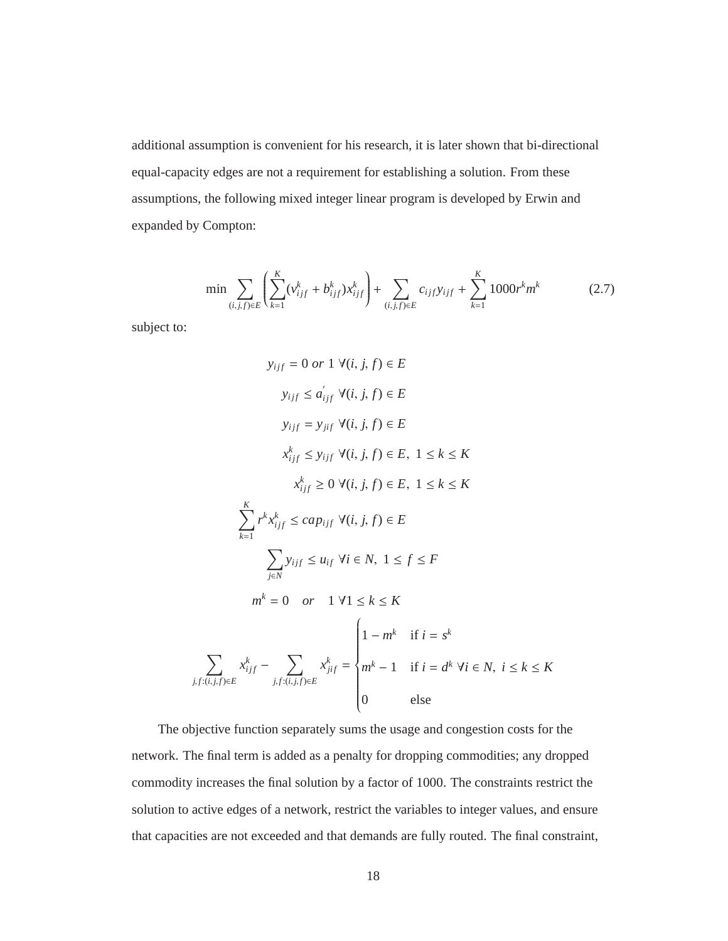additional assumption is convenient for his research, it is later shown that bi-directional equal-capacity edges are not a requirement for establishing a solution. From these assumptions, the following mixed integer linear program is developed by Erwin and expanded by Compton:

$$
\min \sum_{(i,j,f)\in E} \left( \sum_{k=1}^{K} (\nu_{ijf}^k + b_{ijf}^k) x_{ijf}^k \right) + \sum_{(i,j,f)\in E} c_{ijf} y_{ijf} + \sum_{k=1}^{K} 1000 r^k m^k \tag{2.7}
$$

subject to:

$$
y_{ijf} = 0 \text{ or } 1 \forall (i, j, f) \in E
$$
  
\n
$$
y_{ijf} \le a'_{ijf} \forall (i, j, f) \in E
$$
  
\n
$$
y_{ijf} = y_{jif} \forall (i, j, f) \in E
$$
  
\n
$$
x^k_{ijf} \le y_{ijf} \forall (i, j, f) \in E, 1 \le k \le K
$$
  
\n
$$
x^k_{ijf} \ge 0 \forall (i, j, f) \in E, 1 \le k \le K
$$
  
\n
$$
\sum_{k=1}^K r^k x^k_{ijf} \le cap_{ijf} \forall (i, j, f) \in E
$$
  
\n
$$
\sum_{j \in N} y_{ijf} \le u_{if} \forall i \in N, 1 \le f \le F
$$
  
\n
$$
m^k = 0 \text{ or } 1 \forall 1 \le k \le K
$$
  
\n
$$
\sum_{j \in N} x^k_{ijf} - \sum_{j, f: (i, j, f) \in E} x^k_{jif} = \begin{cases} 1 - m^k & \text{if } i = s^k \\ m^k - 1 & \text{if } i = d^k \forall i \in N, i \le k \le K \\ 0 & \text{else} \end{cases}
$$

The objective function separately sums the usage and congestion costs for the network. The final term is added as a penalty for dropping commodities; any dropped commodity increases the final solution by a factor of 1000. The constraints restrict the solution to active edges of a network, restrict the variables to integer values, and ensure that capacities are not exceeded and that demands are fully routed. The final constraint,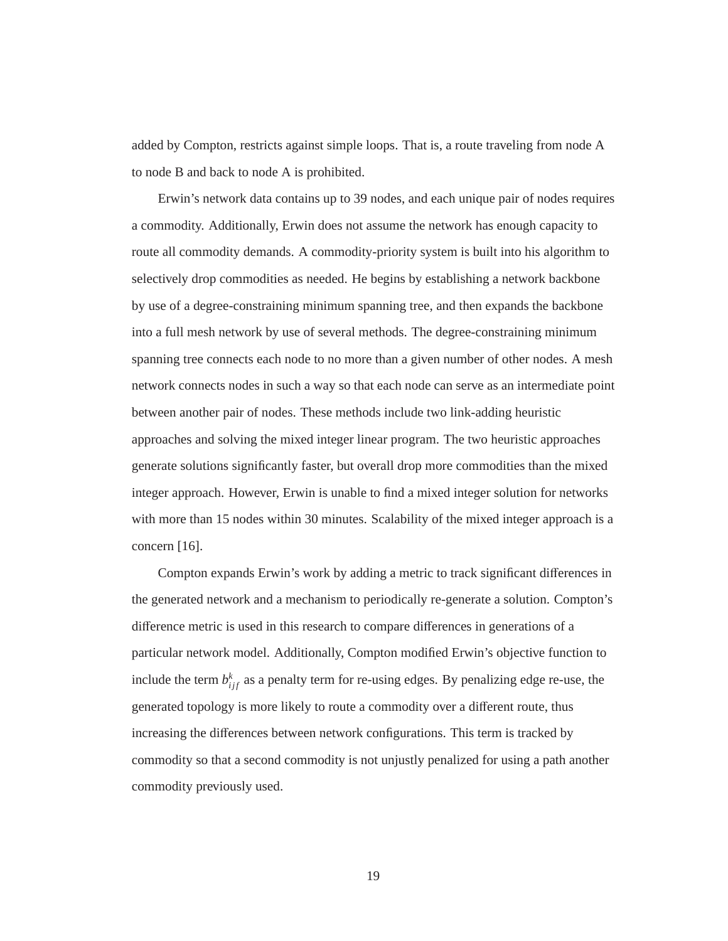added by Compton, restricts against simple loops. That is, a route traveling from node A to node B and back to node A is prohibited.

Erwin's network data contains up to 39 nodes, and each unique pair of nodes requires a commodity. Additionally, Erwin does not assume the network has enough capacity to route all commodity demands. A commodity-priority system is built into his algorithm to selectively drop commodities as needed. He begins by establishing a network backbone by use of a degree-constraining minimum spanning tree, and then expands the backbone into a full mesh network by use of several methods. The degree-constraining minimum spanning tree connects each node to no more than a given number of other nodes. A mesh network connects nodes in such a way so that each node can serve as an intermediate point between another pair of nodes. These methods include two link-adding heuristic approaches and solving the mixed integer linear program. The two heuristic approaches generate solutions significantly faster, but overall drop more commodities than the mixed integer approach. However, Erwin is unable to find a mixed integer solution for networks with more than 15 nodes within 30 minutes. Scalability of the mixed integer approach is a concern [16].

Compton expands Erwin's work by adding a metric to track significant differences in the generated network and a mechanism to periodically re-generate a solution. Compton's difference metric is used in this research to compare differences in generations of a particular network model. Additionally, Compton modified Erwin's objective function to include the term  $b_{ijf}^k$  as a penalty term for re-using edges. By penalizing edge re-use, the generated topology is more likely to route a commodity over a different route, thus increasing the differences between network configurations. This term is tracked by commodity so that a second commodity is not unjustly penalized for using a path another commodity previously used.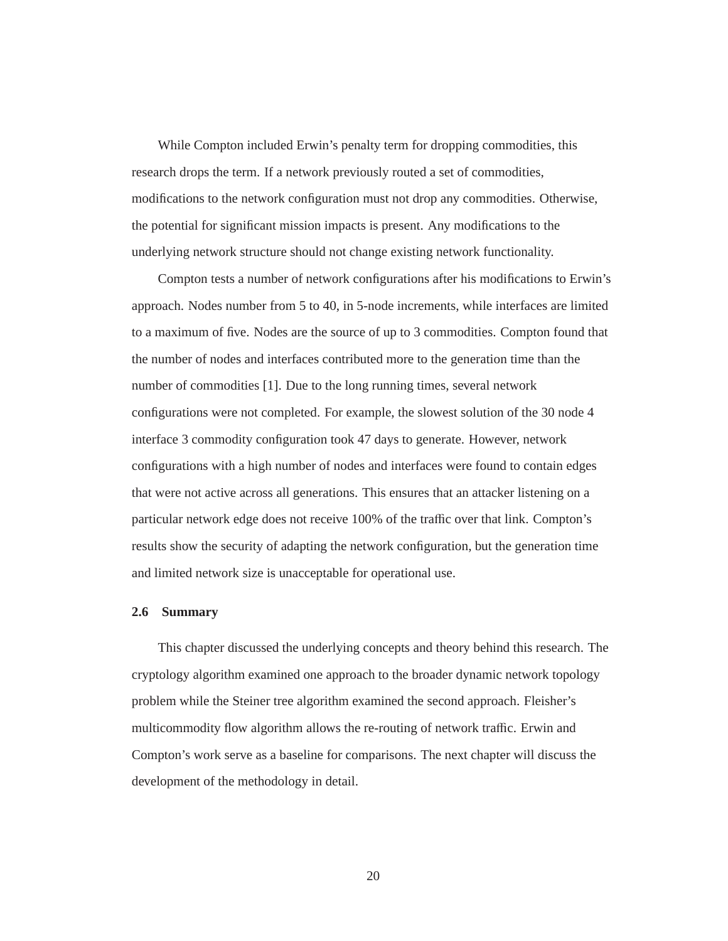While Compton included Erwin's penalty term for dropping commodities, this research drops the term. If a network previously routed a set of commodities, modifications to the network configuration must not drop any commodities. Otherwise, the potential for significant mission impacts is present. Any modifications to the underlying network structure should not change existing network functionality.

Compton tests a number of network configurations after his modifications to Erwin's approach. Nodes number from 5 to 40, in 5-node increments, while interfaces are limited to a maximum of five. Nodes are the source of up to 3 commodities. Compton found that the number of nodes and interfaces contributed more to the generation time than the number of commodities [1]. Due to the long running times, several network configurations were not completed. For example, the slowest solution of the 30 node 4 interface 3 commodity configuration took 47 days to generate. However, network configurations with a high number of nodes and interfaces were found to contain edges that were not active across all generations. This ensures that an attacker listening on a particular network edge does not receive 100% of the traffic over that link. Compton's results show the security of adapting the network configuration, but the generation time and limited network size is unacceptable for operational use.

#### **2.6 Summary**

This chapter discussed the underlying concepts and theory behind this research. The cryptology algorithm examined one approach to the broader dynamic network topology problem while the Steiner tree algorithm examined the second approach. Fleisher's multicommodity flow algorithm allows the re-routing of network traffic. Erwin and Compton's work serve as a baseline for comparisons. The next chapter will discuss the development of the methodology in detail.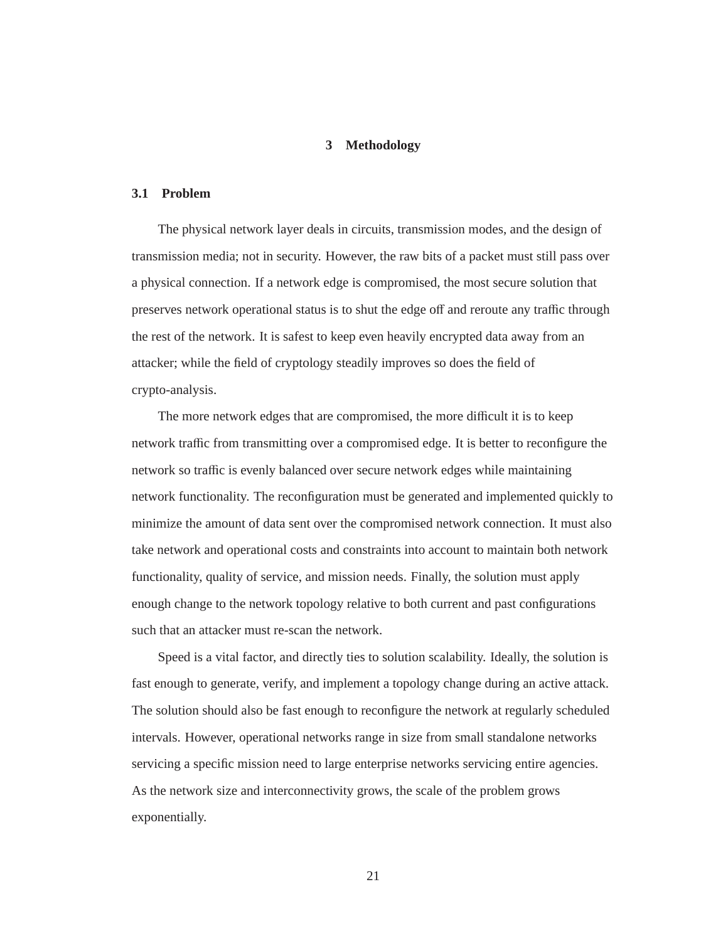## **3 Methodology**

## **3.1 Problem**

The physical network layer deals in circuits, transmission modes, and the design of transmission media; not in security. However, the raw bits of a packet must still pass over a physical connection. If a network edge is compromised, the most secure solution that preserves network operational status is to shut the edge off and reroute any traffic through the rest of the network. It is safest to keep even heavily encrypted data away from an attacker; while the field of cryptology steadily improves so does the field of crypto-analysis.

The more network edges that are compromised, the more difficult it is to keep network traffic from transmitting over a compromised edge. It is better to reconfigure the network so traffic is evenly balanced over secure network edges while maintaining network functionality. The reconfiguration must be generated and implemented quickly to minimize the amount of data sent over the compromised network connection. It must also take network and operational costs and constraints into account to maintain both network functionality, quality of service, and mission needs. Finally, the solution must apply enough change to the network topology relative to both current and past configurations such that an attacker must re-scan the network.

Speed is a vital factor, and directly ties to solution scalability. Ideally, the solution is fast enough to generate, verify, and implement a topology change during an active attack. The solution should also be fast enough to reconfigure the network at regularly scheduled intervals. However, operational networks range in size from small standalone networks servicing a specific mission need to large enterprise networks servicing entire agencies. As the network size and interconnectivity grows, the scale of the problem grows exponentially.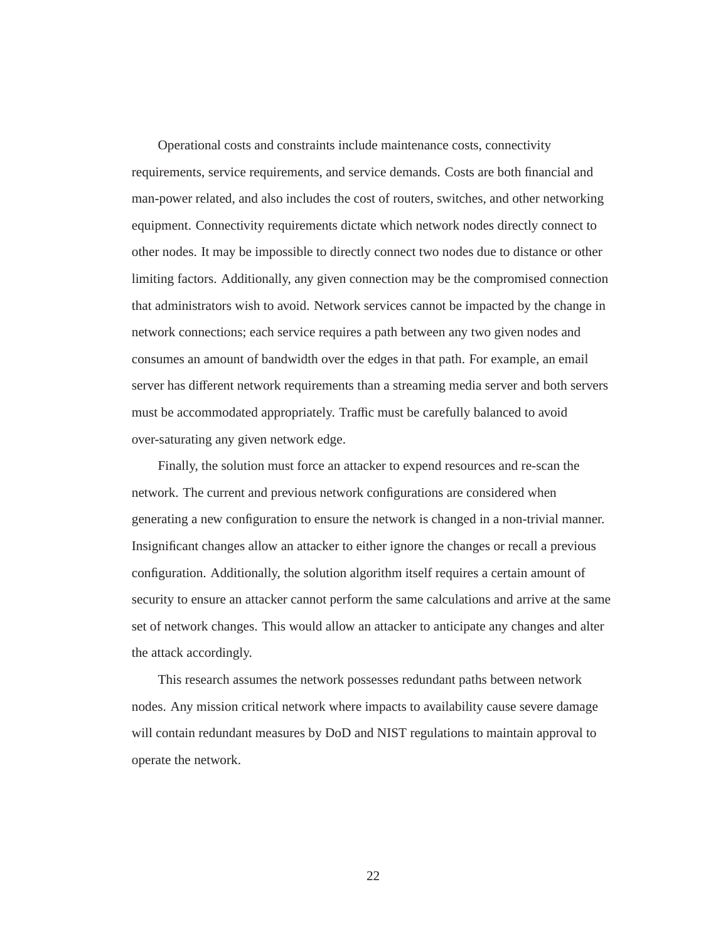Operational costs and constraints include maintenance costs, connectivity requirements, service requirements, and service demands. Costs are both financial and man-power related, and also includes the cost of routers, switches, and other networking equipment. Connectivity requirements dictate which network nodes directly connect to other nodes. It may be impossible to directly connect two nodes due to distance or other limiting factors. Additionally, any given connection may be the compromised connection that administrators wish to avoid. Network services cannot be impacted by the change in network connections; each service requires a path between any two given nodes and consumes an amount of bandwidth over the edges in that path. For example, an email server has different network requirements than a streaming media server and both servers must be accommodated appropriately. Traffic must be carefully balanced to avoid over-saturating any given network edge.

Finally, the solution must force an attacker to expend resources and re-scan the network. The current and previous network configurations are considered when generating a new configuration to ensure the network is changed in a non-trivial manner. Insignificant changes allow an attacker to either ignore the changes or recall a previous configuration. Additionally, the solution algorithm itself requires a certain amount of security to ensure an attacker cannot perform the same calculations and arrive at the same set of network changes. This would allow an attacker to anticipate any changes and alter the attack accordingly.

This research assumes the network possesses redundant paths between network nodes. Any mission critical network where impacts to availability cause severe damage will contain redundant measures by DoD and NIST regulations to maintain approval to operate the network.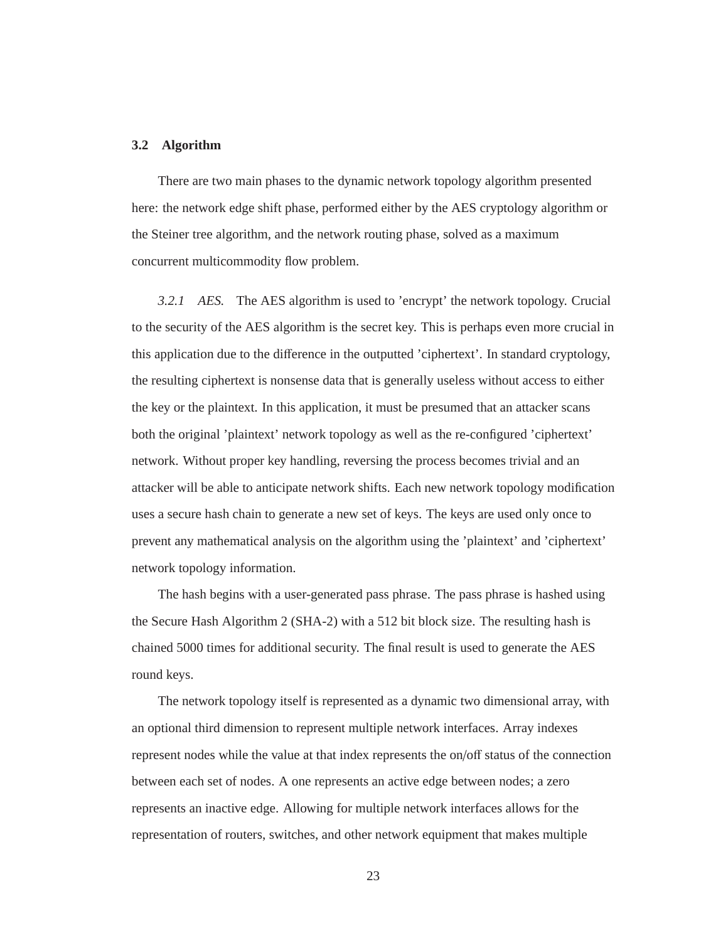## **3.2 Algorithm**

There are two main phases to the dynamic network topology algorithm presented here: the network edge shift phase, performed either by the AES cryptology algorithm or the Steiner tree algorithm, and the network routing phase, solved as a maximum concurrent multicommodity flow problem.

*3.2.1 AES.* The AES algorithm is used to 'encrypt' the network topology. Crucial to the security of the AES algorithm is the secret key. This is perhaps even more crucial in this application due to the difference in the outputted 'ciphertext'. In standard cryptology, the resulting ciphertext is nonsense data that is generally useless without access to either the key or the plaintext. In this application, it must be presumed that an attacker scans both the original 'plaintext' network topology as well as the re-configured 'ciphertext' network. Without proper key handling, reversing the process becomes trivial and an attacker will be able to anticipate network shifts. Each new network topology modification uses a secure hash chain to generate a new set of keys. The keys are used only once to prevent any mathematical analysis on the algorithm using the 'plaintext' and 'ciphertext' network topology information.

The hash begins with a user-generated pass phrase. The pass phrase is hashed using the Secure Hash Algorithm 2 (SHA-2) with a 512 bit block size. The resulting hash is chained 5000 times for additional security. The final result is used to generate the AES round keys.

The network topology itself is represented as a dynamic two dimensional array, with an optional third dimension to represent multiple network interfaces. Array indexes represent nodes while the value at that index represents the on/off status of the connection between each set of nodes. A one represents an active edge between nodes; a zero represents an inactive edge. Allowing for multiple network interfaces allows for the representation of routers, switches, and other network equipment that makes multiple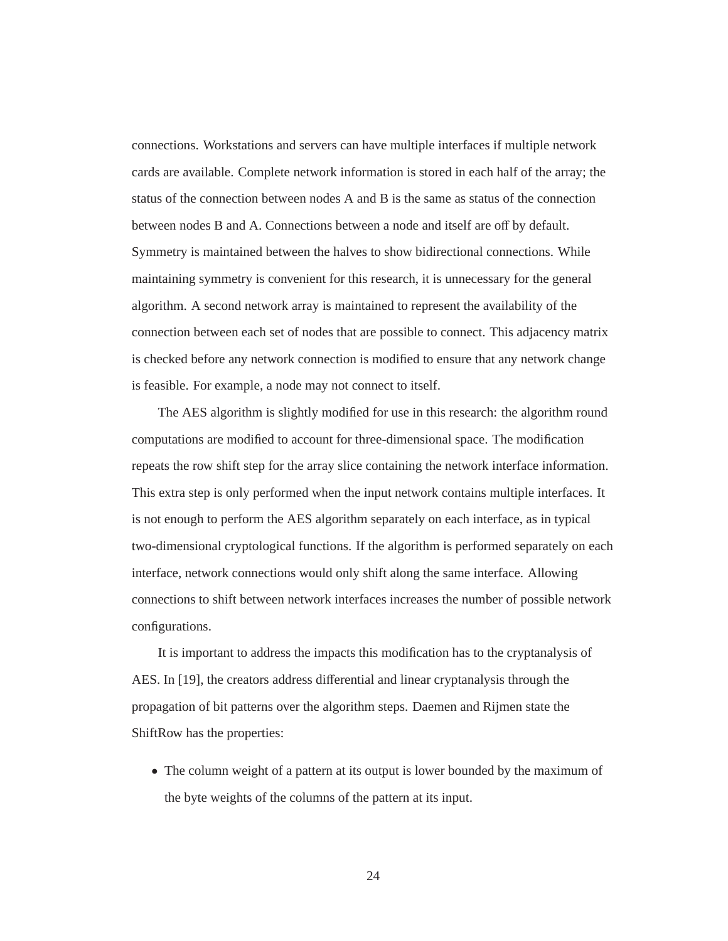connections. Workstations and servers can have multiple interfaces if multiple network cards are available. Complete network information is stored in each half of the array; the status of the connection between nodes A and B is the same as status of the connection between nodes B and A. Connections between a node and itself are off by default. Symmetry is maintained between the halves to show bidirectional connections. While maintaining symmetry is convenient for this research, it is unnecessary for the general algorithm. A second network array is maintained to represent the availability of the connection between each set of nodes that are possible to connect. This adjacency matrix is checked before any network connection is modified to ensure that any network change is feasible. For example, a node may not connect to itself.

The AES algorithm is slightly modified for use in this research: the algorithm round computations are modified to account for three-dimensional space. The modification repeats the row shift step for the array slice containing the network interface information. This extra step is only performed when the input network contains multiple interfaces. It is not enough to perform the AES algorithm separately on each interface, as in typical two-dimensional cryptological functions. If the algorithm is performed separately on each interface, network connections would only shift along the same interface. Allowing connections to shift between network interfaces increases the number of possible network configurations.

It is important to address the impacts this modification has to the cryptanalysis of AES. In [19], the creators address differential and linear cryptanalysis through the propagation of bit patterns over the algorithm steps. Daemen and Rijmen state the ShiftRow has the properties:

• The column weight of a pattern at its output is lower bounded by the maximum of the byte weights of the columns of the pattern at its input.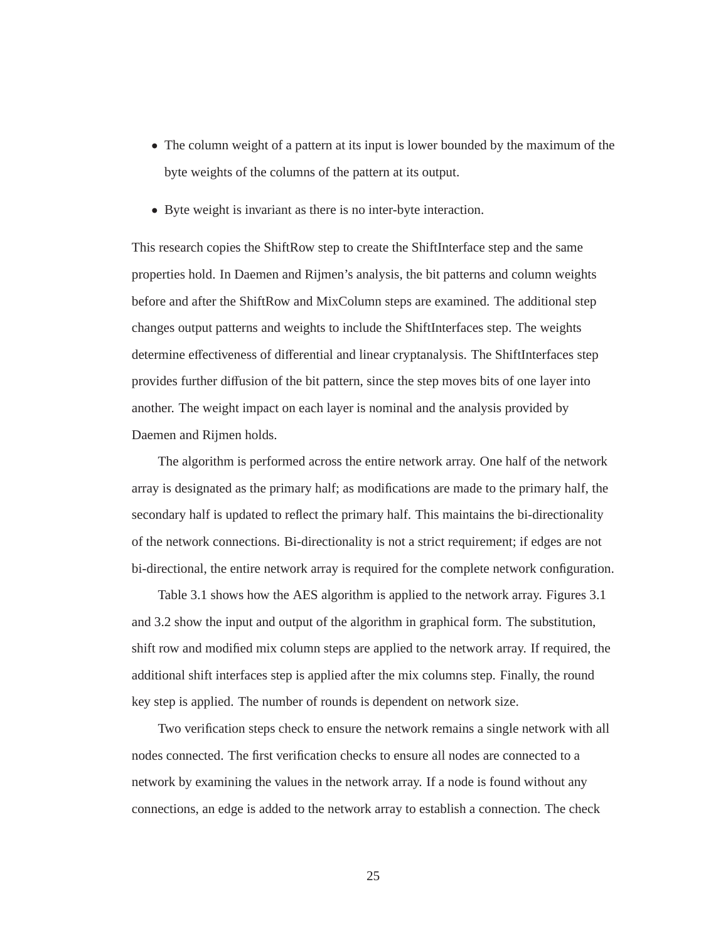- The column weight of a pattern at its input is lower bounded by the maximum of the byte weights of the columns of the pattern at its output.
- Byte weight is invariant as there is no inter-byte interaction.

This research copies the ShiftRow step to create the ShiftInterface step and the same properties hold. In Daemen and Rijmen's analysis, the bit patterns and column weights before and after the ShiftRow and MixColumn steps are examined. The additional step changes output patterns and weights to include the ShiftInterfaces step. The weights determine effectiveness of differential and linear cryptanalysis. The ShiftInterfaces step provides further diffusion of the bit pattern, since the step moves bits of one layer into another. The weight impact on each layer is nominal and the analysis provided by Daemen and Rijmen holds.

The algorithm is performed across the entire network array. One half of the network array is designated as the primary half; as modifications are made to the primary half, the secondary half is updated to reflect the primary half. This maintains the bi-directionality of the network connections. Bi-directionality is not a strict requirement; if edges are not bi-directional, the entire network array is required for the complete network configuration.

Table 3.1 shows how the AES algorithm is applied to the network array. Figures 3.1 and 3.2 show the input and output of the algorithm in graphical form. The substitution, shift row and modified mix column steps are applied to the network array. If required, the additional shift interfaces step is applied after the mix columns step. Finally, the round key step is applied. The number of rounds is dependent on network size.

Two verification steps check to ensure the network remains a single network with all nodes connected. The first verification checks to ensure all nodes are connected to a network by examining the values in the network array. If a node is found without any connections, an edge is added to the network array to establish a connection. The check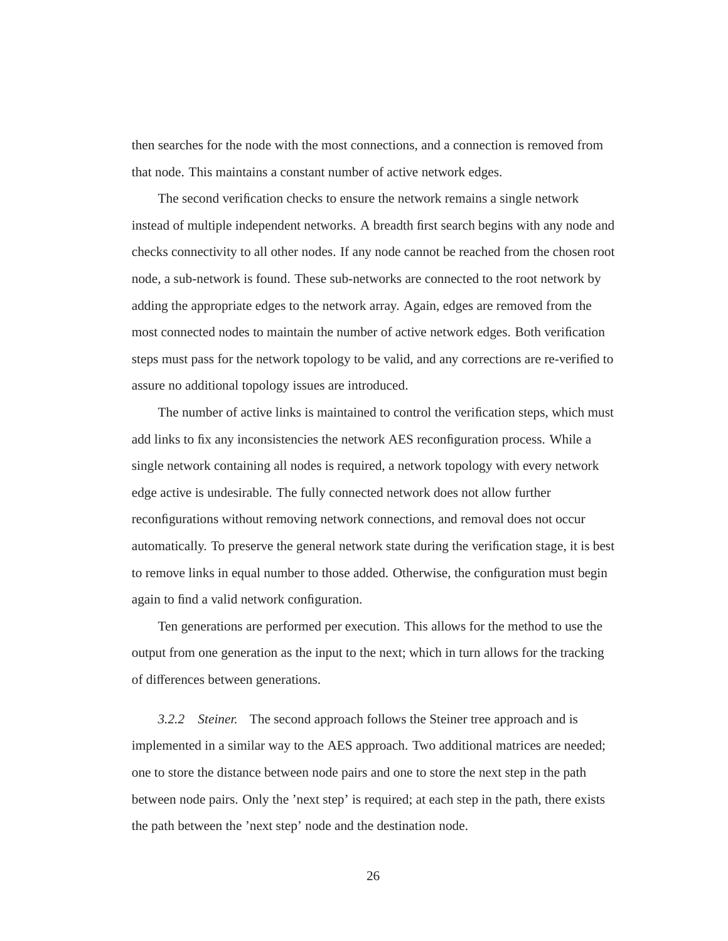then searches for the node with the most connections, and a connection is removed from that node. This maintains a constant number of active network edges.

The second verification checks to ensure the network remains a single network instead of multiple independent networks. A breadth first search begins with any node and checks connectivity to all other nodes. If any node cannot be reached from the chosen root node, a sub-network is found. These sub-networks are connected to the root network by adding the appropriate edges to the network array. Again, edges are removed from the most connected nodes to maintain the number of active network edges. Both verification steps must pass for the network topology to be valid, and any corrections are re-verified to assure no additional topology issues are introduced.

The number of active links is maintained to control the verification steps, which must add links to fix any inconsistencies the network AES reconfiguration process. While a single network containing all nodes is required, a network topology with every network edge active is undesirable. The fully connected network does not allow further reconfigurations without removing network connections, and removal does not occur automatically. To preserve the general network state during the verification stage, it is best to remove links in equal number to those added. Otherwise, the configuration must begin again to find a valid network configuration.

Ten generations are performed per execution. This allows for the method to use the output from one generation as the input to the next; which in turn allows for the tracking of differences between generations.

*3.2.2 Steiner.* The second approach follows the Steiner tree approach and is implemented in a similar way to the AES approach. Two additional matrices are needed; one to store the distance between node pairs and one to store the next step in the path between node pairs. Only the 'next step' is required; at each step in the path, there exists the path between the 'next step' node and the destination node.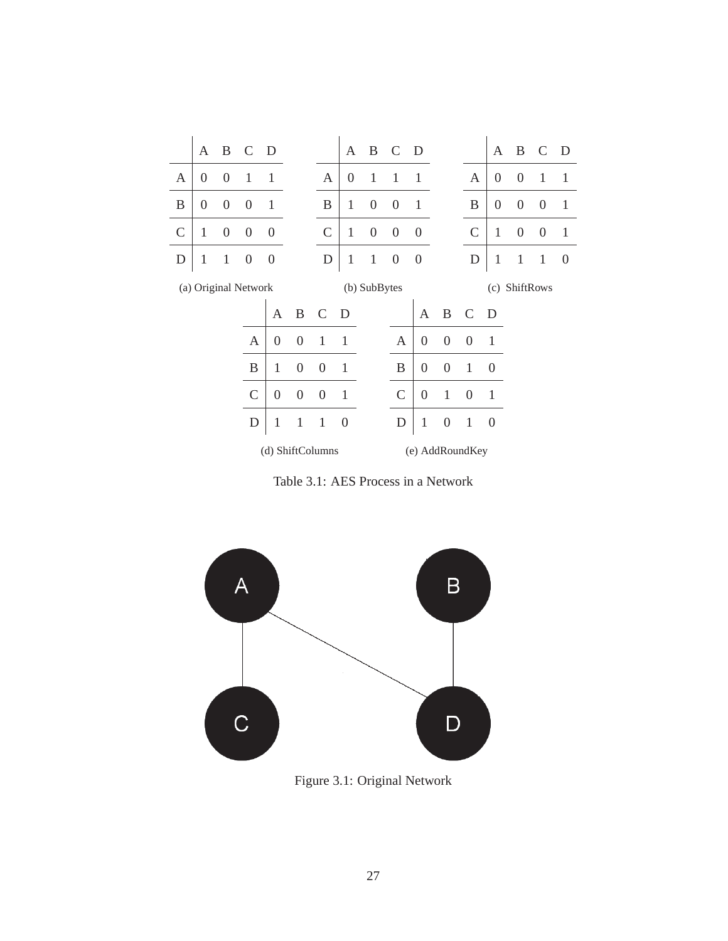

Table 3.1: AES Process in a Network



Figure 3.1: Original Network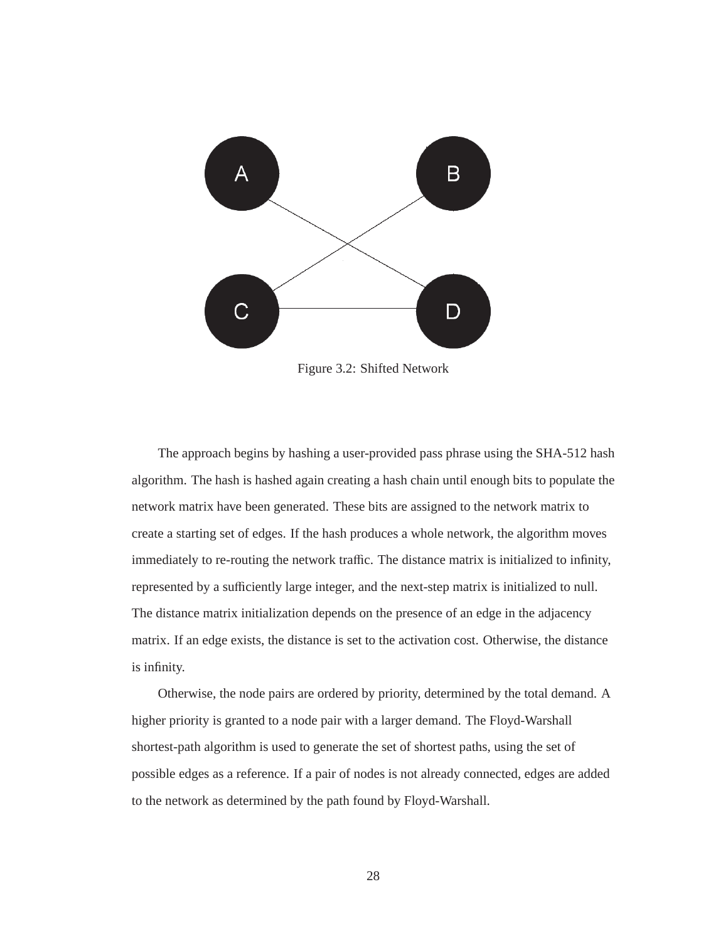

Figure 3.2: Shifted Network

The approach begins by hashing a user-provided pass phrase using the SHA-512 hash algorithm. The hash is hashed again creating a hash chain until enough bits to populate the network matrix have been generated. These bits are assigned to the network matrix to create a starting set of edges. If the hash produces a whole network, the algorithm moves immediately to re-routing the network traffic. The distance matrix is initialized to infinity, represented by a sufficiently large integer, and the next-step matrix is initialized to null. The distance matrix initialization depends on the presence of an edge in the adjacency matrix. If an edge exists, the distance is set to the activation cost. Otherwise, the distance is infinity.

Otherwise, the node pairs are ordered by priority, determined by the total demand. A higher priority is granted to a node pair with a larger demand. The Floyd-Warshall shortest-path algorithm is used to generate the set of shortest paths, using the set of possible edges as a reference. If a pair of nodes is not already connected, edges are added to the network as determined by the path found by Floyd-Warshall.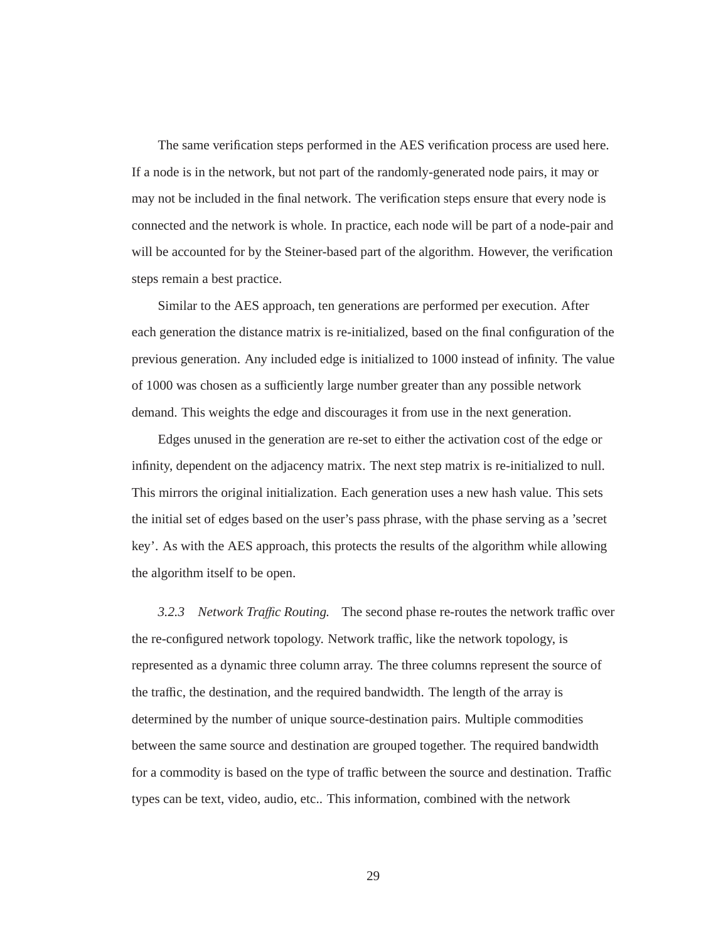The same verification steps performed in the AES verification process are used here. If a node is in the network, but not part of the randomly-generated node pairs, it may or may not be included in the final network. The verification steps ensure that every node is connected and the network is whole. In practice, each node will be part of a node-pair and will be accounted for by the Steiner-based part of the algorithm. However, the verification steps remain a best practice.

Similar to the AES approach, ten generations are performed per execution. After each generation the distance matrix is re-initialized, based on the final configuration of the previous generation. Any included edge is initialized to 1000 instead of infinity. The value of 1000 was chosen as a sufficiently large number greater than any possible network demand. This weights the edge and discourages it from use in the next generation.

Edges unused in the generation are re-set to either the activation cost of the edge or infinity, dependent on the adjacency matrix. The next step matrix is re-initialized to null. This mirrors the original initialization. Each generation uses a new hash value. This sets the initial set of edges based on the user's pass phrase, with the phase serving as a 'secret key'. As with the AES approach, this protects the results of the algorithm while allowing the algorithm itself to be open.

*3.2.3 Network Tra*ffi*c Routing.* The second phase re-routes the network traffic over the re-configured network topology. Network traffic, like the network topology, is represented as a dynamic three column array. The three columns represent the source of the traffic, the destination, and the required bandwidth. The length of the array is determined by the number of unique source-destination pairs. Multiple commodities between the same source and destination are grouped together. The required bandwidth for a commodity is based on the type of traffic between the source and destination. Traffic types can be text, video, audio, etc.. This information, combined with the network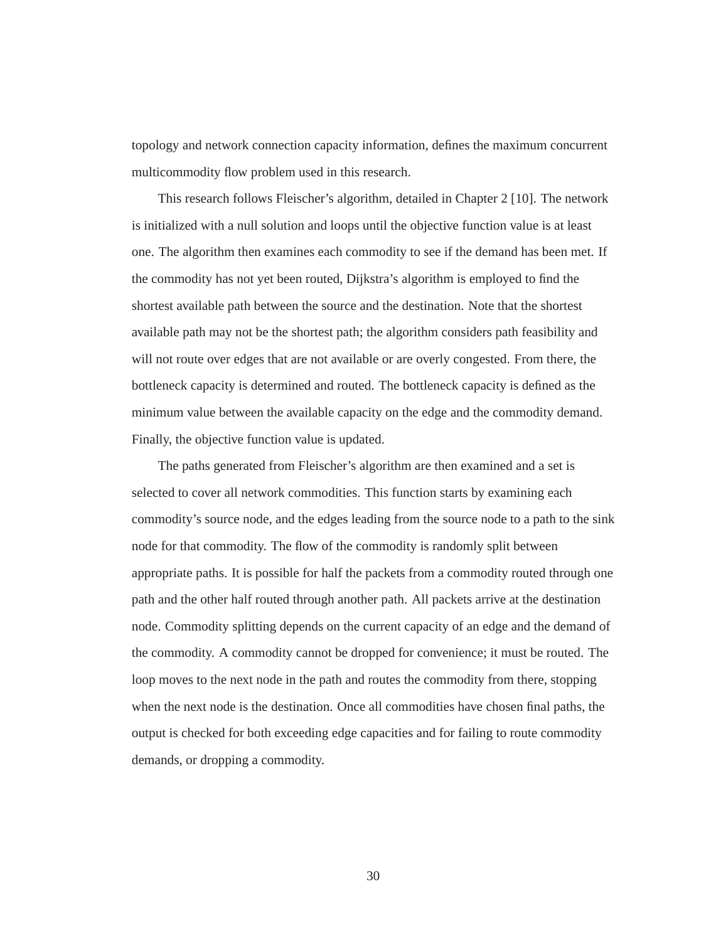topology and network connection capacity information, defines the maximum concurrent multicommodity flow problem used in this research.

This research follows Fleischer's algorithm, detailed in Chapter 2 [10]. The network is initialized with a null solution and loops until the objective function value is at least one. The algorithm then examines each commodity to see if the demand has been met. If the commodity has not yet been routed, Dijkstra's algorithm is employed to find the shortest available path between the source and the destination. Note that the shortest available path may not be the shortest path; the algorithm considers path feasibility and will not route over edges that are not available or are overly congested. From there, the bottleneck capacity is determined and routed. The bottleneck capacity is defined as the minimum value between the available capacity on the edge and the commodity demand. Finally, the objective function value is updated.

The paths generated from Fleischer's algorithm are then examined and a set is selected to cover all network commodities. This function starts by examining each commodity's source node, and the edges leading from the source node to a path to the sink node for that commodity. The flow of the commodity is randomly split between appropriate paths. It is possible for half the packets from a commodity routed through one path and the other half routed through another path. All packets arrive at the destination node. Commodity splitting depends on the current capacity of an edge and the demand of the commodity. A commodity cannot be dropped for convenience; it must be routed. The loop moves to the next node in the path and routes the commodity from there, stopping when the next node is the destination. Once all commodities have chosen final paths, the output is checked for both exceeding edge capacities and for failing to route commodity demands, or dropping a commodity.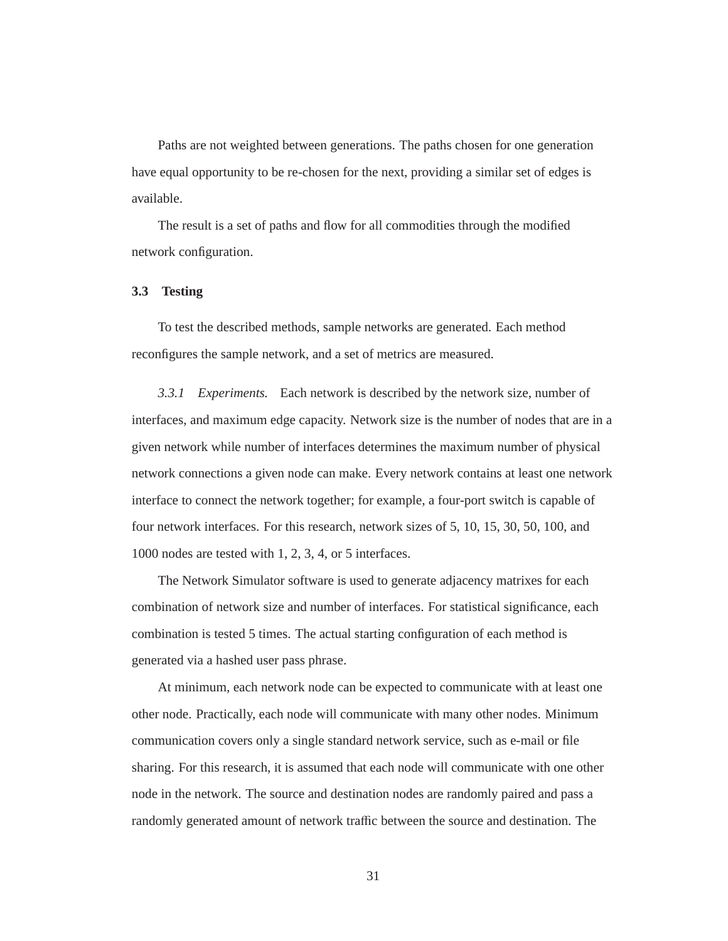Paths are not weighted between generations. The paths chosen for one generation have equal opportunity to be re-chosen for the next, providing a similar set of edges is available.

The result is a set of paths and flow for all commodities through the modified network configuration.

## **3.3 Testing**

To test the described methods, sample networks are generated. Each method reconfigures the sample network, and a set of metrics are measured.

*3.3.1 Experiments.* Each network is described by the network size, number of interfaces, and maximum edge capacity. Network size is the number of nodes that are in a given network while number of interfaces determines the maximum number of physical network connections a given node can make. Every network contains at least one network interface to connect the network together; for example, a four-port switch is capable of four network interfaces. For this research, network sizes of 5, 10, 15, 30, 50, 100, and 1000 nodes are tested with 1, 2, 3, 4, or 5 interfaces.

The Network Simulator software is used to generate adjacency matrixes for each combination of network size and number of interfaces. For statistical significance, each combination is tested 5 times. The actual starting configuration of each method is generated via a hashed user pass phrase.

At minimum, each network node can be expected to communicate with at least one other node. Practically, each node will communicate with many other nodes. Minimum communication covers only a single standard network service, such as e-mail or file sharing. For this research, it is assumed that each node will communicate with one other node in the network. The source and destination nodes are randomly paired and pass a randomly generated amount of network traffic between the source and destination. The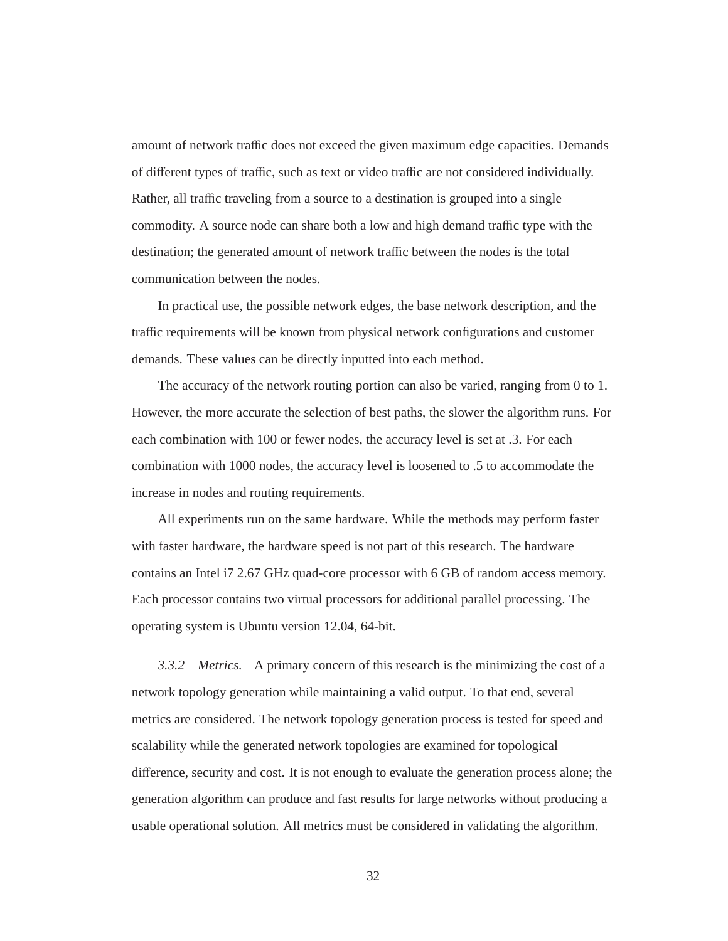amount of network traffic does not exceed the given maximum edge capacities. Demands of different types of traffic, such as text or video traffic are not considered individually. Rather, all traffic traveling from a source to a destination is grouped into a single commodity. A source node can share both a low and high demand traffic type with the destination; the generated amount of network traffic between the nodes is the total communication between the nodes.

In practical use, the possible network edges, the base network description, and the traffic requirements will be known from physical network configurations and customer demands. These values can be directly inputted into each method.

The accuracy of the network routing portion can also be varied, ranging from 0 to 1. However, the more accurate the selection of best paths, the slower the algorithm runs. For each combination with 100 or fewer nodes, the accuracy level is set at .3. For each combination with 1000 nodes, the accuracy level is loosened to .5 to accommodate the increase in nodes and routing requirements.

All experiments run on the same hardware. While the methods may perform faster with faster hardware, the hardware speed is not part of this research. The hardware contains an Intel i7 2.67 GHz quad-core processor with 6 GB of random access memory. Each processor contains two virtual processors for additional parallel processing. The operating system is Ubuntu version 12.04, 64-bit.

*3.3.2 Metrics.* A primary concern of this research is the minimizing the cost of a network topology generation while maintaining a valid output. To that end, several metrics are considered. The network topology generation process is tested for speed and scalability while the generated network topologies are examined for topological difference, security and cost. It is not enough to evaluate the generation process alone; the generation algorithm can produce and fast results for large networks without producing a usable operational solution. All metrics must be considered in validating the algorithm.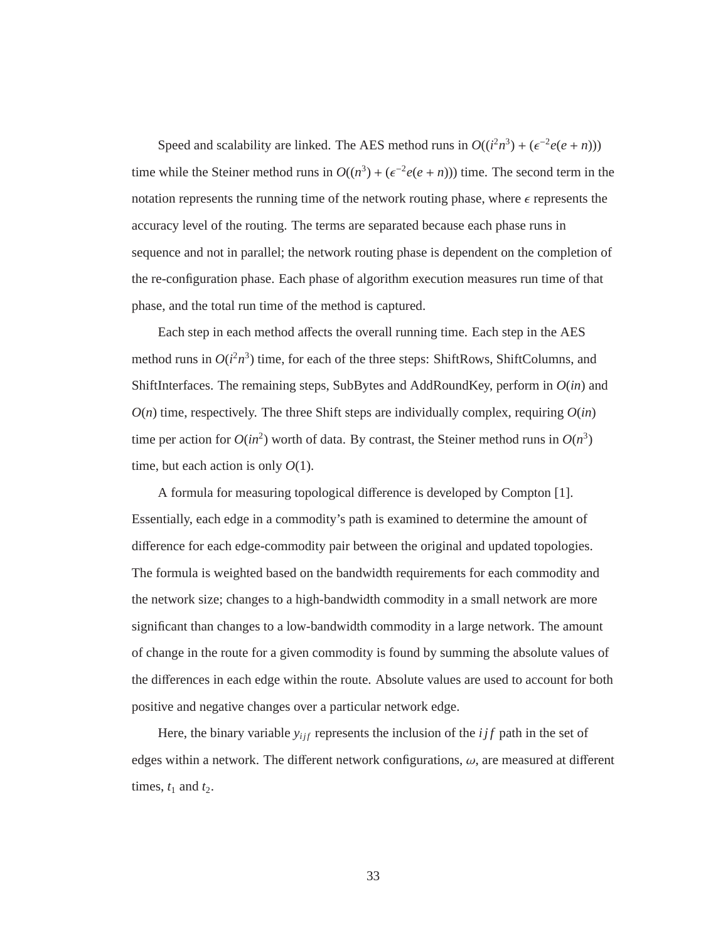Speed and scalability are linked. The AES method runs in  $O((i^2n^3) + (\epsilon^{-2}e(e+n)))$ time while the Steiner method runs in  $O((n^3) + (\epsilon^{-2}e(e+n)))$  time. The second term in the notation represents the running time of the network routing phase, where  $\epsilon$  represents the accuracy level of the routing. The terms are separated because each phase runs in sequence and not in parallel; the network routing phase is dependent on the completion of the re-configuration phase. Each phase of algorithm execution measures run time of that phase, and the total run time of the method is captured.

Each step in each method affects the overall running time. Each step in the AES method runs in  $O(i^2n^3)$  time, for each of the three steps: ShiftRows, ShiftColumns, and ShiftInterfaces. The remaining steps, SubBytes and AddRoundKey, perform in *O*(*in*) and  $O(n)$  time, respectively. The three Shift steps are individually complex, requiring  $O(in)$ time per action for  $O(in^2)$  worth of data. By contrast, the Steiner method runs in  $O(n^3)$ time, but each action is only *O*(1).

A formula for measuring topological difference is developed by Compton [1]. Essentially, each edge in a commodity's path is examined to determine the amount of difference for each edge-commodity pair between the original and updated topologies. The formula is weighted based on the bandwidth requirements for each commodity and the network size; changes to a high-bandwidth commodity in a small network are more significant than changes to a low-bandwidth commodity in a large network. The amount of change in the route for a given commodity is found by summing the absolute values of the differences in each edge within the route. Absolute values are used to account for both positive and negative changes over a particular network edge.

Here, the binary variable  $y_{ijf}$  represents the inclusion of the  $ijf$  path in the set of edges within a network. The different network configurations,  $\omega$ , are measured at different times,  $t_1$  and  $t_2$ .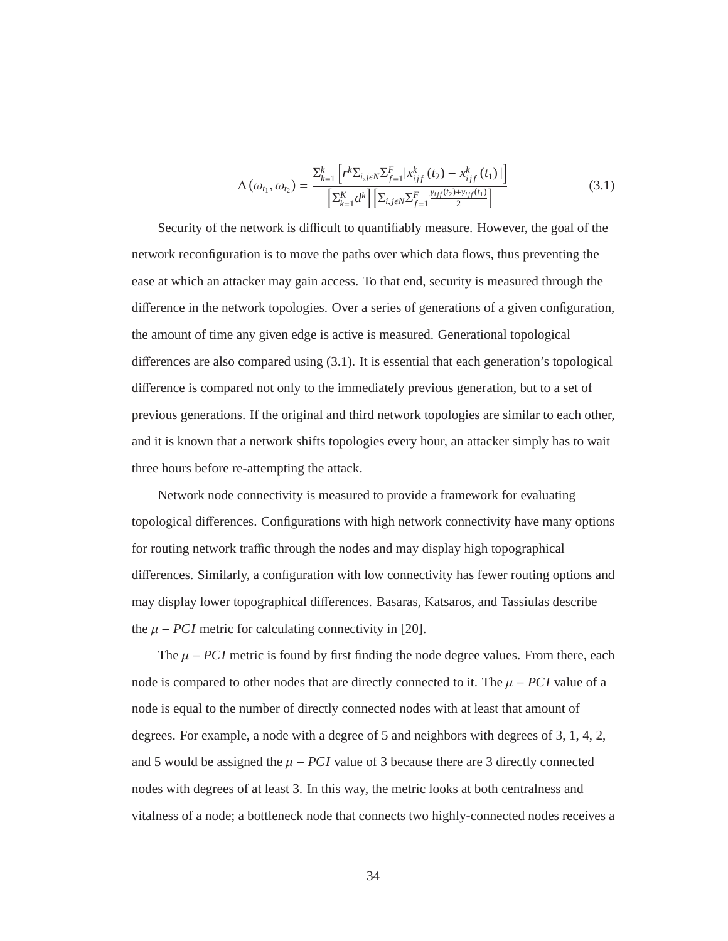$$
\Delta\left(\omega_{t_1}, \omega_{t_2}\right) = \frac{\sum_{k=1}^k \left[r^k \Sigma_{i,j\epsilon N} \Sigma_{f=1}^F | x_{ijf}^k\left(t_2\right) - x_{ijf}^k\left(t_1\right))\right]}{\left[\Sigma_{k=1}^K d^k\right] \left[\Sigma_{i,j\epsilon N} \Sigma_{f=1}^F \frac{y_{ijf}(t_2) + y_{ijf}(t_1)}{2}\right]}
$$
(3.1)

Security of the network is difficult to quantifiably measure. However, the goal of the network reconfiguration is to move the paths over which data flows, thus preventing the ease at which an attacker may gain access. To that end, security is measured through the difference in the network topologies. Over a series of generations of a given configuration, the amount of time any given edge is active is measured. Generational topological differences are also compared using (3.1). It is essential that each generation's topological difference is compared not only to the immediately previous generation, but to a set of previous generations. If the original and third network topologies are similar to each other, and it is known that a network shifts topologies every hour, an attacker simply has to wait three hours before re-attempting the attack.

Network node connectivity is measured to provide a framework for evaluating topological differences. Configurations with high network connectivity have many options for routing network traffic through the nodes and may display high topographical differences. Similarly, a configuration with low connectivity has fewer routing options and may display lower topographical differences. Basaras, Katsaros, and Tassiulas describe the  $\mu$  – *PCI* metric for calculating connectivity in [20].

The  $\mu$  – *PCI* metric is found by first finding the node degree values. From there, each node is compared to other nodes that are directly connected to it. The  $\mu$  – *PCI* value of a node is equal to the number of directly connected nodes with at least that amount of degrees. For example, a node with a degree of 5 and neighbors with degrees of 3, 1, 4, 2, and 5 would be assigned the  $\mu - PCI$  value of 3 because there are 3 directly connected nodes with degrees of at least 3. In this way, the metric looks at both centralness and vitalness of a node; a bottleneck node that connects two highly-connected nodes receives a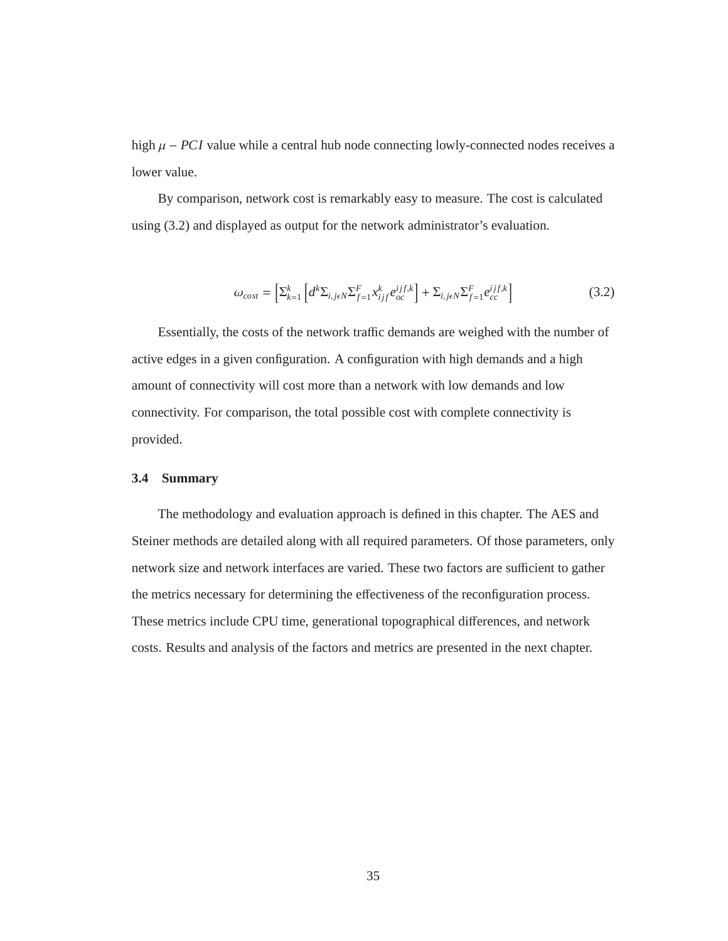high  $\mu$  – *PCI* value while a central hub node connecting lowly-connected nodes receives a lower value.

By comparison, network cost is remarkably easy to measure. The cost is calculated using (3.2) and displayed as output for the network administrator's evaluation.

$$
\omega_{\text{cost}} = \left[\sum_{k=1}^{k} \left[ d^k \Sigma_{i,j\epsilon N} \Sigma_{f=1}^F x_{ijf}^k e_{oc}^{ijf,k} \right] + \Sigma_{i,j\epsilon N} \Sigma_{f=1}^F e_{cc}^{ijf,k} \right]
$$
(3.2)

Essentially, the costs of the network traffic demands are weighed with the number of active edges in a given configuration. A configuration with high demands and a high amount of connectivity will cost more than a network with low demands and low connectivity. For comparison, the total possible cost with complete connectivity is provided.

## **3.4 Summary**

The methodology and evaluation approach is defined in this chapter. The AES and Steiner methods are detailed along with all required parameters. Of those parameters, only network size and network interfaces are varied. These two factors are sufficient to gather the metrics necessary for determining the effectiveness of the reconfiguration process. These metrics include CPU time, generational topographical differences, and network costs. Results and analysis of the factors and metrics are presented in the next chapter.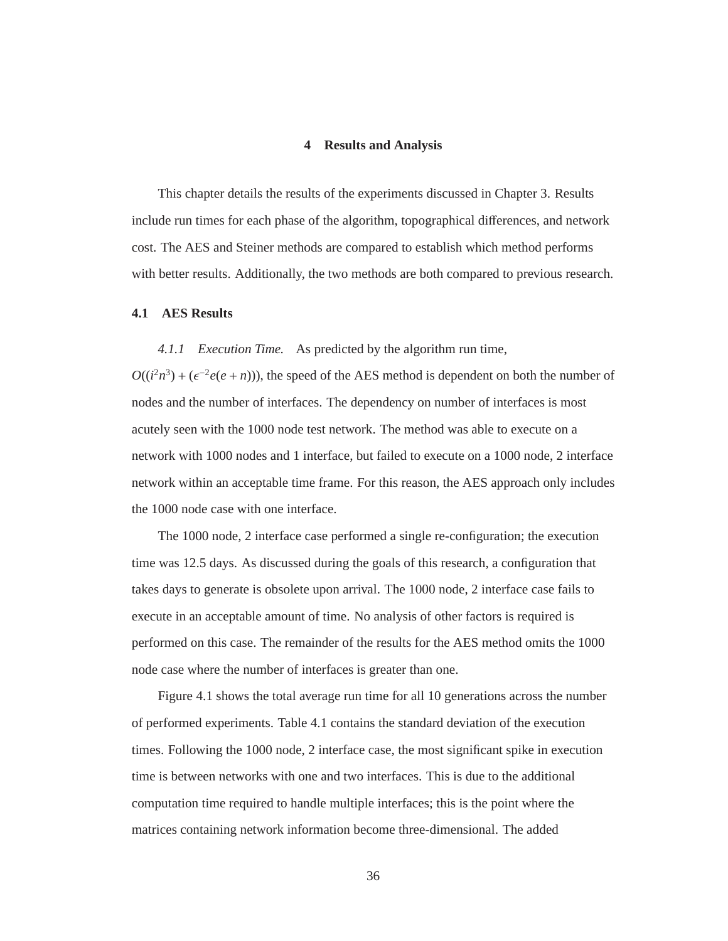## **4 Results and Analysis**

This chapter details the results of the experiments discussed in Chapter 3. Results include run times for each phase of the algorithm, topographical differences, and network cost. The AES and Steiner methods are compared to establish which method performs with better results. Additionally, the two methods are both compared to previous research.

# **4.1 AES Results**

*4.1.1 Execution Time.* As predicted by the algorithm run time,  $O((i^2n^3) + (\epsilon^{-2}e(e+n))$ , the speed of the AES method is dependent on both the number of nodes and the number of interfaces. The dependency on number of interfaces is most acutely seen with the 1000 node test network. The method was able to execute on a network with 1000 nodes and 1 interface, but failed to execute on a 1000 node, 2 interface network within an acceptable time frame. For this reason, the AES approach only includes the 1000 node case with one interface.

The 1000 node, 2 interface case performed a single re-configuration; the execution time was 12.5 days. As discussed during the goals of this research, a configuration that takes days to generate is obsolete upon arrival. The 1000 node, 2 interface case fails to execute in an acceptable amount of time. No analysis of other factors is required is performed on this case. The remainder of the results for the AES method omits the 1000 node case where the number of interfaces is greater than one.

Figure 4.1 shows the total average run time for all 10 generations across the number of performed experiments. Table 4.1 contains the standard deviation of the execution times. Following the 1000 node, 2 interface case, the most significant spike in execution time is between networks with one and two interfaces. This is due to the additional computation time required to handle multiple interfaces; this is the point where the matrices containing network information become three-dimensional. The added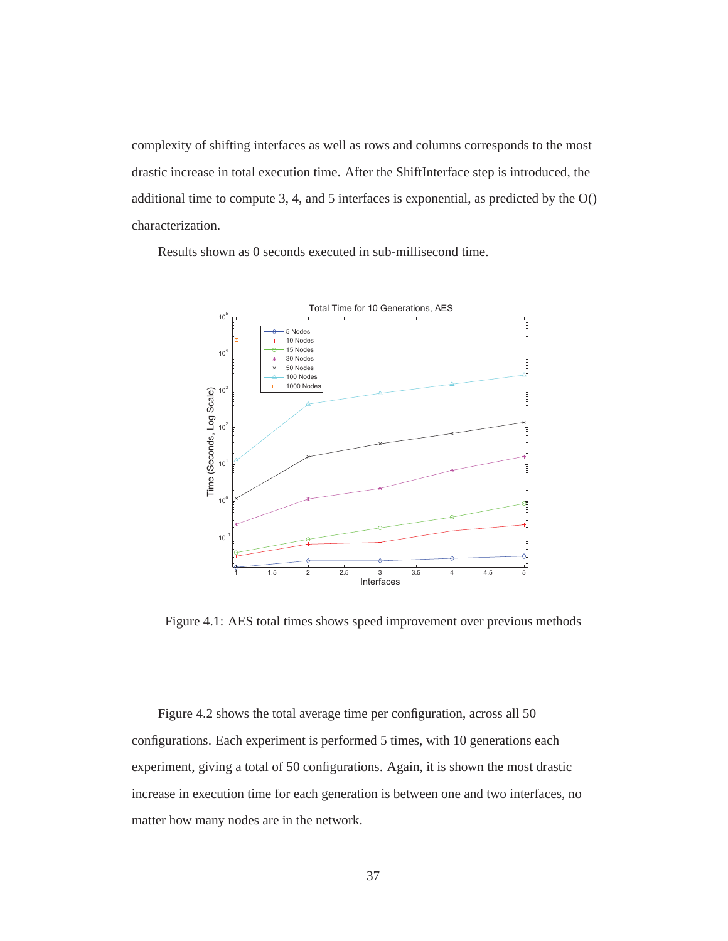complexity of shifting interfaces as well as rows and columns corresponds to the most drastic increase in total execution time. After the ShiftInterface step is introduced, the additional time to compute 3, 4, and 5 interfaces is exponential, as predicted by the O() characterization.

Results shown as 0 seconds executed in sub-millisecond time.



Figure 4.1: AES total times shows speed improvement over previous methods

Figure 4.2 shows the total average time per configuration, across all 50 configurations. Each experiment is performed 5 times, with 10 generations each experiment, giving a total of 50 configurations. Again, it is shown the most drastic increase in execution time for each generation is between one and two interfaces, no matter how many nodes are in the network.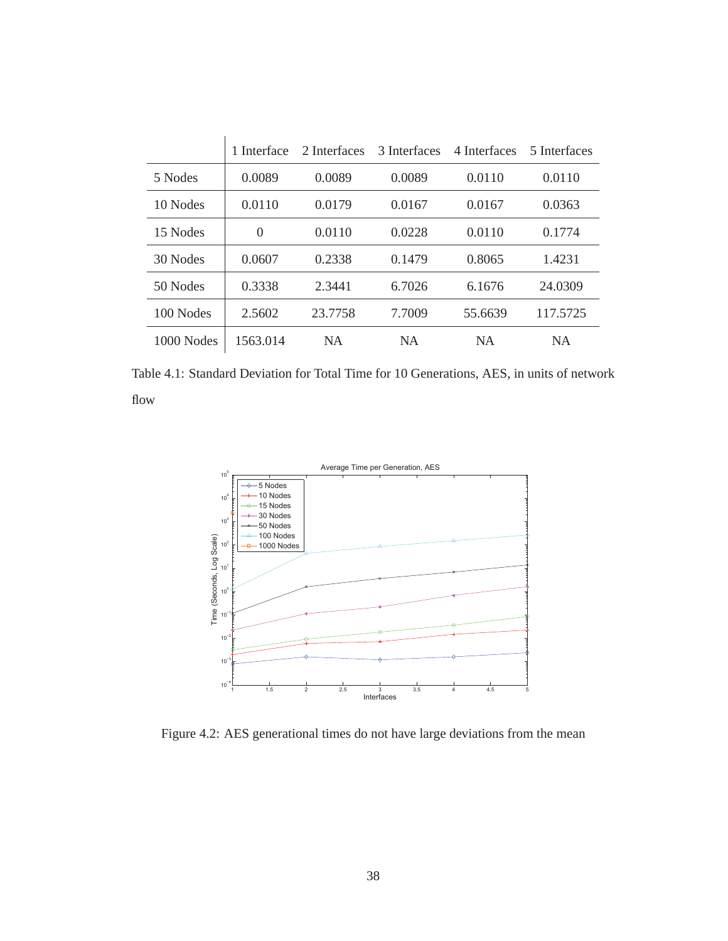|              | 1 Interface | 2 Interfaces | 3 Interfaces | 4 Interfaces | 5 Interfaces |
|--------------|-------------|--------------|--------------|--------------|--------------|
| 5 Nodes      | 0.0089      | 0.0089       | 0.0089       | 0.0110       | 0.0110       |
| 10 Nodes     | 0.0110      | 0.0179       | 0.0167       | 0.0167       | 0.0363       |
| 15 Nodes     | $\theta$    | 0.0110       | 0.0228       | 0.0110       | 0.1774       |
| 30 Nodes     | 0.0607      | 0.2338       | 0.1479       | 0.8065       | 1.4231       |
| 50 Nodes     | 0.3338      | 2.3441       | 6.7026       | 6.1676       | 24.0309      |
| 100 Nodes    | 2.5602      | 23.7758      | 7.7009       | 55.6639      | 117.5725     |
| $1000$ Nodes | 1563.014    | <b>NA</b>    | <b>NA</b>    | <b>NA</b>    | <b>NA</b>    |

Table 4.1: Standard Deviation for Total Time for 10 Generations, AES, in units of network flow



Figure 4.2: AES generational times do not have large deviations from the mean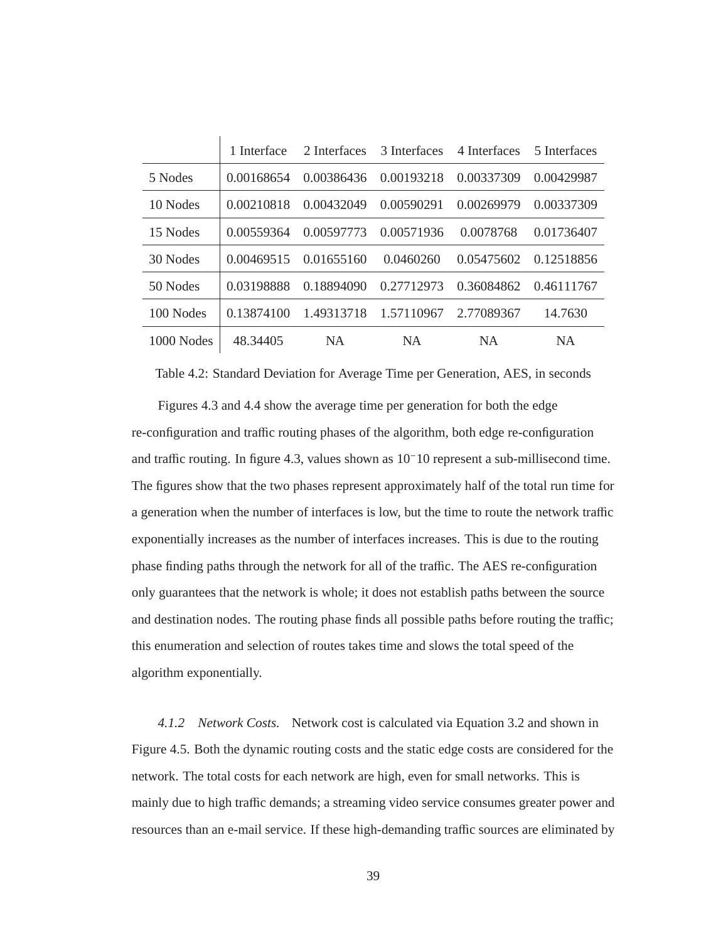|              | 1 Interface | 2 Interfaces | 3 Interfaces | 4 Interfaces | 5 Interfaces |
|--------------|-------------|--------------|--------------|--------------|--------------|
| 5 Nodes      | 0.00168654  | 0.00386436   | 0.00193218   | 0.00337309   | 0.00429987   |
| 10 Nodes     | 0.00210818  | 0.00432049   | 0.00590291   | 0.00269979   | 0.00337309   |
| 15 Nodes     | 0.00559364  | 0.00597773   | 0.00571936   | 0.0078768    | 0.01736407   |
| 30 Nodes     | 0.00469515  | 0.01655160   | 0.0460260    | 0.05475602   | 0.12518856   |
| 50 Nodes     | 0.03198888  | 0.18894090   | 0.27712973   | 0.36084862   | 0.46111767   |
| 100 Nodes    | 0.13874100  | 1.49313718   | 1.57110967   | 2.77089367   | 14.7630      |
| $1000$ Nodes | 48.34405    | <b>NA</b>    | <b>NA</b>    | <b>NA</b>    | <b>NA</b>    |

Table 4.2: Standard Deviation for Average Time per Generation, AES, in seconds

Figures 4.3 and 4.4 show the average time per generation for both the edge re-configuration and traffic routing phases of the algorithm, both edge re-configuration and traffic routing. In figure 4.3, values shown as 10<sup>−</sup>10 represent a sub-millisecond time. The figures show that the two phases represent approximately half of the total run time for a generation when the number of interfaces is low, but the time to route the network traffic exponentially increases as the number of interfaces increases. This is due to the routing phase finding paths through the network for all of the traffic. The AES re-configuration only guarantees that the network is whole; it does not establish paths between the source and destination nodes. The routing phase finds all possible paths before routing the traffic; this enumeration and selection of routes takes time and slows the total speed of the algorithm exponentially.

*4.1.2 Network Costs.* Network cost is calculated via Equation 3.2 and shown in Figure 4.5. Both the dynamic routing costs and the static edge costs are considered for the network. The total costs for each network are high, even for small networks. This is mainly due to high traffic demands; a streaming video service consumes greater power and resources than an e-mail service. If these high-demanding traffic sources are eliminated by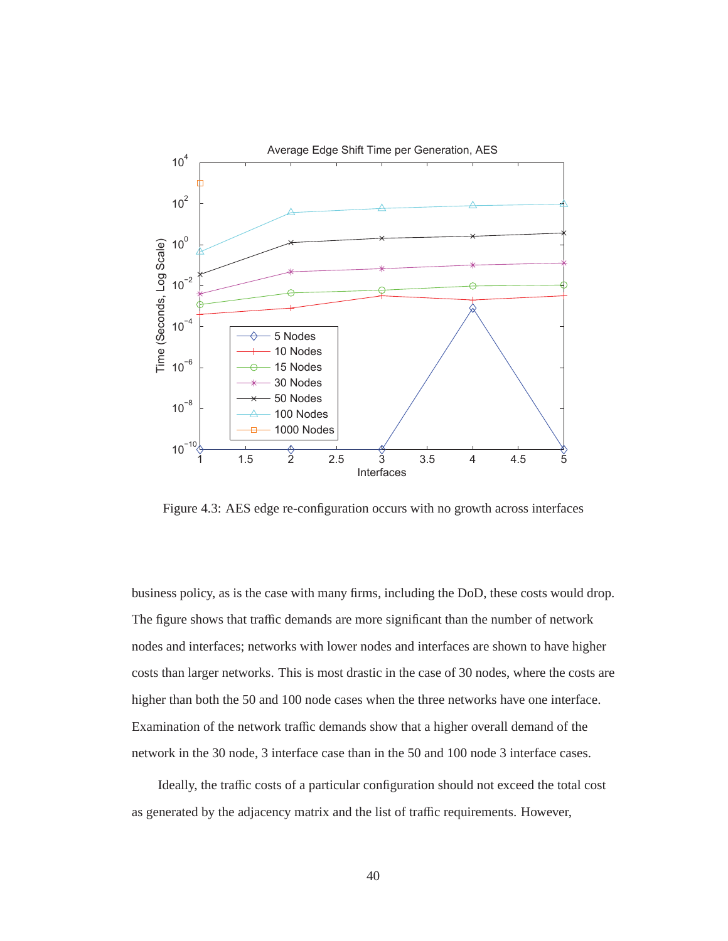

Figure 4.3: AES edge re-configuration occurs with no growth across interfaces

business policy, as is the case with many firms, including the DoD, these costs would drop. The figure shows that traffic demands are more significant than the number of network nodes and interfaces; networks with lower nodes and interfaces are shown to have higher costs than larger networks. This is most drastic in the case of 30 nodes, where the costs are higher than both the 50 and 100 node cases when the three networks have one interface. Examination of the network traffic demands show that a higher overall demand of the network in the 30 node, 3 interface case than in the 50 and 100 node 3 interface cases.

Ideally, the traffic costs of a particular configuration should not exceed the total cost as generated by the adjacency matrix and the list of traffic requirements. However,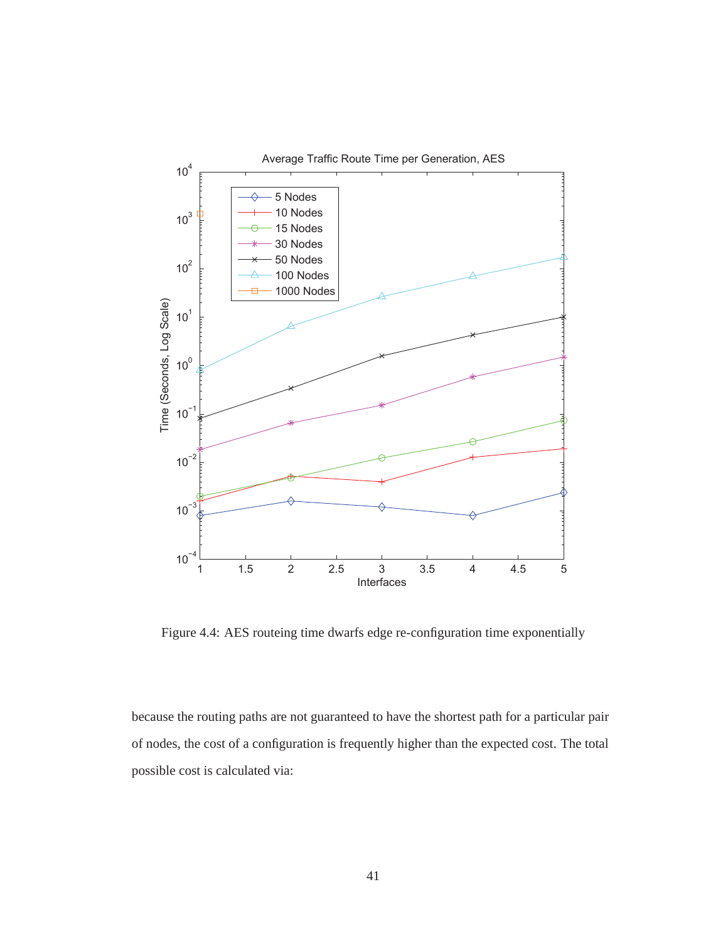

Figure 4.4: AES routeing time dwarfs edge re-configuration time exponentially

because the routing paths are not guaranteed to have the shortest path for a particular pair of nodes, the cost of a configuration is frequently higher than the expected cost. The total possible cost is calculated via: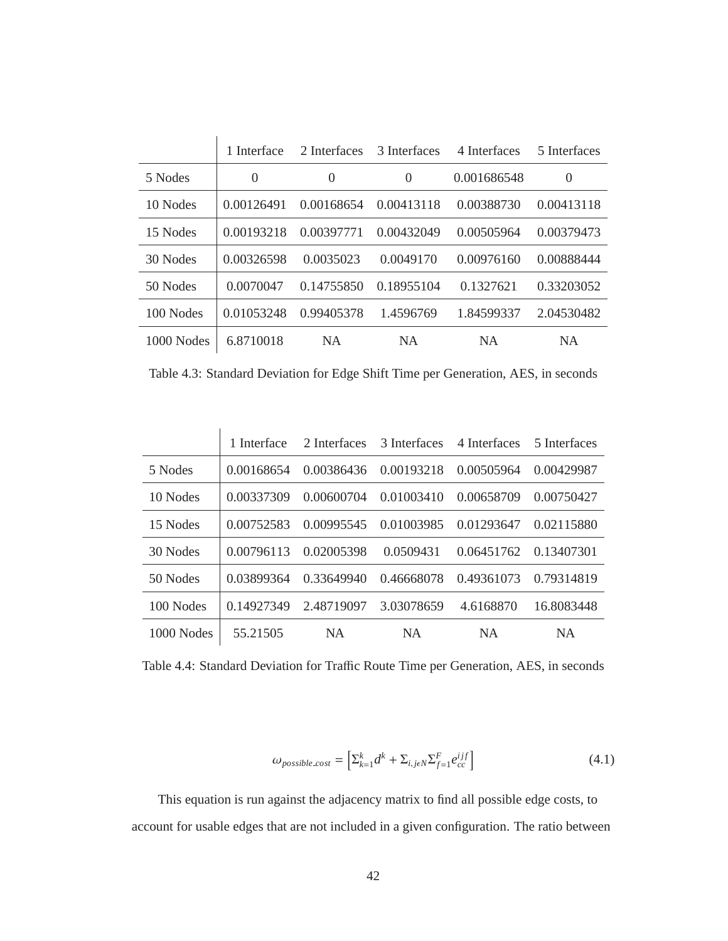|              | 1 Interface | 2 Interfaces | 3 Interfaces | 4 Interfaces | 5 Interfaces |
|--------------|-------------|--------------|--------------|--------------|--------------|
| 5 Nodes      | $\theta$    | $\theta$     | $\Omega$     | 0.001686548  | $\theta$     |
| 10 Nodes     | 0.00126491  | 0.00168654   | 0.00413118   | 0.00388730   | 0.00413118   |
| 15 Nodes     | 0.00193218  | 0.00397771   | 0.00432049   | 0.00505964   | 0.00379473   |
| 30 Nodes     | 0.00326598  | 0.0035023    | 0.0049170    | 0.00976160   | 0.00888444   |
| 50 Nodes     | 0.0070047   | 0.14755850   | 0.18955104   | 0.1327621    | 0.33203052   |
| 100 Nodes    | 0.01053248  | 0.99405378   | 1.4596769    | 1.84599337   | 2.04530482   |
| $1000$ Nodes | 6.8710018   | <b>NA</b>    | <b>NA</b>    | NA           | <b>NA</b>    |

Table 4.3: Standard Deviation for Edge Shift Time per Generation, AES, in seconds

|              | 1 Interface | 2 Interfaces | 3 Interfaces | 4 Interfaces | 5 Interfaces |
|--------------|-------------|--------------|--------------|--------------|--------------|
| 5 Nodes      | 0.00168654  | 0.00386436   | 0.00193218   | 0.00505964   | 0.00429987   |
| 10 Nodes     | 0.00337309  | 0.00600704   | 0.01003410   | 0.00658709   | 0.00750427   |
| 15 Nodes     | 0.00752583  | 0.00995545   | 0.01003985   | 0.01293647   | 0.02115880   |
| 30 Nodes     | 0.00796113  | 0.02005398   | 0.0509431    | 0.06451762   | 0.13407301   |
| 50 Nodes     | 0.03899364  | 0.33649940   | 0.46668078   | 0.49361073   | 0.79314819   |
| 100 Nodes    | 0.14927349  | 2.48719097   | 3.03078659   | 4.6168870    | 16.8083448   |
| $1000$ Nodes | 55.21505    | <b>NA</b>    | NA           | <b>NA</b>    | <b>NA</b>    |

Table 4.4: Standard Deviation for Traffic Route Time per Generation, AES, in seconds

$$
\omega_{possible\text{.cost}} = \left[ \sum_{k=1}^{k} d^k + \sum_{i,j \in N} \sum_{f=1}^{F} e_{cc}^{ijf} \right]
$$
\n(4.1)

This equation is run against the adjacency matrix to find all possible edge costs, to account for usable edges that are not included in a given configuration. The ratio between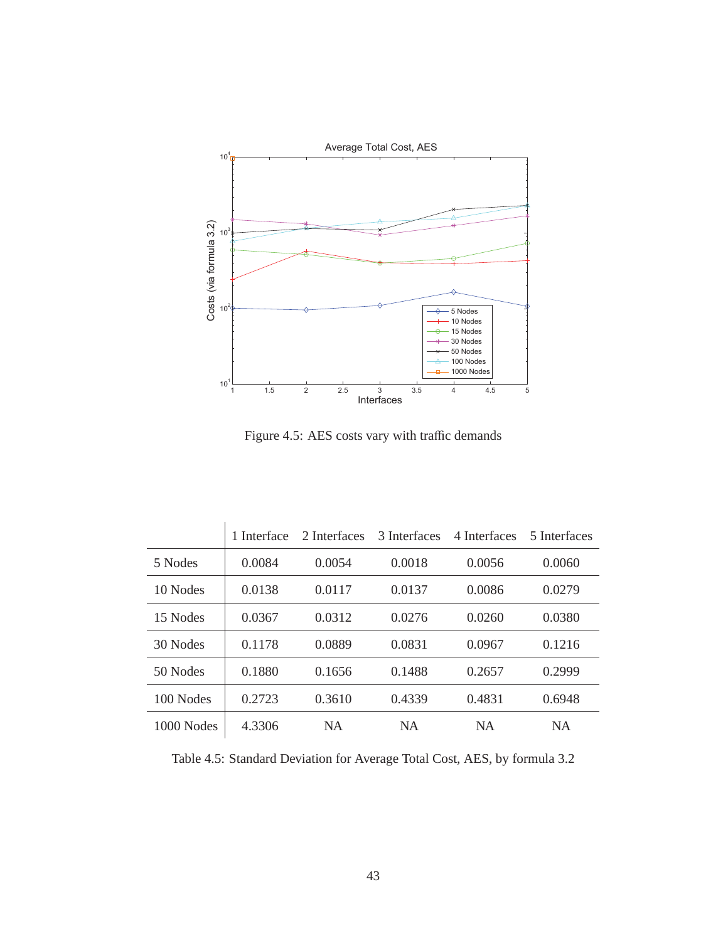

Figure 4.5: AES costs vary with traffic demands

|            | 1 Interface | 2 Interfaces | 3 Interfaces | 4 Interfaces | 5 Interfaces |
|------------|-------------|--------------|--------------|--------------|--------------|
| 5 Nodes    | 0.0084      | 0.0054       | 0.0018       | 0.0056       | 0.0060       |
| 10 Nodes   | 0.0138      | 0.0117       | 0.0137       | 0.0086       | 0.0279       |
| 15 Nodes   | 0.0367      | 0.0312       | 0.0276       | 0.0260       | 0.0380       |
| 30 Nodes   | 0.1178      | 0.0889       | 0.0831       | 0.0967       | 0.1216       |
| 50 Nodes   | 0.1880      | 0.1656       | 0.1488       | 0.2657       | 0.2999       |
| 100 Nodes  | 0.2723      | 0.3610       | 0.4339       | 0.4831       | 0.6948       |
| 1000 Nodes | 4.3306      | <b>NA</b>    | <b>NA</b>    | <b>NA</b>    | <b>NA</b>    |

Table 4.5: Standard Deviation for Average Total Cost, AES, by formula 3.2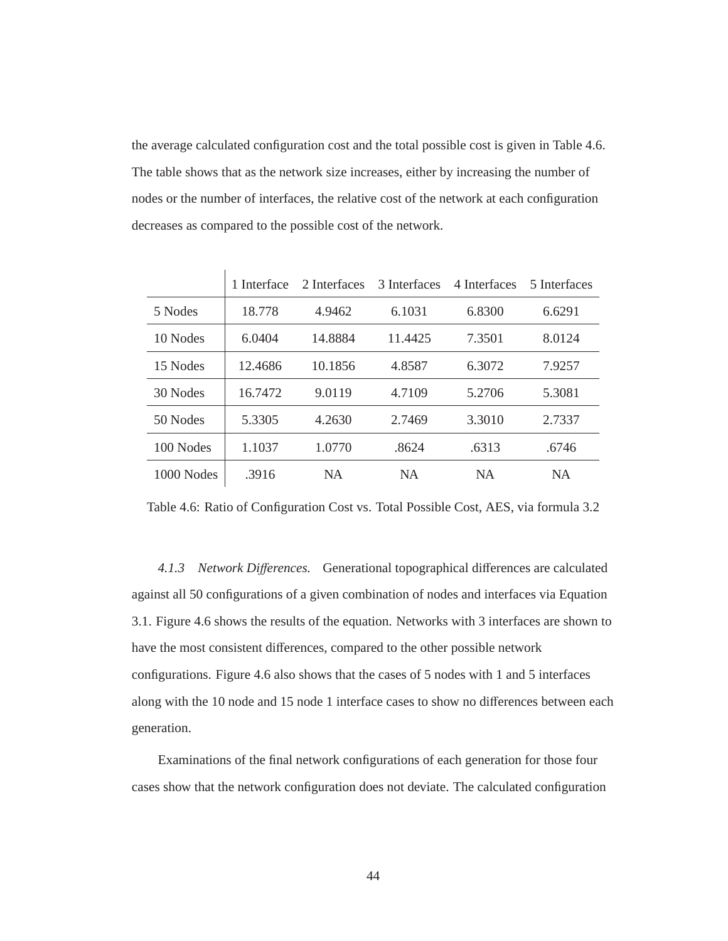the average calculated configuration cost and the total possible cost is given in Table 4.6. The table shows that as the network size increases, either by increasing the number of nodes or the number of interfaces, the relative cost of the network at each configuration decreases as compared to the possible cost of the network.

|            | 1 Interface | 2 Interfaces | 3 Interfaces | 4 Interfaces | 5 Interfaces |
|------------|-------------|--------------|--------------|--------------|--------------|
| 5 Nodes    | 18.778      | 4.9462       | 6.1031       | 6.8300       | 6.6291       |
| 10 Nodes   | 6.0404      | 14.8884      | 11.4425      | 7.3501       | 8.0124       |
| 15 Nodes   | 12.4686     | 10.1856      | 4.8587       | 6.3072       | 7.9257       |
| 30 Nodes   | 16.7472     | 9.0119       | 4.7109       | 5.2706       | 5.3081       |
| 50 Nodes   | 5.3305      | 4.2630       | 2.7469       | 3.3010       | 2.7337       |
| 100 Nodes  | 1.1037      | 1.0770       | .8624        | .6313        | .6746        |
| 1000 Nodes | .3916       | <b>NA</b>    | <b>NA</b>    | <b>NA</b>    | <b>NA</b>    |

Table 4.6: Ratio of Configuration Cost vs. Total Possible Cost, AES, via formula 3.2

*4.1.3 Network Di*ff*erences.* Generational topographical differences are calculated against all 50 configurations of a given combination of nodes and interfaces via Equation 3.1. Figure 4.6 shows the results of the equation. Networks with 3 interfaces are shown to have the most consistent differences, compared to the other possible network configurations. Figure 4.6 also shows that the cases of 5 nodes with 1 and 5 interfaces along with the 10 node and 15 node 1 interface cases to show no differences between each generation.

Examinations of the final network configurations of each generation for those four cases show that the network configuration does not deviate. The calculated configuration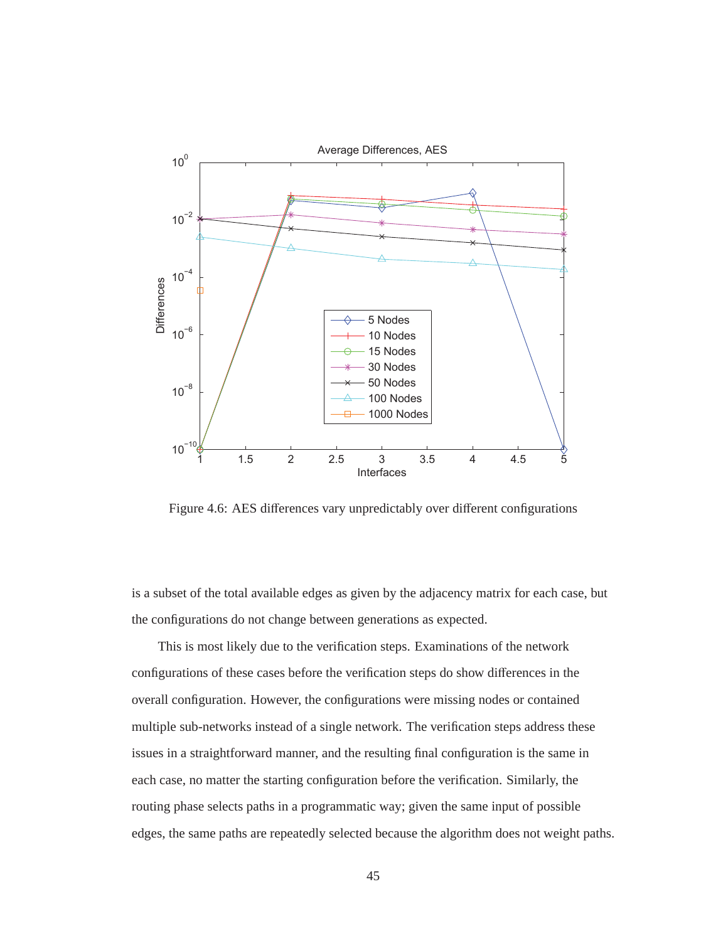

Figure 4.6: AES differences vary unpredictably over different configurations

is a subset of the total available edges as given by the adjacency matrix for each case, but the configurations do not change between generations as expected.

This is most likely due to the verification steps. Examinations of the network configurations of these cases before the verification steps do show differences in the overall configuration. However, the configurations were missing nodes or contained multiple sub-networks instead of a single network. The verification steps address these issues in a straightforward manner, and the resulting final configuration is the same in each case, no matter the starting configuration before the verification. Similarly, the routing phase selects paths in a programmatic way; given the same input of possible edges, the same paths are repeatedly selected because the algorithm does not weight paths.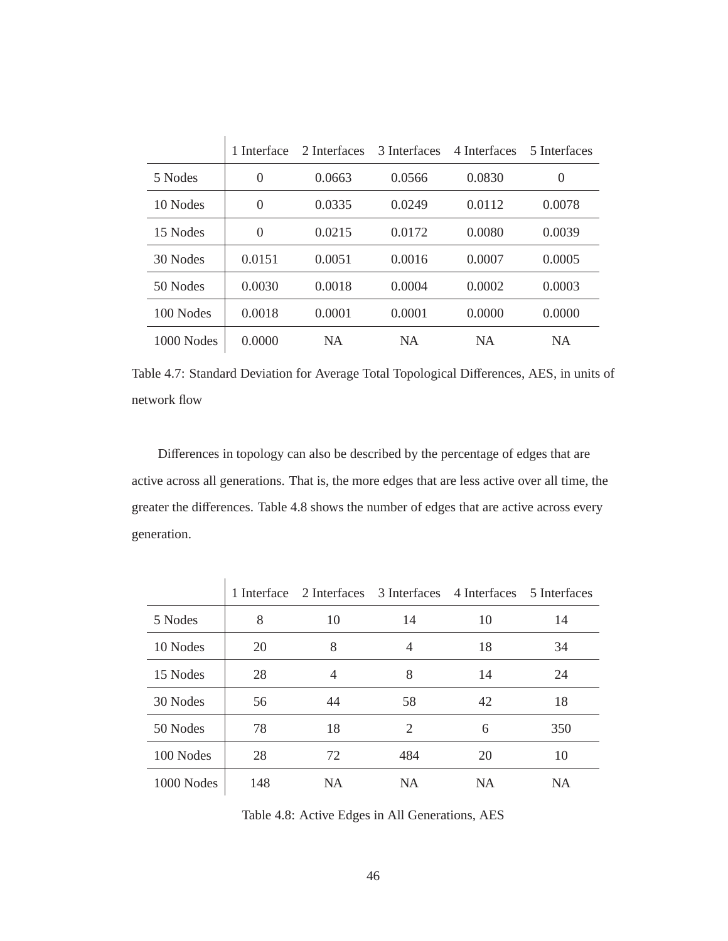|            | 1 Interface | 2 Interfaces | 3 Interfaces | 4 Interfaces | 5 Interfaces     |
|------------|-------------|--------------|--------------|--------------|------------------|
| 5 Nodes    | $\theta$    | 0.0663       | 0.0566       | 0.0830       | $\boldsymbol{0}$ |
| 10 Nodes   | $\theta$    | 0.0335       | 0.0249       | 0.0112       | 0.0078           |
| 15 Nodes   | $\theta$    | 0.0215       | 0.0172       | 0.0080       | 0.0039           |
| 30 Nodes   | 0.0151      | 0.0051       | 0.0016       | 0.0007       | 0.0005           |
| 50 Nodes   | 0.0030      | 0.0018       | 0.0004       | 0.0002       | 0.0003           |
| 100 Nodes  | 0.0018      | 0.0001       | 0.0001       | 0.0000       | 0.0000           |
| 1000 Nodes | 0.0000      | <b>NA</b>    | <b>NA</b>    | <b>NA</b>    | <b>NA</b>        |

Table 4.7: Standard Deviation for Average Total Topological Differences, AES, in units of network flow

Differences in topology can also be described by the percentage of edges that are active across all generations. That is, the more edges that are less active over all time, the greater the differences. Table 4.8 shows the number of edges that are active across every generation.

|            |     | 1 Interface 2 Interfaces |                | 3 Interfaces 4 Interfaces 5 Interfaces |           |
|------------|-----|--------------------------|----------------|----------------------------------------|-----------|
| 5 Nodes    | 8   | 10                       | 14             | 10                                     | 14        |
| 10 Nodes   | 20  | 8                        | 4              | 18                                     | 34        |
| 15 Nodes   | 28  | $\overline{4}$           | 8              | 14                                     | 24        |
| 30 Nodes   | 56  | 44                       | 58             | 42                                     | 18        |
| 50 Nodes   | 78  | 18                       | $\mathfrak{D}$ | 6                                      | 350       |
| 100 Nodes  | 28  | 72                       | 484            | 20                                     | 10        |
| 1000 Nodes | 148 | <b>NA</b>                | <b>NA</b>      | <b>NA</b>                              | <b>NA</b> |

Table 4.8: Active Edges in All Generations, AES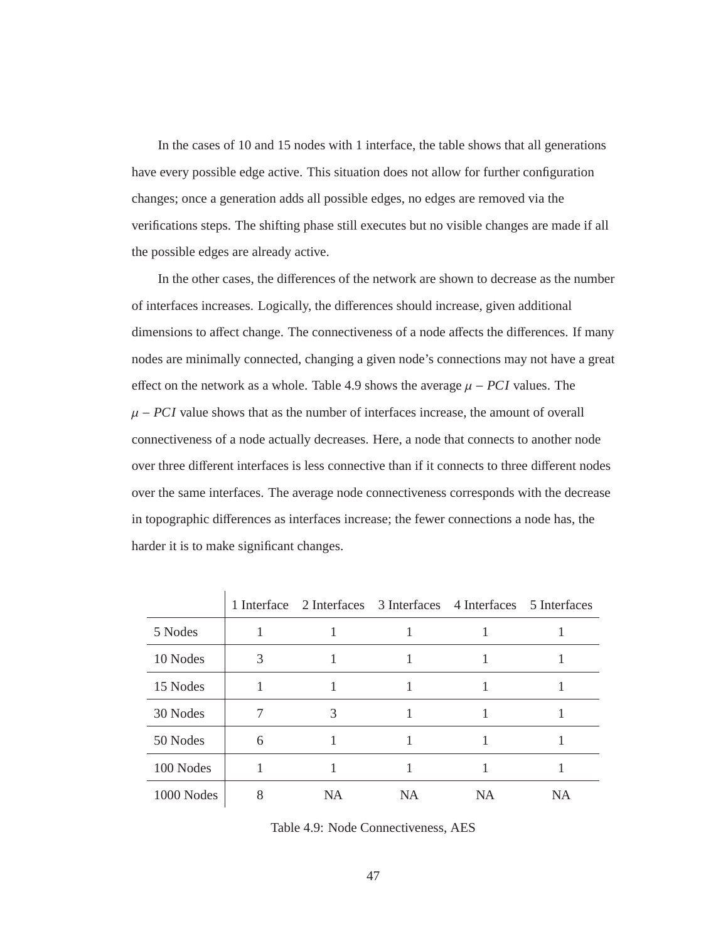In the cases of 10 and 15 nodes with 1 interface, the table shows that all generations have every possible edge active. This situation does not allow for further configuration changes; once a generation adds all possible edges, no edges are removed via the verifications steps. The shifting phase still executes but no visible changes are made if all the possible edges are already active.

In the other cases, the differences of the network are shown to decrease as the number of interfaces increases. Logically, the differences should increase, given additional dimensions to affect change. The connectiveness of a node affects the differences. If many nodes are minimally connected, changing a given node's connections may not have a great effect on the network as a whole. Table 4.9 shows the average  $\mu$  – *PCI* values. The  $\mu$  – *PCI* value shows that as the number of interfaces increase, the amount of overall connectiveness of a node actually decreases. Here, a node that connects to another node over three different interfaces is less connective than if it connects to three different nodes over the same interfaces. The average node connectiveness corresponds with the decrease in topographic differences as interfaces increase; the fewer connections a node has, the harder it is to make significant changes.

|            |   | 1 Interface 2 Interfaces 3 Interfaces 4 Interfaces 5 Interfaces |    |    |    |
|------------|---|-----------------------------------------------------------------|----|----|----|
| 5 Nodes    |   |                                                                 |    |    |    |
| 10 Nodes   | 3 |                                                                 |    |    |    |
| 15 Nodes   |   |                                                                 |    |    |    |
| 30 Nodes   |   | 3                                                               |    |    |    |
| 50 Nodes   | 6 |                                                                 |    |    |    |
| 100 Nodes  |   |                                                                 |    |    |    |
| 1000 Nodes | 8 | NA                                                              | NA | NA | NA |

Table 4.9: Node Connectiveness, AES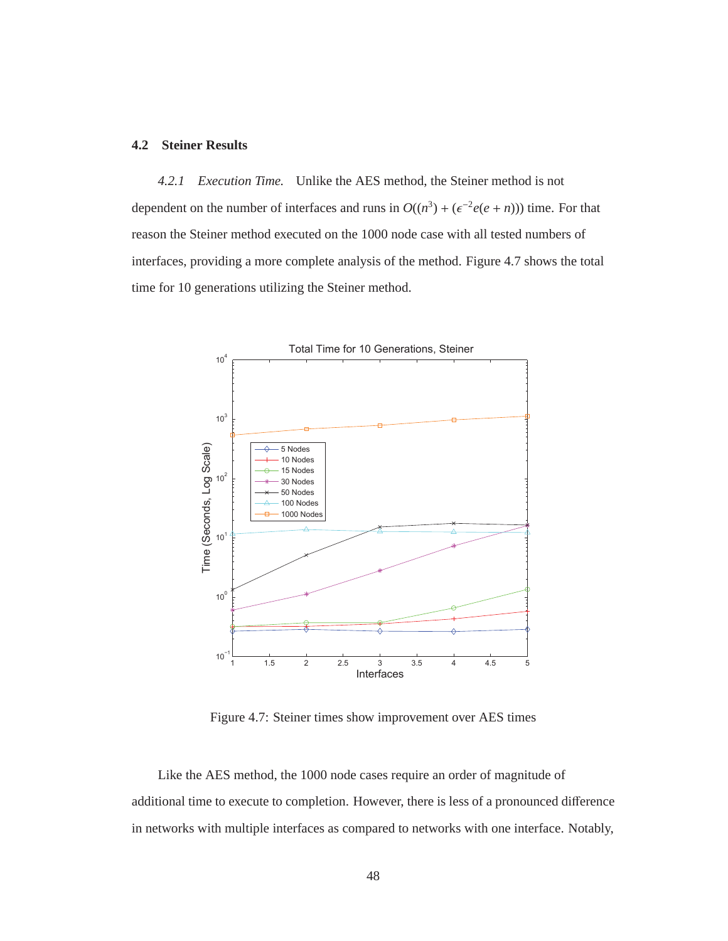## **4.2 Steiner Results**

*4.2.1 Execution Time.* Unlike the AES method, the Steiner method is not dependent on the number of interfaces and runs in  $O((n^3) + (\epsilon^{-2}e(e + n)))$  time. For that reason the Steiner method executed on the 1000 node case with all tested numbers of interfaces, providing a more complete analysis of the method. Figure 4.7 shows the total time for 10 generations utilizing the Steiner method.



Figure 4.7: Steiner times show improvement over AES times

Like the AES method, the 1000 node cases require an order of magnitude of additional time to execute to completion. However, there is less of a pronounced difference in networks with multiple interfaces as compared to networks with one interface. Notably,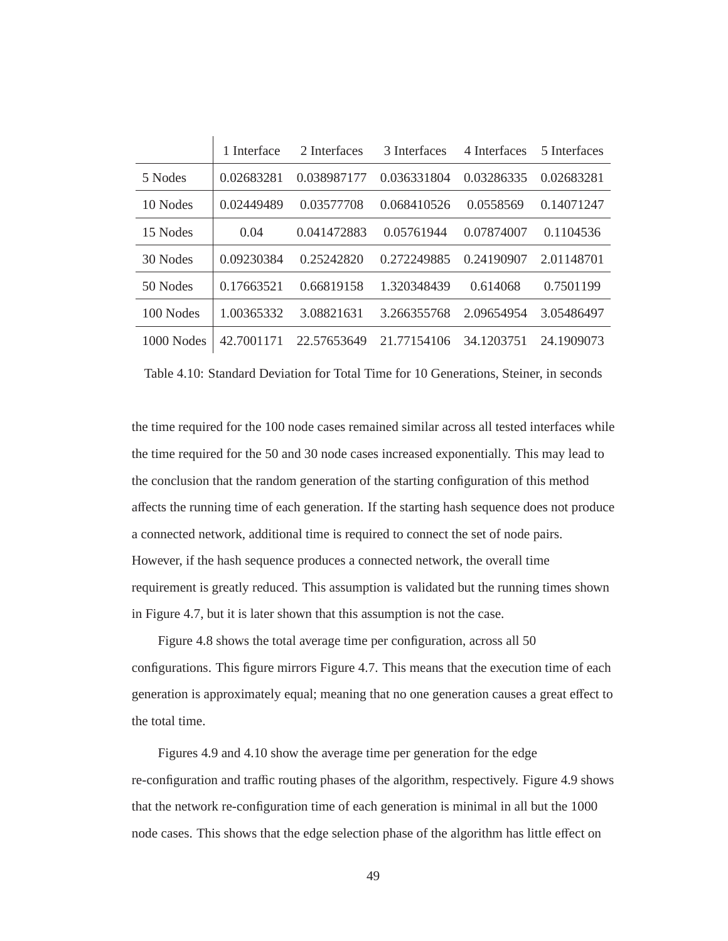|            | 1 Interface | 2 Interfaces | 3 Interfaces | 4 Interfaces | 5 Interfaces |
|------------|-------------|--------------|--------------|--------------|--------------|
| 5 Nodes    | 0.02683281  | 0.038987177  | 0.036331804  | 0.03286335   | 0.02683281   |
| 10 Nodes   | 0.02449489  | 0.03577708   | 0.068410526  | 0.0558569    | 0.14071247   |
| 15 Nodes   | 0.04        | 0.041472883  | 0.05761944   | 0.07874007   | 0.1104536    |
| 30 Nodes   | 0.09230384  | 0.25242820   | 0.272249885  | 0.24190907   | 2.01148701   |
| 50 Nodes   | 0.17663521  | 0.66819158   | 1.320348439  | 0.614068     | 0.7501199    |
| 100 Nodes  | 1.00365332  | 3.08821631   | 3.266355768  | 2.09654954   | 3.05486497   |
| 1000 Nodes | 42.7001171  | 22.57653649  | 21.77154106  | 34 1203751   | 24.1909073   |

Table 4.10: Standard Deviation for Total Time for 10 Generations, Steiner, in seconds

the time required for the 100 node cases remained similar across all tested interfaces while the time required for the 50 and 30 node cases increased exponentially. This may lead to the conclusion that the random generation of the starting configuration of this method affects the running time of each generation. If the starting hash sequence does not produce a connected network, additional time is required to connect the set of node pairs. However, if the hash sequence produces a connected network, the overall time requirement is greatly reduced. This assumption is validated but the running times shown in Figure 4.7, but it is later shown that this assumption is not the case.

Figure 4.8 shows the total average time per configuration, across all 50 configurations. This figure mirrors Figure 4.7. This means that the execution time of each generation is approximately equal; meaning that no one generation causes a great effect to the total time.

Figures 4.9 and 4.10 show the average time per generation for the edge re-configuration and traffic routing phases of the algorithm, respectively. Figure 4.9 shows that the network re-configuration time of each generation is minimal in all but the 1000 node cases. This shows that the edge selection phase of the algorithm has little effect on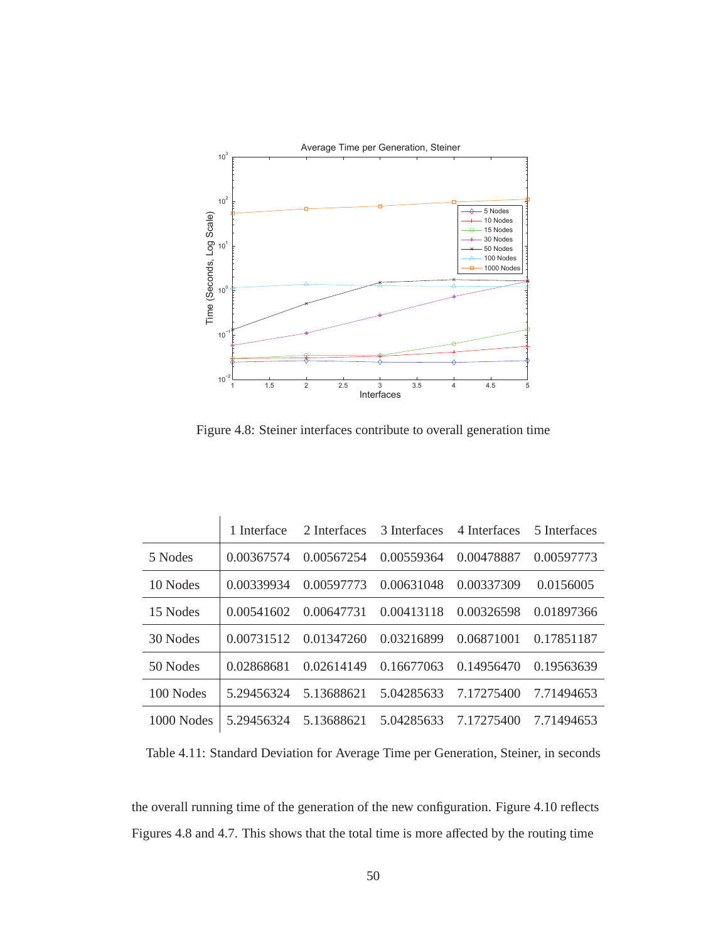

Figure 4.8: Steiner interfaces contribute to overall generation time

|              | 1 Interface | 2 Interfaces | 3 Interfaces | 4 Interfaces | 5 Interfaces |
|--------------|-------------|--------------|--------------|--------------|--------------|
| 5 Nodes      | 0.00367574  | 0.00567254   | 0.00559364   | 0.00478887   | 0.00597773   |
| 10 Nodes     | 0.00339934  | 0.00597773   | 0.00631048   | 0.00337309   | 0.0156005    |
| 15 Nodes     | 0.00541602  | 0.00647731   | 0.00413118   | 0.00326598   | 0.01897366   |
| 30 Nodes     | 0.00731512  | 0.01347260   | 0.03216899   | 0.06871001   | 0.17851187   |
| 50 Nodes     | 0.02868681  | 0.02614149   | 0.16677063   | 0.14956470   | 0.19563639   |
| 100 Nodes    | 5.29456324  | 5.13688621   | 5.04285633   | 7.17275400   | 7.71494653   |
| $1000$ Nodes | 5.29456324  | 5.13688621   | 5.04285633   | 7 17275400   | 7.71494653   |

Table 4.11: Standard Deviation for Average Time per Generation, Steiner, in seconds

the overall running time of the generation of the new configuration. Figure 4.10 reflects Figures 4.8 and 4.7. This shows that the total time is more affected by the routing time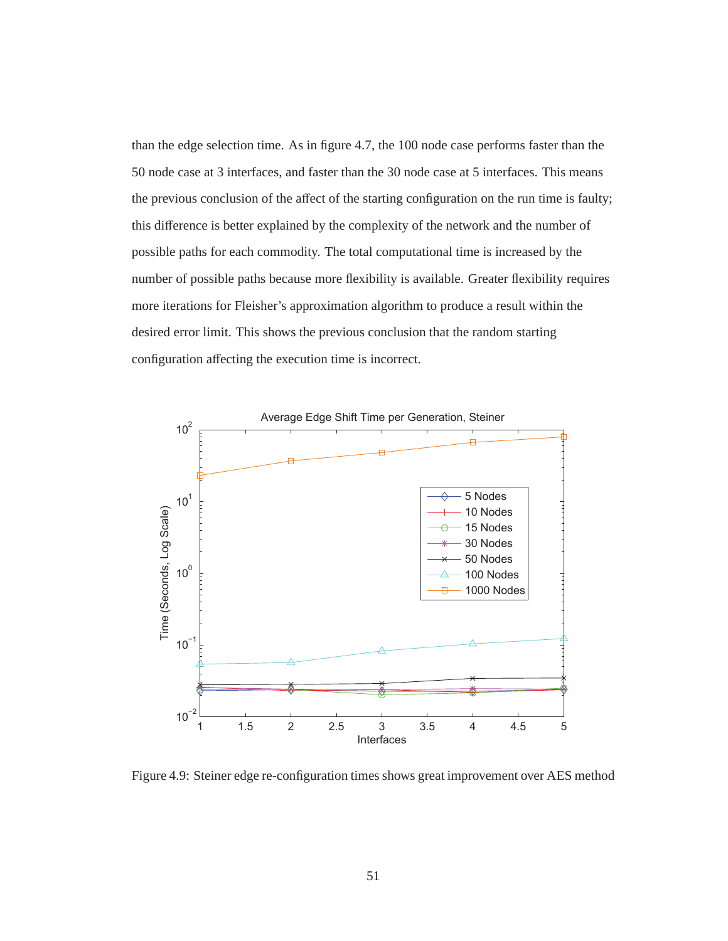than the edge selection time. As in figure 4.7, the 100 node case performs faster than the 50 node case at 3 interfaces, and faster than the 30 node case at 5 interfaces. This means the previous conclusion of the affect of the starting configuration on the run time is faulty; this difference is better explained by the complexity of the network and the number of possible paths for each commodity. The total computational time is increased by the number of possible paths because more flexibility is available. Greater flexibility requires more iterations for Fleisher's approximation algorithm to produce a result within the desired error limit. This shows the previous conclusion that the random starting configuration affecting the execution time is incorrect.



Figure 4.9: Steiner edge re-configuration times shows great improvement over AES method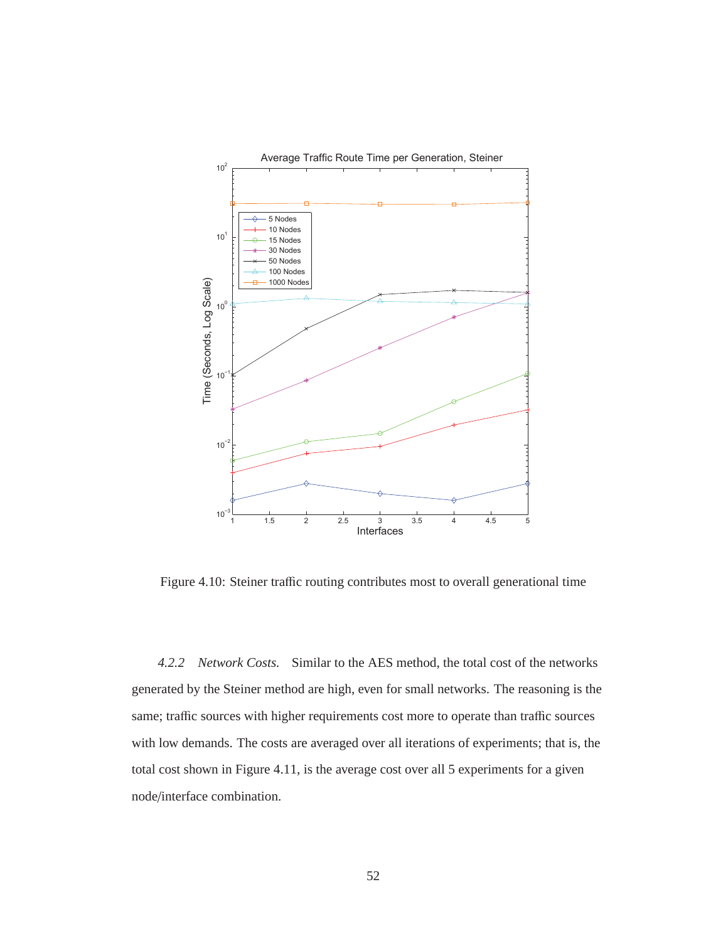

Figure 4.10: Steiner traffic routing contributes most to overall generational time

*4.2.2 Network Costs.* Similar to the AES method, the total cost of the networks generated by the Steiner method are high, even for small networks. The reasoning is the same; traffic sources with higher requirements cost more to operate than traffic sources with low demands. The costs are averaged over all iterations of experiments; that is, the total cost shown in Figure 4.11, is the average cost over all 5 experiments for a given node/interface combination.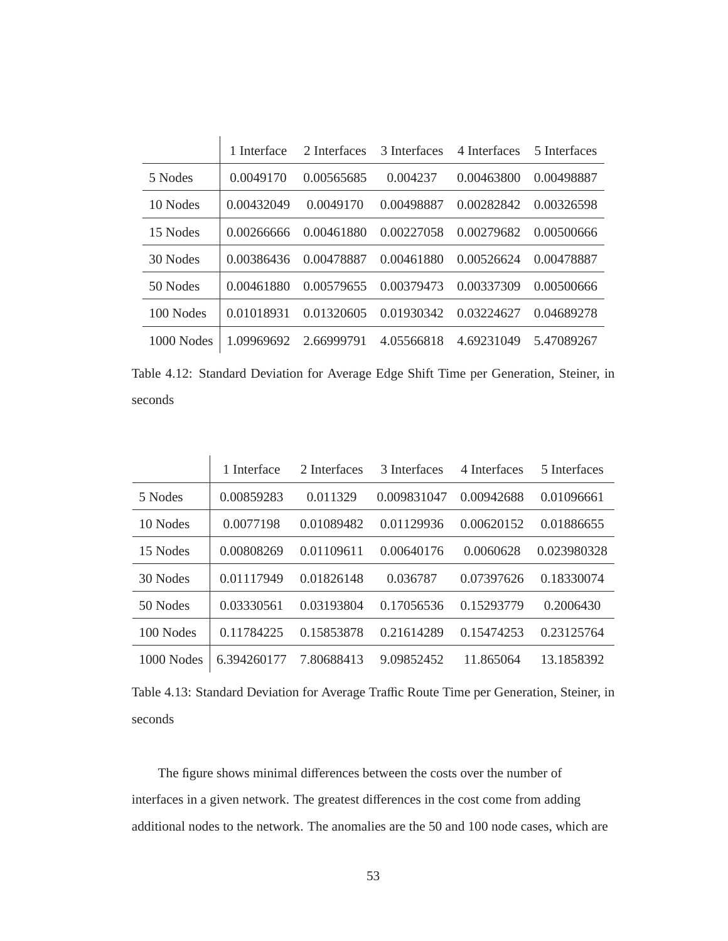|              | 1 Interface | 2 Interfaces | 3 Interfaces | 4 Interfaces | 5 Interfaces |
|--------------|-------------|--------------|--------------|--------------|--------------|
| 5 Nodes      | 0.0049170   | 0.00565685   | 0.004237     | 0.00463800   | 0.00498887   |
| 10 Nodes     | 0.00432049  | 0.0049170    | 0.00498887   | 0.00282842   | 0.00326598   |
| 15 Nodes     | 0.00266666  | 0.00461880   | 0.00227058   | 0.00279682   | 0.00500666   |
| 30 Nodes     | 0.00386436  | 0.00478887   | 0.00461880   | 0.00526624   | 0.00478887   |
| 50 Nodes     | 0.00461880  | 0.00579655   | 0.00379473   | 0.00337309   | 0.00500666   |
| 100 Nodes    | 0.01018931  | 0.01320605   | 0.01930342   | 0.03224627   | 0.04689278   |
| $1000$ Nodes | 1.09969692  | 2.66999791   | 4.05566818   | 4.69231049   | 5.47089267   |

Table 4.12: Standard Deviation for Average Edge Shift Time per Generation, Steiner, in seconds

|              | 1 Interface | 2 Interfaces | 3 Interfaces | 4 Interfaces | 5 Interfaces |
|--------------|-------------|--------------|--------------|--------------|--------------|
| 5 Nodes      | 0.00859283  | 0.011329     | 0.009831047  | 0.00942688   | 0.01096661   |
| 10 Nodes     | 0.0077198   | 0.01089482   | 0.01129936   | 0.00620152   | 0.01886655   |
| 15 Nodes     | 0.00808269  | 0.01109611   | 0.00640176   | 0.0060628    | 0.023980328  |
| 30 Nodes     | 0.01117949  | 0.01826148   | 0.036787     | 0.07397626   | 0.18330074   |
| 50 Nodes     | 0.03330561  | 0.03193804   | 0.17056536   | 0.15293779   | 0.2006430    |
| 100 Nodes    | 0.11784225  | 0.15853878   | 0.21614289   | 0.15474253   | 0.23125764   |
| $1000$ Nodes | 6.394260177 | 7.80688413   | 9.09852452   | 11.865064    | 13.1858392   |

Table 4.13: Standard Deviation for Average Traffic Route Time per Generation, Steiner, in seconds

The figure shows minimal differences between the costs over the number of interfaces in a given network. The greatest differences in the cost come from adding additional nodes to the network. The anomalies are the 50 and 100 node cases, which are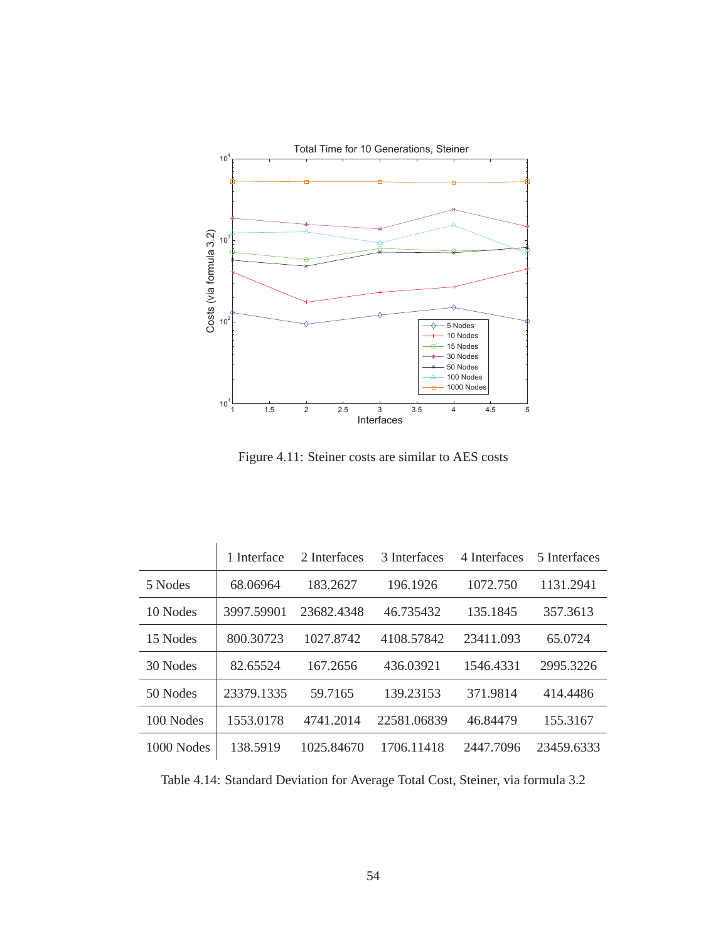

Figure 4.11: Steiner costs are similar to AES costs

 $\overline{1}$ 

|              | 1 Interface | 2 Interfaces | 3 Interfaces | 4 Interfaces | 5 Interfaces |
|--------------|-------------|--------------|--------------|--------------|--------------|
| 5 Nodes      | 68.06964    | 183.2627     | 196.1926     | 1072.750     | 1131.2941    |
| 10 Nodes     | 3997.59901  | 23682.4348   | 46.735432    | 135.1845     | 357.3613     |
| 15 Nodes     | 800.30723   | 1027.8742    | 4108.57842   | 23411.093    | 65.0724      |
| 30 Nodes     | 82.65524    | 167.2656     | 436.03921    | 1546.4331    | 2995.3226    |
| 50 Nodes     | 23379.1335  | 59.7165      | 139.23153    | 371.9814     | 414.4486     |
| 100 Nodes    | 1553.0178   | 4741.2014    | 22581.06839  | 46.84479     | 155.3167     |
| $1000$ Nodes | 138.5919    | 1025.84670   | 1706.11418   | 2447.7096    | 23459.6333   |

Table 4.14: Standard Deviation for Average Total Cost, Steiner, via formula 3.2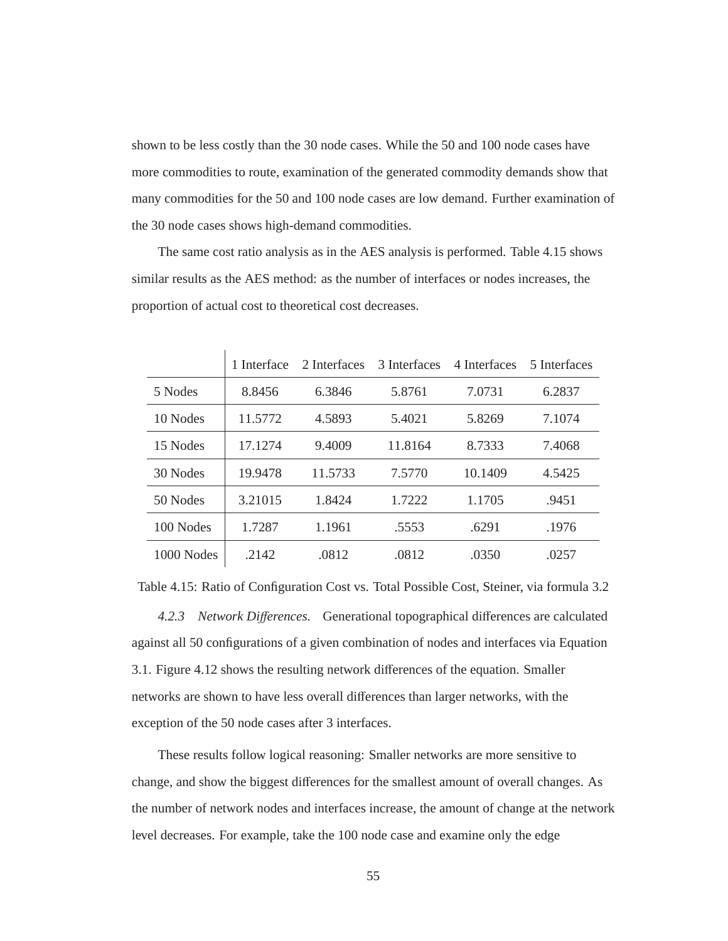shown to be less costly than the 30 node cases. While the 50 and 100 node cases have more commodities to route, examination of the generated commodity demands show that many commodities for the 50 and 100 node cases are low demand. Further examination of the 30 node cases shows high-demand commodities.

The same cost ratio analysis as in the AES analysis is performed. Table 4.15 shows similar results as the AES method: as the number of interfaces or nodes increases, the proportion of actual cost to theoretical cost decreases.

|            | 1 Interface | 2 Interfaces | 3 Interfaces | 4 Interfaces | 5 Interfaces |
|------------|-------------|--------------|--------------|--------------|--------------|
| 5 Nodes    | 8.8456      | 6.3846       | 5.8761       | 7.0731       | 6.2837       |
| 10 Nodes   | 11.5772     | 4.5893       | 5.4021       | 5.8269       | 7.1074       |
| 15 Nodes   | 17.1274     | 9.4009       | 11.8164      | 8.7333       | 7.4068       |
| 30 Nodes   | 19.9478     | 11.5733      | 7.5770       | 10.1409      | 4.5425       |
| 50 Nodes   | 3.21015     | 1.8424       | 1.7222       | 1.1705       | .9451        |
| 100 Nodes  | 1.7287      | 1.1961       | .5553        | .6291        | .1976        |
| 1000 Nodes | .2142       | .0812        | .0812        | .0350        | .0257        |

Table 4.15: Ratio of Configuration Cost vs. Total Possible Cost, Steiner, via formula 3.2

*4.2.3 Network Di*ff*erences.* Generational topographical differences are calculated against all 50 configurations of a given combination of nodes and interfaces via Equation 3.1. Figure 4.12 shows the resulting network differences of the equation. Smaller networks are shown to have less overall differences than larger networks, with the exception of the 50 node cases after 3 interfaces.

These results follow logical reasoning: Smaller networks are more sensitive to change, and show the biggest differences for the smallest amount of overall changes. As the number of network nodes and interfaces increase, the amount of change at the network level decreases. For example, take the 100 node case and examine only the edge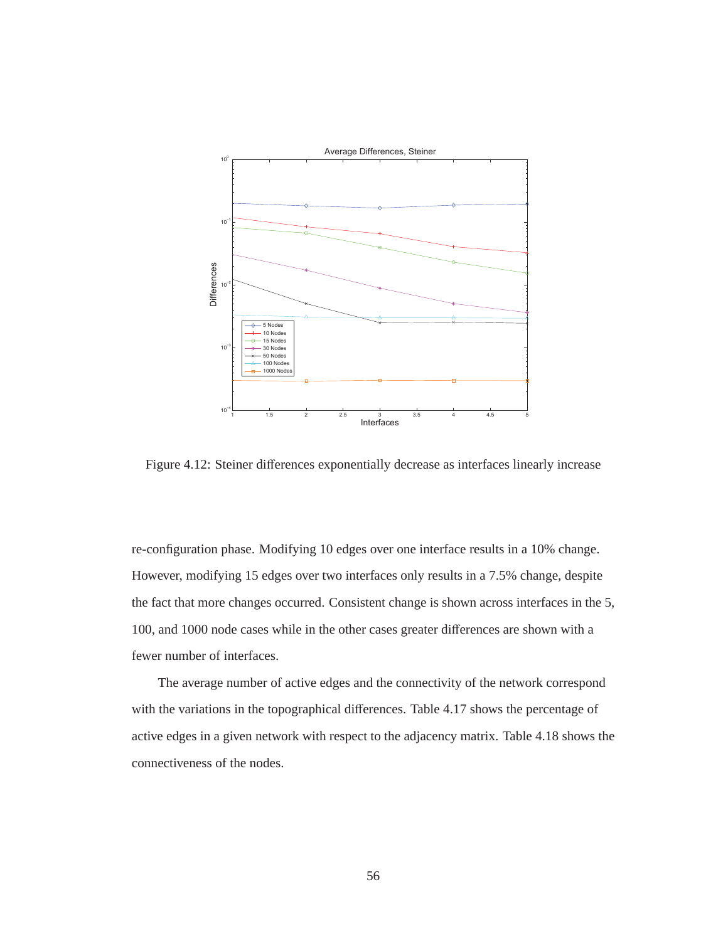

Figure 4.12: Steiner differences exponentially decrease as interfaces linearly increase

re-configuration phase. Modifying 10 edges over one interface results in a 10% change. However, modifying 15 edges over two interfaces only results in a 7.5% change, despite the fact that more changes occurred. Consistent change is shown across interfaces in the 5, 100, and 1000 node cases while in the other cases greater differences are shown with a fewer number of interfaces.

The average number of active edges and the connectivity of the network correspond with the variations in the topographical differences. Table 4.17 shows the percentage of active edges in a given network with respect to the adjacency matrix. Table 4.18 shows the connectiveness of the nodes.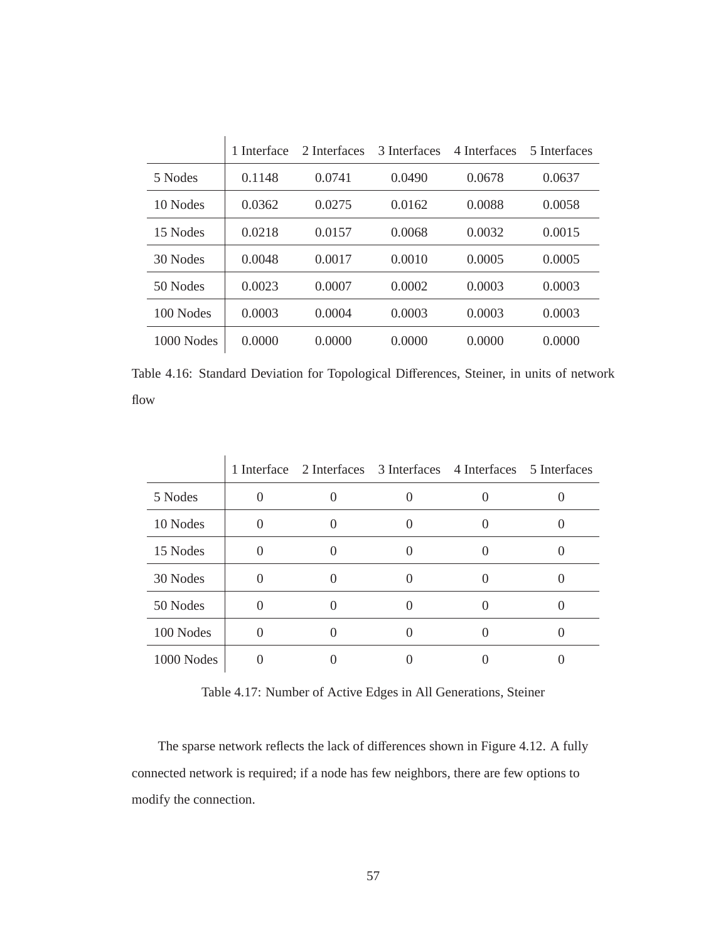|            | 1 Interface | 2 Interfaces | 3 Interfaces | 4 Interfaces | 5 Interfaces |
|------------|-------------|--------------|--------------|--------------|--------------|
| 5 Nodes    | 0.1148      | 0.0741       | 0.0490       | 0.0678       | 0.0637       |
| 10 Nodes   | 0.0362      | 0.0275       | 0.0162       | 0.0088       | 0.0058       |
| 15 Nodes   | 0.0218      | 0.0157       | 0.0068       | 0.0032       | 0.0015       |
| 30 Nodes   | 0.0048      | 0.0017       | 0.0010       | 0.0005       | 0.0005       |
| 50 Nodes   | 0.0023      | 0.0007       | 0.0002       | 0.0003       | 0.0003       |
| 100 Nodes  | 0.0003      | 0.0004       | 0.0003       | 0.0003       | 0.0003       |
| 1000 Nodes | 0.0000      | 0.0000       | 0.0000       | 0.0000       | 0.0000       |

Table 4.16: Standard Deviation for Topological Differences, Steiner, in units of network flow

|            |          |  | 1 Interface 2 Interfaces 3 Interfaces 4 Interfaces 5 Interfaces |  |
|------------|----------|--|-----------------------------------------------------------------|--|
| 5 Nodes    |          |  |                                                                 |  |
| 10 Nodes   | $\Omega$ |  |                                                                 |  |
| 15 Nodes   | 0        |  |                                                                 |  |
| 30 Nodes   |          |  |                                                                 |  |
| 50 Nodes   | ∩        |  |                                                                 |  |
| 100 Nodes  |          |  |                                                                 |  |
| 1000 Nodes |          |  |                                                                 |  |

Table 4.17: Number of Active Edges in All Generations, Steiner

The sparse network reflects the lack of differences shown in Figure 4.12. A fully connected network is required; if a node has few neighbors, there are few options to modify the connection.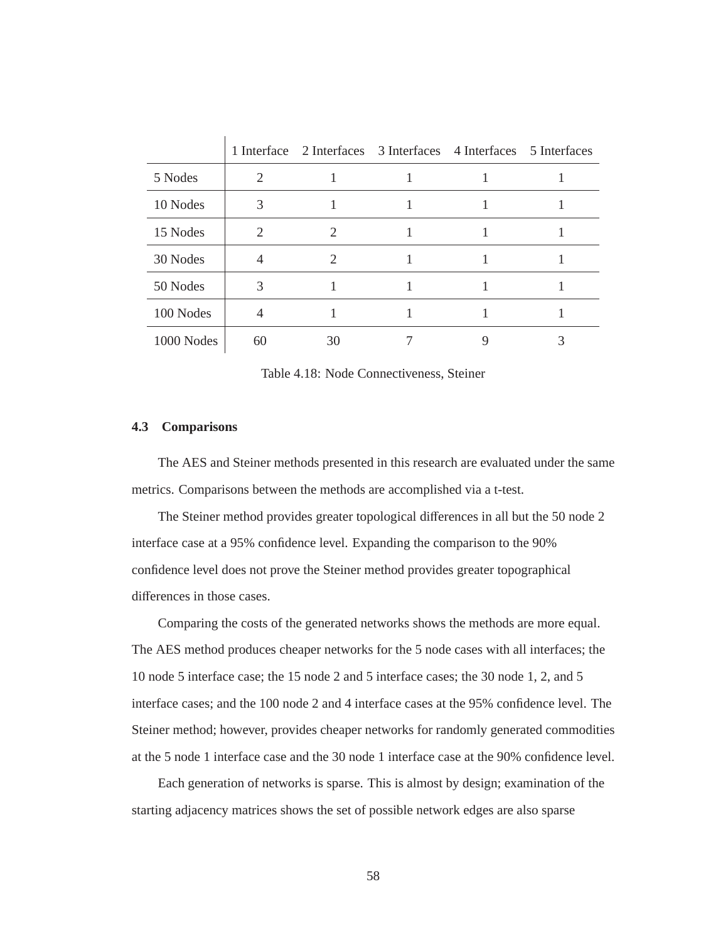|            |    | 1 Interface 2 Interfaces 3 Interfaces 4 Interfaces 5 Interfaces |  |  |
|------------|----|-----------------------------------------------------------------|--|--|
| 5 Nodes    | 2  |                                                                 |  |  |
| 10 Nodes   | 3  |                                                                 |  |  |
| 15 Nodes   | 2  | 2                                                               |  |  |
| 30 Nodes   |    | $\mathcal{D}_{\mathcal{L}}$                                     |  |  |
| 50 Nodes   | 3  |                                                                 |  |  |
| 100 Nodes  |    |                                                                 |  |  |
| 1000 Nodes | 60 | 30                                                              |  |  |

Table 4.18: Node Connectiveness, Steiner

## **4.3 Comparisons**

The AES and Steiner methods presented in this research are evaluated under the same metrics. Comparisons between the methods are accomplished via a t-test.

The Steiner method provides greater topological differences in all but the 50 node 2 interface case at a 95% confidence level. Expanding the comparison to the 90% confidence level does not prove the Steiner method provides greater topographical differences in those cases.

Comparing the costs of the generated networks shows the methods are more equal. The AES method produces cheaper networks for the 5 node cases with all interfaces; the 10 node 5 interface case; the 15 node 2 and 5 interface cases; the 30 node 1, 2, and 5 interface cases; and the 100 node 2 and 4 interface cases at the 95% confidence level. The Steiner method; however, provides cheaper networks for randomly generated commodities at the 5 node 1 interface case and the 30 node 1 interface case at the 90% confidence level.

Each generation of networks is sparse. This is almost by design; examination of the starting adjacency matrices shows the set of possible network edges are also sparse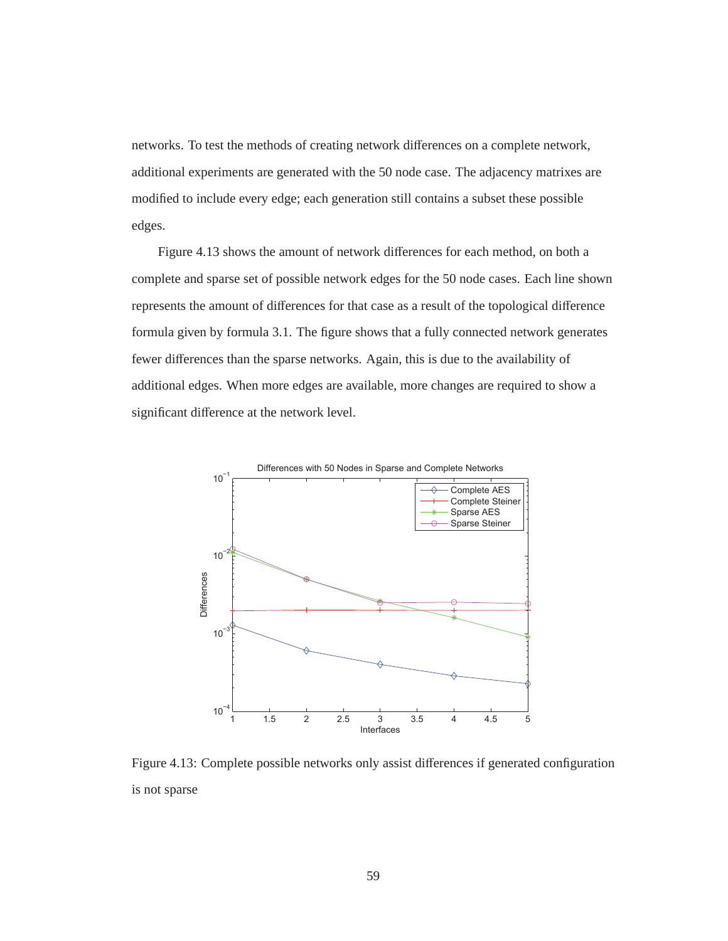networks. To test the methods of creating network differences on a complete network, additional experiments are generated with the 50 node case. The adjacency matrixes are modified to include every edge; each generation still contains a subset these possible edges.

Figure 4.13 shows the amount of network differences for each method, on both a complete and sparse set of possible network edges for the 50 node cases. Each line shown represents the amount of differences for that case as a result of the topological difference formula given by formula 3.1. The figure shows that a fully connected network generates fewer differences than the sparse networks. Again, this is due to the availability of additional edges. When more edges are available, more changes are required to show a significant difference at the network level.



Figure 4.13: Complete possible networks only assist differences if generated configuration is not sparse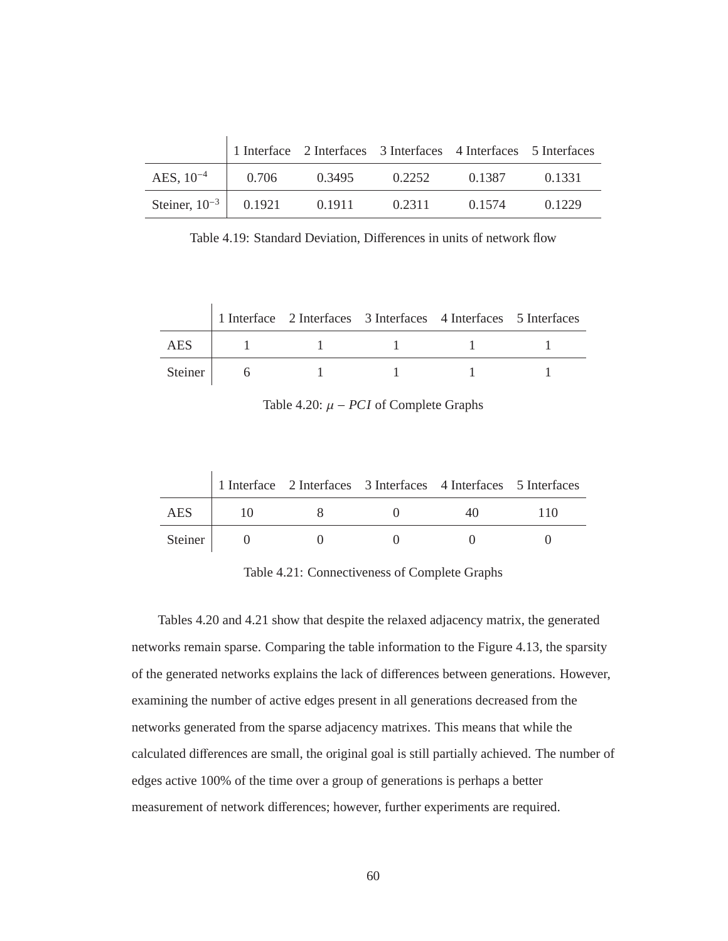|                             |       | 1 Interface 2 Interfaces 3 Interfaces 4 Interfaces 5 Interfaces |        |        |        |
|-----------------------------|-------|-----------------------------------------------------------------|--------|--------|--------|
| AES, $10^{-4}$              | 0.706 | 0.3495                                                          | 0.2252 | 0.1387 | 0.1331 |
| Steiner, $10^{-3}$   0.1921 |       | 0.1911                                                          | 0.2311 | 0.1574 | 0.1229 |

Table 4.19: Standard Deviation, Differences in units of network flow

|         |  | 1 Interface 2 Interfaces 3 Interfaces 4 Interfaces 5 Interfaces |  |
|---------|--|-----------------------------------------------------------------|--|
| AES     |  |                                                                 |  |
| Steiner |  |                                                                 |  |

Table 4.20:  $\mu$  – *PCI* of Complete Graphs

|                | 1 Interface 2 Interfaces 3 Interfaces 4 Interfaces 5 Interfaces |      |     |
|----------------|-----------------------------------------------------------------|------|-----|
| <b>AES</b>     |                                                                 | 40 D | 110 |
| <b>Steiner</b> |                                                                 |      |     |

Table 4.21: Connectiveness of Complete Graphs

Tables 4.20 and 4.21 show that despite the relaxed adjacency matrix, the generated networks remain sparse. Comparing the table information to the Figure 4.13, the sparsity of the generated networks explains the lack of differences between generations. However, examining the number of active edges present in all generations decreased from the networks generated from the sparse adjacency matrixes. This means that while the calculated differences are small, the original goal is still partially achieved. The number of edges active 100% of the time over a group of generations is perhaps a better measurement of network differences; however, further experiments are required.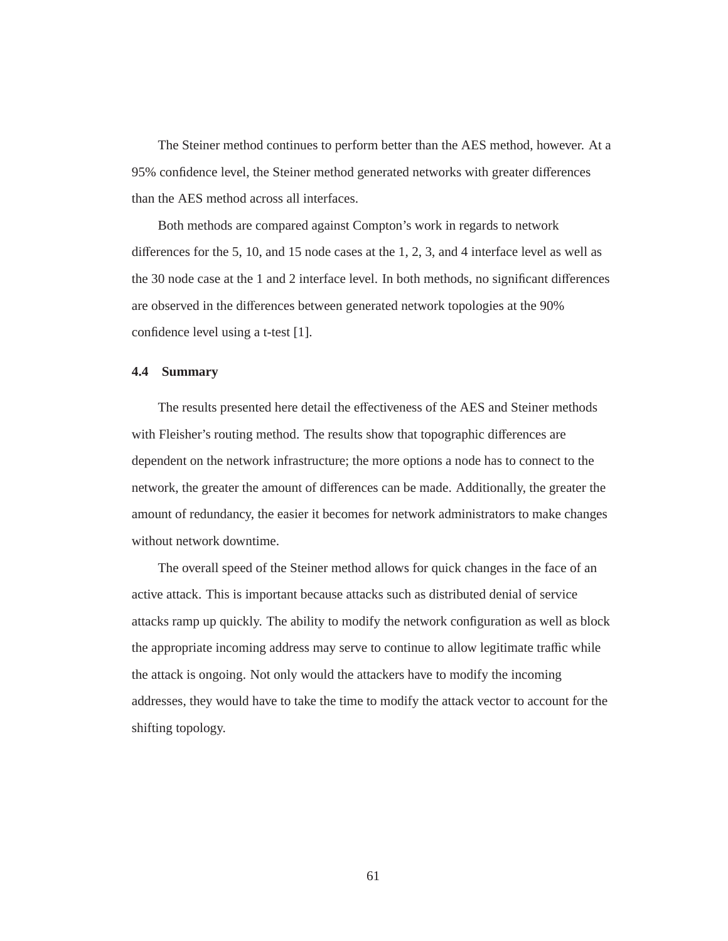The Steiner method continues to perform better than the AES method, however. At a 95% confidence level, the Steiner method generated networks with greater differences than the AES method across all interfaces.

Both methods are compared against Compton's work in regards to network differences for the 5, 10, and 15 node cases at the 1, 2, 3, and 4 interface level as well as the 30 node case at the 1 and 2 interface level. In both methods, no significant differences are observed in the differences between generated network topologies at the 90% confidence level using a t-test [1].

## **4.4 Summary**

The results presented here detail the effectiveness of the AES and Steiner methods with Fleisher's routing method. The results show that topographic differences are dependent on the network infrastructure; the more options a node has to connect to the network, the greater the amount of differences can be made. Additionally, the greater the amount of redundancy, the easier it becomes for network administrators to make changes without network downtime.

The overall speed of the Steiner method allows for quick changes in the face of an active attack. This is important because attacks such as distributed denial of service attacks ramp up quickly. The ability to modify the network configuration as well as block the appropriate incoming address may serve to continue to allow legitimate traffic while the attack is ongoing. Not only would the attackers have to modify the incoming addresses, they would have to take the time to modify the attack vector to account for the shifting topology.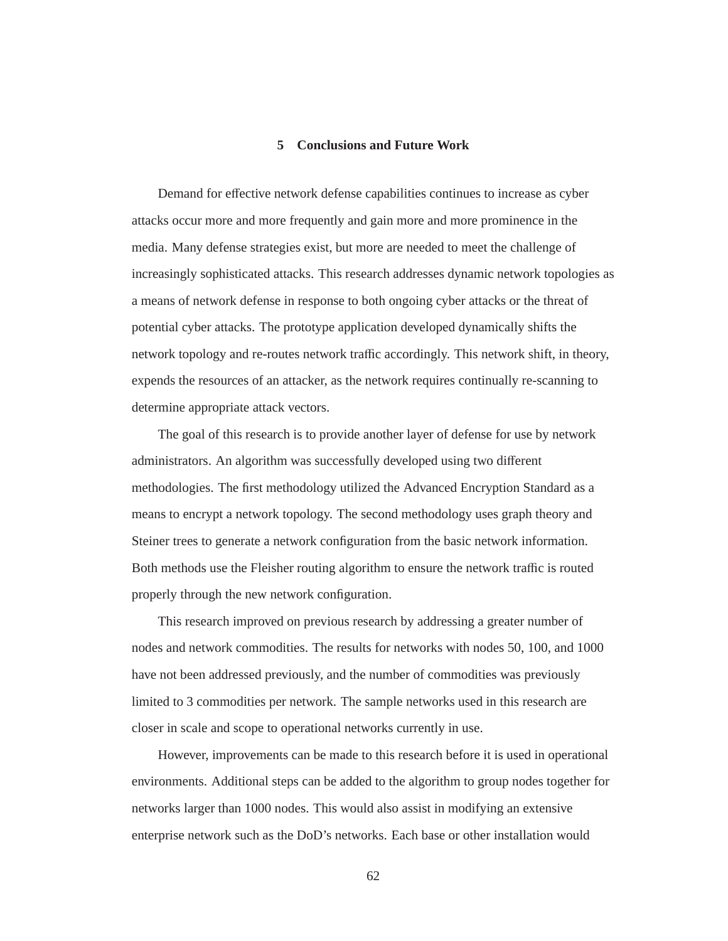## **5 Conclusions and Future Work**

Demand for effective network defense capabilities continues to increase as cyber attacks occur more and more frequently and gain more and more prominence in the media. Many defense strategies exist, but more are needed to meet the challenge of increasingly sophisticated attacks. This research addresses dynamic network topologies as a means of network defense in response to both ongoing cyber attacks or the threat of potential cyber attacks. The prototype application developed dynamically shifts the network topology and re-routes network traffic accordingly. This network shift, in theory, expends the resources of an attacker, as the network requires continually re-scanning to determine appropriate attack vectors.

The goal of this research is to provide another layer of defense for use by network administrators. An algorithm was successfully developed using two different methodologies. The first methodology utilized the Advanced Encryption Standard as a means to encrypt a network topology. The second methodology uses graph theory and Steiner trees to generate a network configuration from the basic network information. Both methods use the Fleisher routing algorithm to ensure the network traffic is routed properly through the new network configuration.

This research improved on previous research by addressing a greater number of nodes and network commodities. The results for networks with nodes 50, 100, and 1000 have not been addressed previously, and the number of commodities was previously limited to 3 commodities per network. The sample networks used in this research are closer in scale and scope to operational networks currently in use.

However, improvements can be made to this research before it is used in operational environments. Additional steps can be added to the algorithm to group nodes together for networks larger than 1000 nodes. This would also assist in modifying an extensive enterprise network such as the DoD's networks. Each base or other installation would

62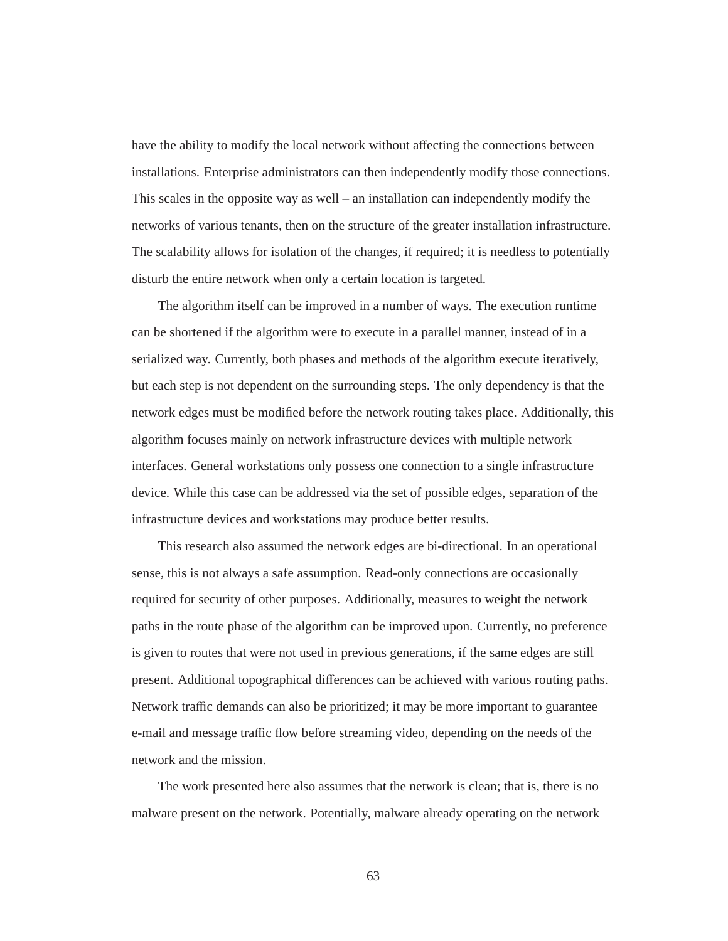have the ability to modify the local network without affecting the connections between installations. Enterprise administrators can then independently modify those connections. This scales in the opposite way as well – an installation can independently modify the networks of various tenants, then on the structure of the greater installation infrastructure. The scalability allows for isolation of the changes, if required; it is needless to potentially disturb the entire network when only a certain location is targeted.

The algorithm itself can be improved in a number of ways. The execution runtime can be shortened if the algorithm were to execute in a parallel manner, instead of in a serialized way. Currently, both phases and methods of the algorithm execute iteratively, but each step is not dependent on the surrounding steps. The only dependency is that the network edges must be modified before the network routing takes place. Additionally, this algorithm focuses mainly on network infrastructure devices with multiple network interfaces. General workstations only possess one connection to a single infrastructure device. While this case can be addressed via the set of possible edges, separation of the infrastructure devices and workstations may produce better results.

This research also assumed the network edges are bi-directional. In an operational sense, this is not always a safe assumption. Read-only connections are occasionally required for security of other purposes. Additionally, measures to weight the network paths in the route phase of the algorithm can be improved upon. Currently, no preference is given to routes that were not used in previous generations, if the same edges are still present. Additional topographical differences can be achieved with various routing paths. Network traffic demands can also be prioritized; it may be more important to guarantee e-mail and message traffic flow before streaming video, depending on the needs of the network and the mission.

The work presented here also assumes that the network is clean; that is, there is no malware present on the network. Potentially, malware already operating on the network

63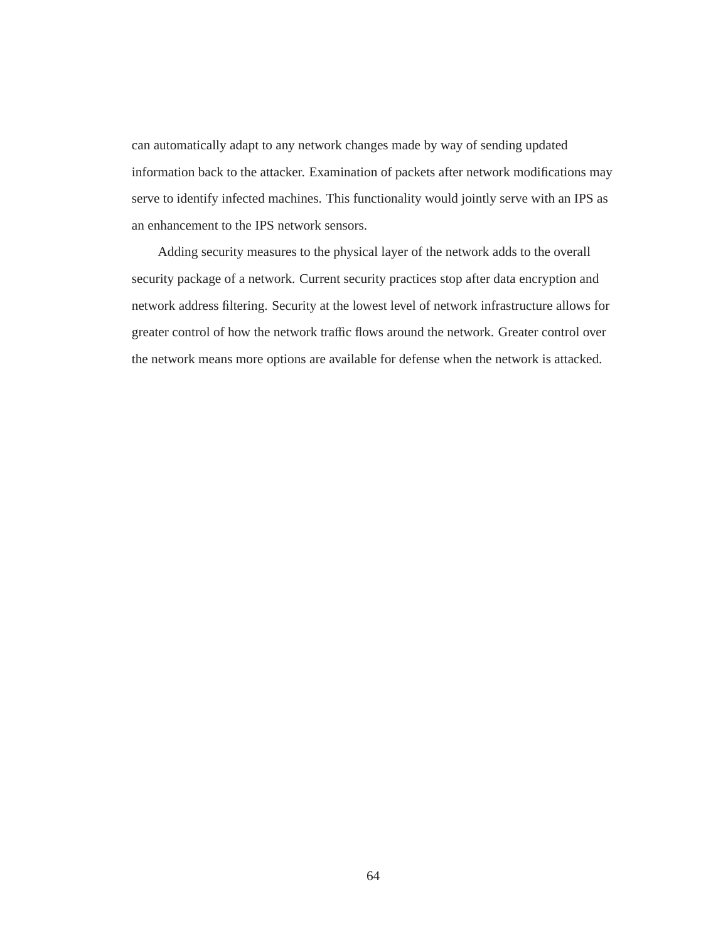can automatically adapt to any network changes made by way of sending updated information back to the attacker. Examination of packets after network modifications may serve to identify infected machines. This functionality would jointly serve with an IPS as an enhancement to the IPS network sensors.

Adding security measures to the physical layer of the network adds to the overall security package of a network. Current security practices stop after data encryption and network address filtering. Security at the lowest level of network infrastructure allows for greater control of how the network traffic flows around the network. Greater control over the network means more options are available for defense when the network is attacked.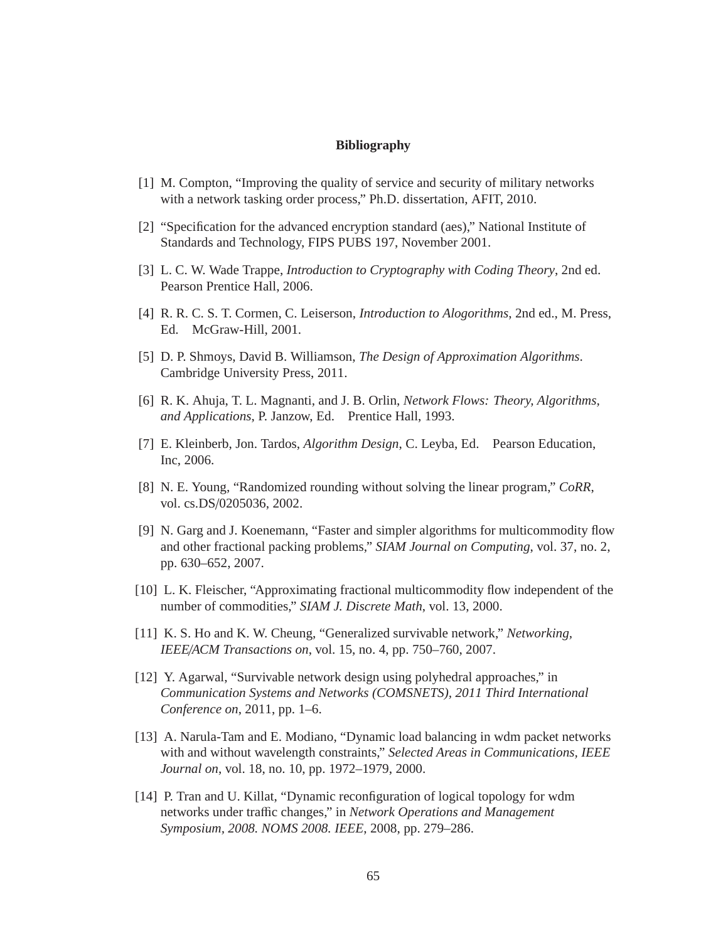## **Bibliography**

- [1] M. Compton, "Improving the quality of service and security of military networks with a network tasking order process," Ph.D. dissertation, AFIT, 2010.
- [2] "Specification for the advanced encryption standard (aes)," National Institute of Standards and Technology, FIPS PUBS 197, November 2001.
- [3] L. C. W. Wade Trappe, *Introduction to Cryptography with Coding Theory*, 2nd ed. Pearson Prentice Hall, 2006.
- [4] R. R. C. S. T. Cormen, C. Leiserson, *Introduction to Alogorithms*, 2nd ed., M. Press, Ed. McGraw-Hill, 2001.
- [5] D. P. Shmoys, David B. Williamson, *The Design of Approximation Algorithms*. Cambridge University Press, 2011.
- [6] R. K. Ahuja, T. L. Magnanti, and J. B. Orlin, *Network Flows: Theory, Algorithms, and Applications*, P. Janzow, Ed. Prentice Hall, 1993.
- [7] E. Kleinberb, Jon. Tardos, *Algorithm Design*, C. Leyba, Ed. Pearson Education, Inc, 2006.
- [8] N. E. Young, "Randomized rounding without solving the linear program," *CoRR*, vol. cs.DS/0205036, 2002.
- [9] N. Garg and J. Koenemann, "Faster and simpler algorithms for multicommodity flow and other fractional packing problems," *SIAM Journal on Computing*, vol. 37, no. 2, pp. 630–652, 2007.
- [10] L. K. Fleischer, "Approximating fractional multicommodity flow independent of the number of commodities," *SIAM J. Discrete Math*, vol. 13, 2000.
- [11] K. S. Ho and K. W. Cheung, "Generalized survivable network," *Networking, IEEE*/*ACM Transactions on*, vol. 15, no. 4, pp. 750–760, 2007.
- [12] Y. Agarwal, "Survivable network design using polyhedral approaches," in *Communication Systems and Networks (COMSNETS), 2011 Third International Conference on*, 2011, pp. 1–6.
- [13] A. Narula-Tam and E. Modiano, "Dynamic load balancing in wdm packet networks with and without wavelength constraints," *Selected Areas in Communications, IEEE Journal on*, vol. 18, no. 10, pp. 1972–1979, 2000.
- [14] P. Tran and U. Killat, "Dynamic reconfiguration of logical topology for wdm networks under traffic changes," in *Network Operations and Management Symposium, 2008. NOMS 2008. IEEE*, 2008, pp. 279–286.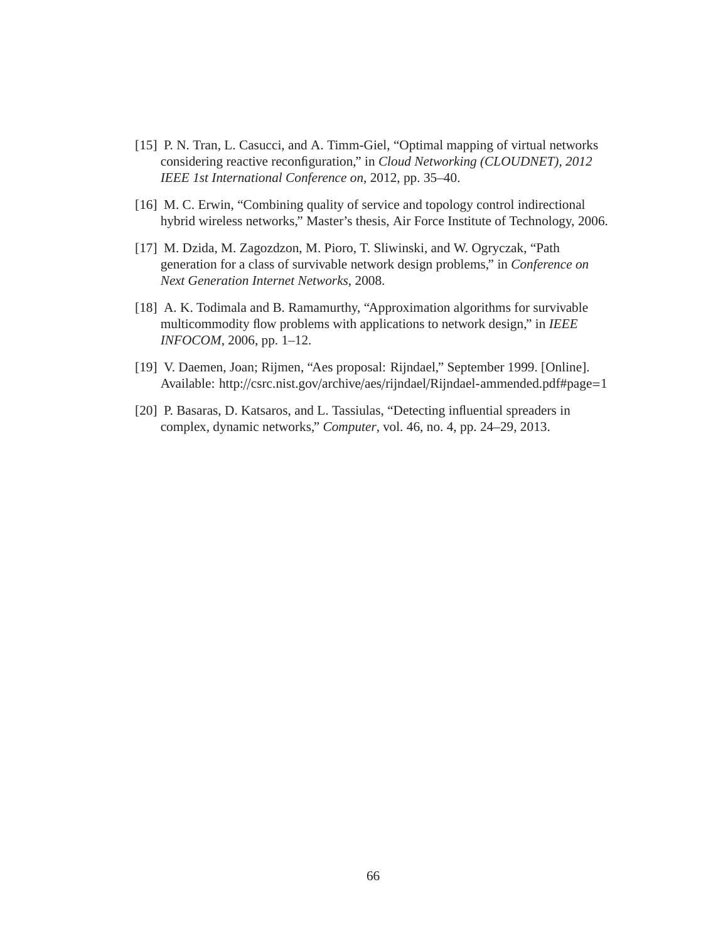- [15] P. N. Tran, L. Casucci, and A. Timm-Giel, "Optimal mapping of virtual networks considering reactive reconfiguration," in *Cloud Networking (CLOUDNET), 2012 IEEE 1st International Conference on*, 2012, pp. 35–40.
- [16] M. C. Erwin, "Combining quality of service and topology control indirectional hybrid wireless networks," Master's thesis, Air Force Institute of Technology, 2006.
- [17] M. Dzida, M. Zagozdzon, M. Pioro, T. Sliwinski, and W. Ogryczak, "Path generation for a class of survivable network design problems," in *Conference on Next Generation Internet Networks*, 2008.
- [18] A. K. Todimala and B. Ramamurthy, "Approximation algorithms for survivable multicommodity flow problems with applications to network design," in *IEEE INFOCOM*, 2006, pp. 1–12.
- [19] V. Daemen, Joan; Rijmen, "Aes proposal: Rijndael," September 1999. [Online]. Available: http://csrc.nist.gov/archive/aes/rijndael/Rijndael-ammended.pdf#page=1
- [20] P. Basaras, D. Katsaros, and L. Tassiulas, "Detecting influential spreaders in complex, dynamic networks," *Computer*, vol. 46, no. 4, pp. 24–29, 2013.